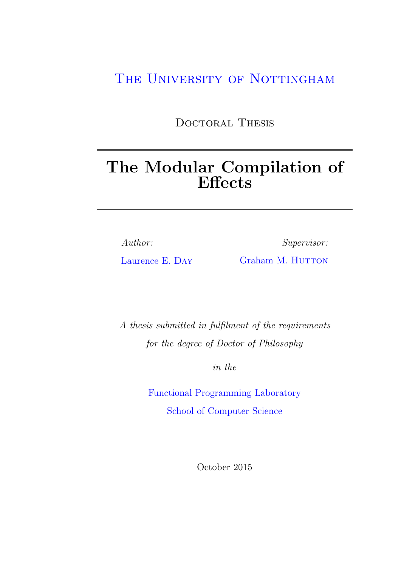## THE UNIVERSITY OF NOTTINGHAM

DOCTORAL THESIS

# The Modular Compilation of Effects

Author:

Supervisor:

[Laurence E.](http://www.purelymonadic.co.uk) Day

[Graham M.](http://www.cs.nott.ac.uk/~gmh) HUTTON

A thesis submitted in fulfilment of the requirements for the degree of Doctor of Philosophy

in the

[Functional Programming Laboratory](http://www.fp.cs.nott.ac.uk) [School of Computer Science](Department or School Web Site URL Here (include http://))

October 2015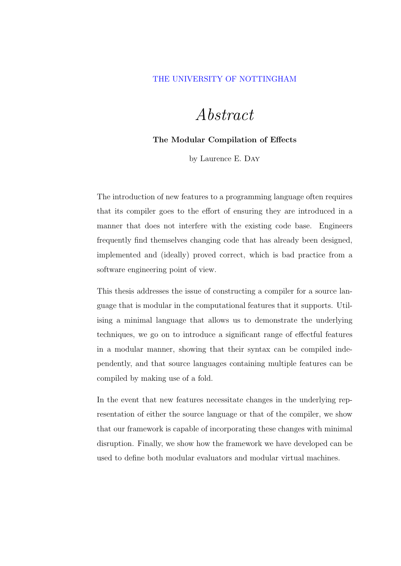#### <span id="page-1-0"></span>[THE UNIVERSITY OF NOTTINGHAM](http://www.cs.nott.ac.uk)

# Abstract

#### The Modular Compilation of Effects

by Laurence E. Day

The introduction of new features to a programming language often requires that its compiler goes to the effort of ensuring they are introduced in a manner that does not interfere with the existing code base. Engineers frequently find themselves changing code that has already been designed, implemented and (ideally) proved correct, which is bad practice from a software engineering point of view.

This thesis addresses the issue of constructing a compiler for a source language that is modular in the computational features that it supports. Utilising a minimal language that allows us to demonstrate the underlying techniques, we go on to introduce a significant range of effectful features in a modular manner, showing that their syntax can be compiled independently, and that source languages containing multiple features can be compiled by making use of a fold.

In the event that new features necessitate changes in the underlying representation of either the source language or that of the compiler, we show that our framework is capable of incorporating these changes with minimal disruption. Finally, we show how the framework we have developed can be used to define both modular evaluators and modular virtual machines.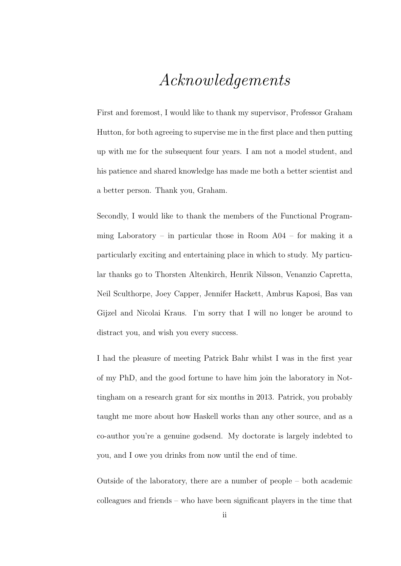## Acknowledgements

<span id="page-2-0"></span>First and foremost, I would like to thank my supervisor, Professor Graham Hutton, for both agreeing to supervise me in the first place and then putting up with me for the subsequent four years. I am not a model student, and his patience and shared knowledge has made me both a better scientist and a better person. Thank you, Graham.

Secondly, I would like to thank the members of the Functional Programming Laboratory – in particular those in Room  $A04$  – for making it a particularly exciting and entertaining place in which to study. My particular thanks go to Thorsten Altenkirch, Henrik Nilsson, Venanzio Capretta, Neil Sculthorpe, Joey Capper, Jennifer Hackett, Ambrus Kaposi, Bas van Gijzel and Nicolai Kraus. I'm sorry that I will no longer be around to distract you, and wish you every success.

I had the pleasure of meeting Patrick Bahr whilst I was in the first year of my PhD, and the good fortune to have him join the laboratory in Nottingham on a research grant for six months in 2013. Patrick, you probably taught me more about how Haskell works than any other source, and as a co-author you're a genuine godsend. My doctorate is largely indebted to you, and I owe you drinks from now until the end of time.

Outside of the laboratory, there are a number of people – both academic colleagues and friends – who have been significant players in the time that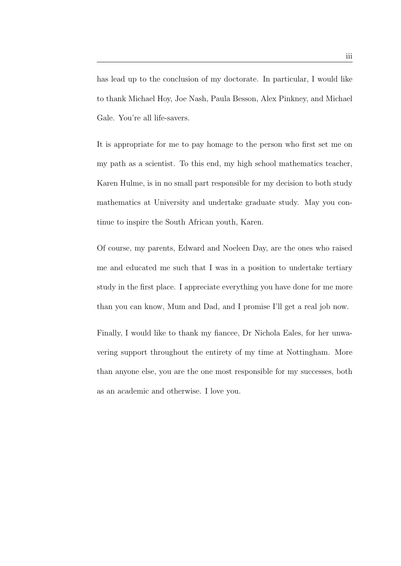has lead up to the conclusion of my doctorate. In particular, I would like to thank Michael Hoy, Joe Nash, Paula Besson, Alex Pinkney, and Michael Gale. You're all life-savers.

It is appropriate for me to pay homage to the person who first set me on my path as a scientist. To this end, my high school mathematics teacher, Karen Hulme, is in no small part responsible for my decision to both study mathematics at University and undertake graduate study. May you continue to inspire the South African youth, Karen.

Of course, my parents, Edward and Noeleen Day, are the ones who raised me and educated me such that I was in a position to undertake tertiary study in the first place. I appreciate everything you have done for me more than you can know, Mum and Dad, and I promise I'll get a real job now.

Finally, I would like to thank my fiancee, Dr Nichola Eales, for her unwavering support throughout the entirety of my time at Nottingham. More than anyone else, you are the one most responsible for my successes, both as an academic and otherwise. I love you.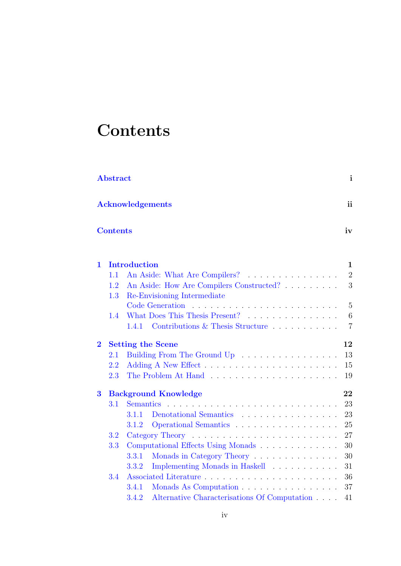# <span id="page-4-0"></span>**Contents**

| $\mathbf{i}$<br><b>Abstract</b> |                                          |                                                       |                |  |  |  |  |  |
|---------------------------------|------------------------------------------|-------------------------------------------------------|----------------|--|--|--|--|--|
|                                 | <sub>ii</sub><br><b>Acknowledgements</b> |                                                       |                |  |  |  |  |  |
|                                 | <b>Contents</b><br>iv                    |                                                       |                |  |  |  |  |  |
| $\mathbf 1$                     |                                          | <b>Introduction</b>                                   | $\mathbf 1$    |  |  |  |  |  |
|                                 | 1.1                                      | An Aside: What Are Compilers?                         | $\overline{2}$ |  |  |  |  |  |
|                                 | 1.2                                      | An Aside: How Are Compilers Constructed?              | 3              |  |  |  |  |  |
|                                 | 1.3                                      | Re-Envisioning Intermediate                           |                |  |  |  |  |  |
|                                 |                                          |                                                       | 5              |  |  |  |  |  |
|                                 | 1.4                                      | What Does This Thesis Present?                        | 6              |  |  |  |  |  |
|                                 |                                          | Contributions & Thesis Structure<br>1.4.1             | $\overline{7}$ |  |  |  |  |  |
| $\overline{2}$                  |                                          | <b>Setting the Scene</b>                              | 12             |  |  |  |  |  |
|                                 | $2.1\,$                                  | Building From The Ground Up                           | 13             |  |  |  |  |  |
|                                 | 2.2                                      |                                                       | 15             |  |  |  |  |  |
|                                 | 2.3                                      |                                                       | 19             |  |  |  |  |  |
| 3                               |                                          | <b>Background Knowledge</b>                           | 22             |  |  |  |  |  |
|                                 | 3.1                                      | <b>Semantics</b>                                      | 23             |  |  |  |  |  |
|                                 |                                          | 3.1.1                                                 | 23             |  |  |  |  |  |
|                                 |                                          | Operational Semantics<br>3.1.2                        | 25             |  |  |  |  |  |
|                                 | 3.2                                      |                                                       | 27             |  |  |  |  |  |
|                                 | 3.3                                      | Computational Effects Using Monads                    | 30             |  |  |  |  |  |
|                                 |                                          | Monads in Category Theory<br>3.3.1                    | 30             |  |  |  |  |  |
|                                 |                                          | Implementing Monads in Haskell<br>3.3.2               | 31             |  |  |  |  |  |
|                                 | 3.4                                      |                                                       | 36             |  |  |  |  |  |
|                                 |                                          | 3.4.1<br>Monads As Computation                        | 37             |  |  |  |  |  |
|                                 |                                          | Alternative Characterisations Of Computation<br>3.4.2 | 41             |  |  |  |  |  |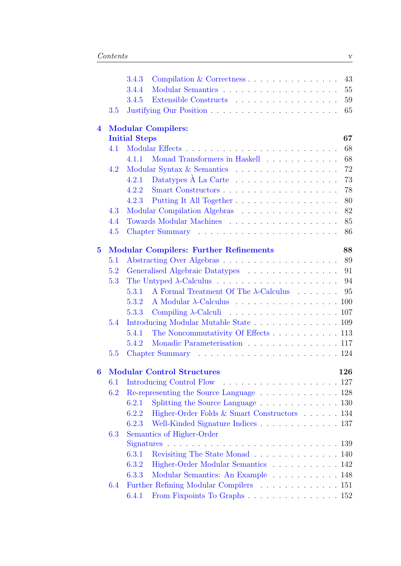|                |                           | 3.4.3                | 43<br>Compilation & Correctness                                          |    |  |  |  |  |  |
|----------------|---------------------------|----------------------|--------------------------------------------------------------------------|----|--|--|--|--|--|
|                |                           | 3.4.4                | 55                                                                       |    |  |  |  |  |  |
|                |                           | 3.4.5                |                                                                          | 59 |  |  |  |  |  |
|                | 3.5                       |                      |                                                                          | 65 |  |  |  |  |  |
| $\overline{4}$ | <b>Modular Compilers:</b> |                      |                                                                          |    |  |  |  |  |  |
|                |                           | <b>Initial Steps</b> | 67                                                                       |    |  |  |  |  |  |
|                | 4.1                       |                      |                                                                          | 68 |  |  |  |  |  |
|                |                           | 4.1.1                | Monad Transformers in Haskell                                            | 68 |  |  |  |  |  |
|                | 4.2                       |                      | Modular Syntax & Semantics                                               | 72 |  |  |  |  |  |
|                |                           | 4.2.1                | Datatypes $\dot{A}$ La Carte $\ldots \ldots \ldots \ldots \ldots \ldots$ | 73 |  |  |  |  |  |
|                |                           | 4.2.2                | Smart Constructors                                                       | 78 |  |  |  |  |  |
|                |                           | 4.2.3                | Putting It All Together                                                  | 80 |  |  |  |  |  |
|                | 4.3                       |                      | Modular Compilation Algebras                                             | 82 |  |  |  |  |  |
|                | 4.4                       |                      | Towards Modular Machines                                                 | 85 |  |  |  |  |  |
|                | 4.5                       |                      |                                                                          | 86 |  |  |  |  |  |
| $\overline{5}$ |                           |                      | 88<br><b>Modular Compilers: Further Refinements</b>                      |    |  |  |  |  |  |
|                | 5.1                       |                      | 89                                                                       |    |  |  |  |  |  |
|                | 5.2                       |                      | 91<br>Generalised Algebraic Datatypes                                    |    |  |  |  |  |  |
|                | 5.3                       |                      | 94                                                                       |    |  |  |  |  |  |
|                |                           | 5.3.1                | A Formal Treatment Of The $\lambda$ -Calculus<br>95                      |    |  |  |  |  |  |
|                |                           | 5.3.2                | A Modular $\lambda$ -Calculus 100                                        |    |  |  |  |  |  |
|                |                           | 5.3.3                | Compiling $\lambda$ -Calculi 107                                         |    |  |  |  |  |  |
|                | 5.4                       |                      | Introducing Modular Mutable State 109                                    |    |  |  |  |  |  |
|                |                           | 5.4.1                | The Noncommutativity Of Effects 113                                      |    |  |  |  |  |  |
|                |                           | 5.4.2                | Monadic Parameterisation 117                                             |    |  |  |  |  |  |
|                | 5.5                       |                      |                                                                          |    |  |  |  |  |  |
| 6              |                           |                      | <b>Modular Control Structures</b><br>126                                 |    |  |  |  |  |  |
|                | 6.1                       |                      |                                                                          |    |  |  |  |  |  |
|                | 6.2                       |                      | Re-representing the Source Language 128                                  |    |  |  |  |  |  |
|                |                           | 6.2.1                | Splitting the Source Language 130                                        |    |  |  |  |  |  |
|                |                           | 6.2.2                | Higher-Order Folds & Smart Constructors 134                              |    |  |  |  |  |  |
|                |                           | 6.2.3                | Well-Kinded Signature Indices 137                                        |    |  |  |  |  |  |
|                | 6.3                       |                      | Semantics of Higher-Order                                                |    |  |  |  |  |  |
|                |                           |                      |                                                                          |    |  |  |  |  |  |
|                |                           | 6.3.1                | Revisiting The State Monad 140                                           |    |  |  |  |  |  |
|                |                           | 6.3.2                | Higher-Order Modular Semantics 142                                       |    |  |  |  |  |  |
|                |                           | 6.3.3                | Modular Semantics: An Example 148                                        |    |  |  |  |  |  |
|                | 6.4                       |                      | Further Refining Modular Compilers 151                                   |    |  |  |  |  |  |
|                |                           | 6.4.1                | From Fixpoints To Graphs 152                                             |    |  |  |  |  |  |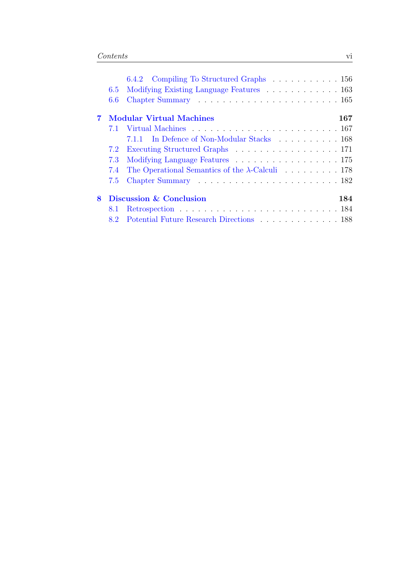|   |                                        | 6.4.2 Compiling To Structured Graphs 156                 |  |  |  |  |  |  |  |
|---|----------------------------------------|----------------------------------------------------------|--|--|--|--|--|--|--|
|   | 6.5                                    | Modifying Existing Language Features 163                 |  |  |  |  |  |  |  |
|   | 6.6                                    |                                                          |  |  |  |  |  |  |  |
|   | <b>Modular Virtual Machines</b><br>167 |                                                          |  |  |  |  |  |  |  |
|   | 7.1                                    |                                                          |  |  |  |  |  |  |  |
|   |                                        | 7.1.1 In Defence of Non-Modular Stacks 168               |  |  |  |  |  |  |  |
|   | 7.2                                    | Executing Structured Graphs 171                          |  |  |  |  |  |  |  |
|   | 7.3                                    | Modifying Language Features 175                          |  |  |  |  |  |  |  |
|   | 7.4                                    | The Operational Semantics of the $\lambda$ -Calculi  178 |  |  |  |  |  |  |  |
|   | 7.5                                    |                                                          |  |  |  |  |  |  |  |
| 8 | Discussion & Conclusion<br>184         |                                                          |  |  |  |  |  |  |  |
|   | 8.1                                    |                                                          |  |  |  |  |  |  |  |
|   |                                        | 8.2 Potential Future Research Directions 188             |  |  |  |  |  |  |  |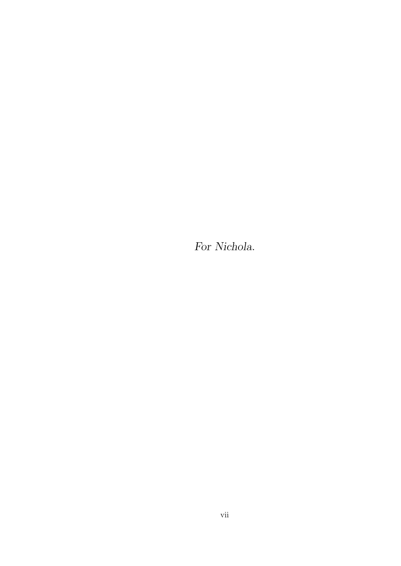For Nichola.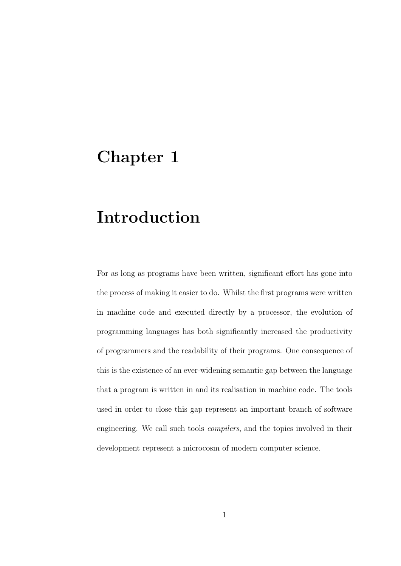## <span id="page-8-0"></span>Chapter 1

# Introduction

For as long as programs have been written, significant effort has gone into the process of making it easier to do. Whilst the first programs were written in machine code and executed directly by a processor, the evolution of programming languages has both significantly increased the productivity of programmers and the readability of their programs. One consequence of this is the existence of an ever-widening semantic gap between the language that a program is written in and its realisation in machine code. The tools used in order to close this gap represent an important branch of software engineering. We call such tools compilers, and the topics involved in their development represent a microcosm of modern computer science.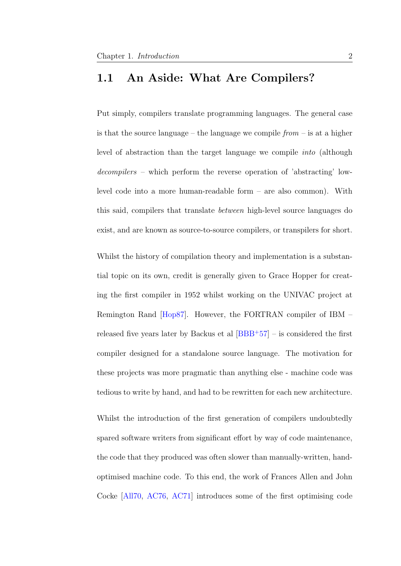### <span id="page-9-0"></span>1.1 An Aside: What Are Compilers?

Put simply, compilers translate programming languages. The general case is that the source language – the language we compile  $from -$  is at a higher level of abstraction than the target language we compile into (although decompilers – which perform the reverse operation of 'abstracting' lowlevel code into a more human-readable form – are also common). With this said, compilers that translate between high-level source languages do exist, and are known as source-to-source compilers, or transpilers for short.

Whilst the history of compilation theory and implementation is a substantial topic on its own, credit is generally given to Grace Hopper for creating the first compiler in 1952 whilst working on the UNIVAC project at Remington Rand [\[Hop87\]](#page-207-0). However, the FORTRAN compiler of IBM – released five years later by Backus et al  $[BBB+57]$  $[BBB+57]$  – is considered the first compiler designed for a standalone source language. The motivation for these projects was more pragmatic than anything else - machine code was tedious to write by hand, and had to be rewritten for each new architecture.

Whilst the introduction of the first generation of compilers undoubtedly spared software writers from significant effort by way of code maintenance, the code that they produced was often slower than manually-written, handoptimised machine code. To this end, the work of Frances Allen and John Cocke [\[All70,](#page-201-0) [AC76,](#page-201-1) [AC71\]](#page-201-2) introduces some of the first optimising code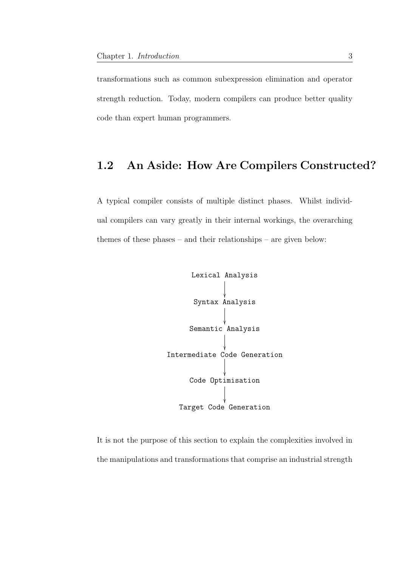transformations such as common subexpression elimination and operator strength reduction. Today, modern compilers can produce better quality code than expert human programmers.

### <span id="page-10-0"></span>1.2 An Aside: How Are Compilers Constructed?

A typical compiler consists of multiple distinct phases. Whilst individual compilers can vary greatly in their internal workings, the overarching themes of these phases – and their relationships – are given below:



It is not the purpose of this section to explain the complexities involved in the manipulations and transformations that comprise an industrial strength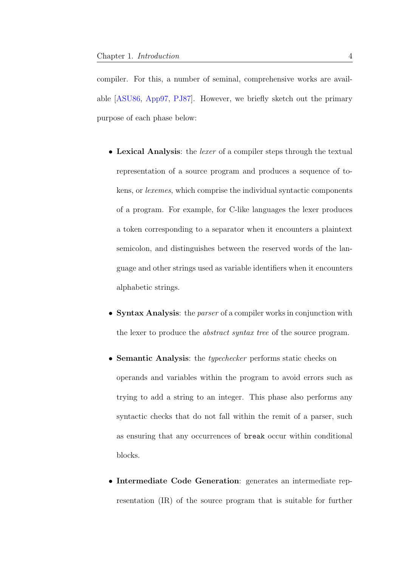compiler. For this, a number of seminal, comprehensive works are available [\[ASU86,](#page-202-1) [App97,](#page-201-3) [PJ87\]](#page-213-0). However, we briefly sketch out the primary purpose of each phase below:

- Lexical Analysis: the *lexer* of a compiler steps through the textual representation of a source program and produces a sequence of tokens, or lexemes, which comprise the individual syntactic components of a program. For example, for C-like languages the lexer produces a token corresponding to a separator when it encounters a plaintext semicolon, and distinguishes between the reserved words of the language and other strings used as variable identifiers when it encounters alphabetic strings.
- Syntax Analysis: the *parser* of a compiler works in conjunction with the lexer to produce the *abstract syntax tree* of the source program.
- Semantic Analysis: the typechecker performs static checks on operands and variables within the program to avoid errors such as trying to add a string to an integer. This phase also performs any syntactic checks that do not fall within the remit of a parser, such as ensuring that any occurrences of break occur within conditional blocks.
- Intermediate Code Generation: generates an intermediate representation (IR) of the source program that is suitable for further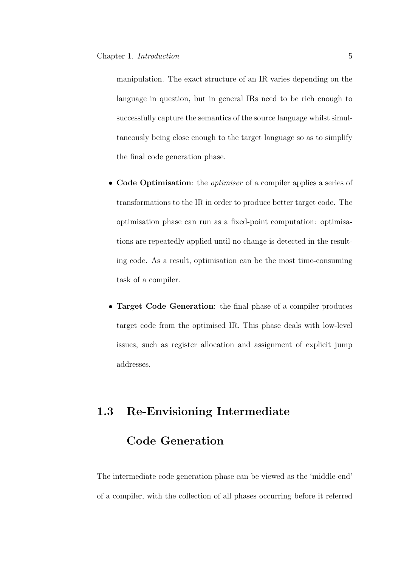manipulation. The exact structure of an IR varies depending on the language in question, but in general IRs need to be rich enough to successfully capture the semantics of the source language whilst simultaneously being close enough to the target language so as to simplify the final code generation phase.

- Code Optimisation: the *optimiser* of a compiler applies a series of transformations to the IR in order to produce better target code. The optimisation phase can run as a fixed-point computation: optimisations are repeatedly applied until no change is detected in the resulting code. As a result, optimisation can be the most time-consuming task of a compiler.
- Target Code Generation: the final phase of a compiler produces target code from the optimised IR. This phase deals with low-level issues, such as register allocation and assignment of explicit jump addresses.

## <span id="page-12-0"></span>1.3 Re-Envisioning Intermediate

## Code Generation

The intermediate code generation phase can be viewed as the 'middle-end' of a compiler, with the collection of all phases occurring before it referred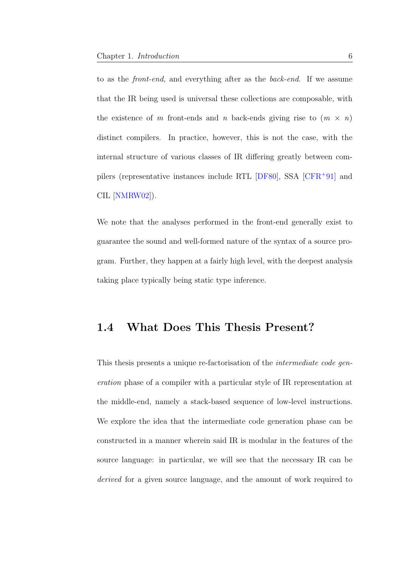to as the front-end, and everything after as the back-end. If we assume that the IR being used is universal these collections are composable, with the existence of m front-ends and n back-ends giving rise to  $(m \times n)$ distinct compilers. In practice, however, this is not the case, with the internal structure of various classes of IR differing greatly between compilers (representative instances include RTL [\[DF80\]](#page-205-0), SSA [\[CFR](#page-203-0)<sup>+</sup>91] and CIL [\[NMRW02\]](#page-212-0)).

We note that the analyses performed in the front-end generally exist to guarantee the sound and well-formed nature of the syntax of a source program. Further, they happen at a fairly high level, with the deepest analysis taking place typically being static type inference.

### <span id="page-13-0"></span>1.4 What Does This Thesis Present?

This thesis presents a unique re-factorisation of the intermediate code generation phase of a compiler with a particular style of IR representation at the middle-end, namely a stack-based sequence of low-level instructions. We explore the idea that the intermediate code generation phase can be constructed in a manner wherein said IR is modular in the features of the source language: in particular, we will see that the necessary IR can be derived for a given source language, and the amount of work required to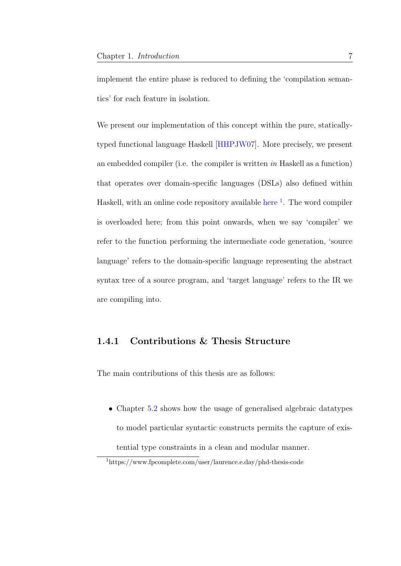implement the entire phase is reduced to defining the 'compilation semantics' for each feature in isolation.

We present our implementation of this concept within the pure, staticallytyped functional language Haskell [\[HHPJW07\]](#page-207-1). More precisely, we present an embedded compiler (i.e. the compiler is written in Haskell as a function) that operates over domain-specific languages (DSLs) also defined within Haskell, with an online code repository available [here](https://www.fpcomplete.com/user/laurence.e.day/phd-thesis-code) <sup>[1](#page-14-1)</sup>. The word compiler is overloaded here; from this point onwards, when we say 'compiler' we refer to the function performing the intermediate code generation, 'source language' refers to the domain-specific language representing the abstract syntax tree of a source program, and 'target language' refers to the IR we are compiling into.

### <span id="page-14-0"></span>1.4.1 Contributions & Thesis Structure

The main contributions of this thesis are as follows:

• Chapter [5.2](#page-98-0) shows how the usage of generalised algebraic datatypes to model particular syntactic constructs permits the capture of existential type constraints in a clean and modular manner.

<span id="page-14-1"></span><sup>1</sup>https://www.fpcomplete.com/user/laurence.e.day/phd-thesis-code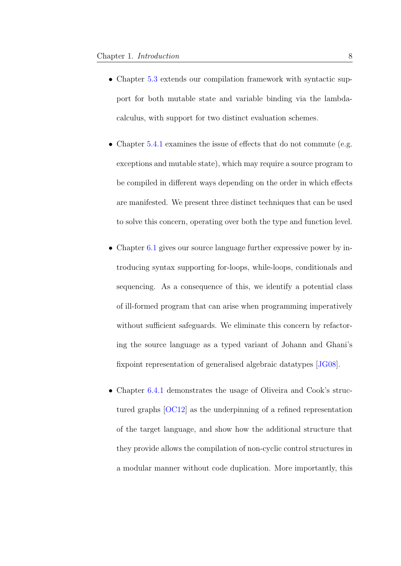- Chapter [5.3](#page-101-0) extends our compilation framework with syntactic support for both mutable state and variable binding via the lambdacalculus, with support for two distinct evaluation schemes.
- Chapter [5.4.1](#page-120-0) examines the issue of effects that do not commute (e.g. exceptions and mutable state), which may require a source program to be compiled in different ways depending on the order in which effects are manifested. We present three distinct techniques that can be used to solve this concern, operating over both the type and function level.
- Chapter [6.1](#page-134-0) gives our source language further expressive power by introducing syntax supporting for-loops, while-loops, conditionals and sequencing. As a consequence of this, we identify a potential class of ill-formed program that can arise when programming imperatively without sufficient safeguards. We eliminate this concern by refactoring the source language as a typed variant of Johann and Ghani's fixpoint representation of generalised algebraic datatypes [\[JG08\]](#page-208-0).
- Chapter [6.4.1](#page-159-0) demonstrates the usage of Oliveira and Cook's structured graphs [\[OC12\]](#page-213-1) as the underpinning of a refined representation of the target language, and show how the additional structure that they provide allows the compilation of non-cyclic control structures in a modular manner without code duplication. More importantly, this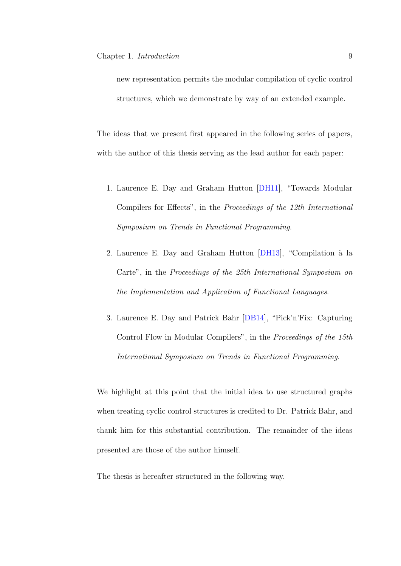new representation permits the modular compilation of cyclic control structures, which we demonstrate by way of an extended example.

The ideas that we present first appeared in the following series of papers, with the author of this thesis serving as the lead author for each paper:

- 1. Laurence E. Day and Graham Hutton [\[DH11\]](#page-205-1), "Towards Modular Compilers for Effects", in the Proceedings of the 12th International Symposium on Trends in Functional Programming.
- 2. Laurence E. Day and Graham Hutton [\[DH13\]](#page-205-2), "Compilation à la Carte", in the Proceedings of the 25th International Symposium on the Implementation and Application of Functional Languages.
- 3. Laurence E. Day and Patrick Bahr [\[DB14\]](#page-205-3), "Pick'n'Fix: Capturing Control Flow in Modular Compilers", in the Proceedings of the 15th International Symposium on Trends in Functional Programming.

We highlight at this point that the initial idea to use structured graphs when treating cyclic control structures is credited to Dr. Patrick Bahr, and thank him for this substantial contribution. The remainder of the ideas presented are those of the author himself.

The thesis is hereafter structured in the following way.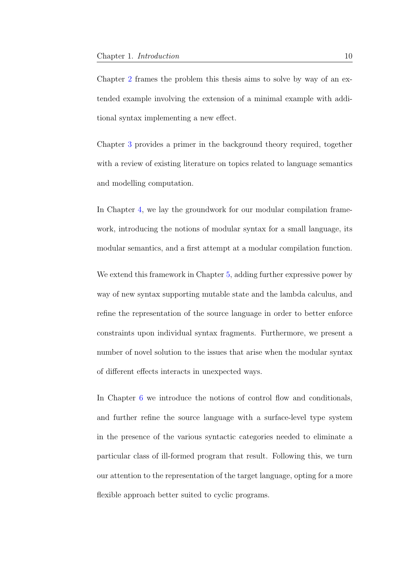Chapter [2](#page-19-0) frames the problem this thesis aims to solve by way of an extended example involving the extension of a minimal example with additional syntax implementing a new effect.

Chapter [3](#page-29-0) provides a primer in the background theory required, together with a review of existing literature on topics related to language semantics and modelling computation.

In Chapter [4,](#page-74-0) we lay the groundwork for our modular compilation framework, introducing the notions of modular syntax for a small language, its modular semantics, and a first attempt at a modular compilation function.

We extend this framework in Chapter [5,](#page-95-0) adding further expressive power by way of new syntax supporting mutable state and the lambda calculus, and refine the representation of the source language in order to better enforce constraints upon individual syntax fragments. Furthermore, we present a number of novel solution to the issues that arise when the modular syntax of different effects interacts in unexpected ways.

In Chapter [6](#page-133-0) we introduce the notions of control flow and conditionals, and further refine the source language with a surface-level type system in the presence of the various syntactic categories needed to eliminate a particular class of ill-formed program that result. Following this, we turn our attention to the representation of the target language, opting for a more flexible approach better suited to cyclic programs.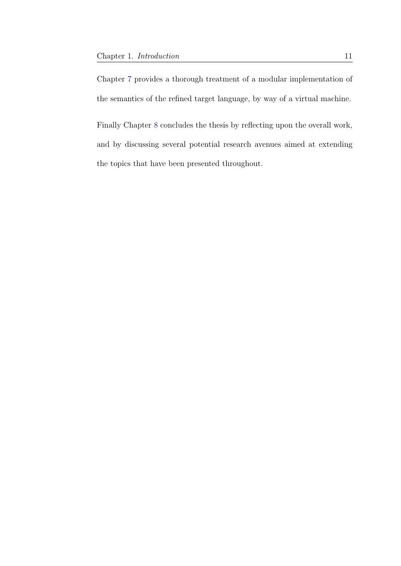Chapter [7](#page-174-0) provides a thorough treatment of a modular implementation of the semantics of the refined target language, by way of a virtual machine.

Finally Chapter [8](#page-191-0) concludes the thesis by reflecting upon the overall work, and by discussing several potential research avenues aimed at extending the topics that have been presented throughout.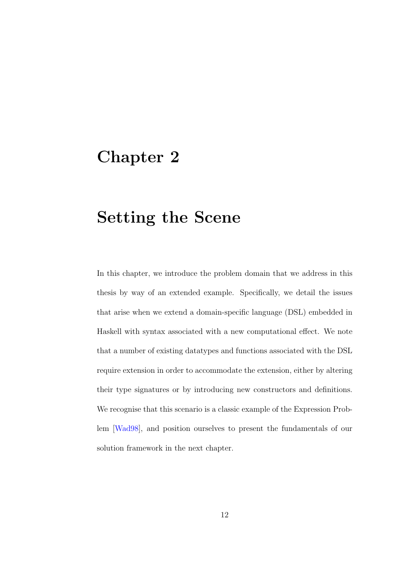## <span id="page-19-0"></span>Chapter 2

# Setting the Scene

In this chapter, we introduce the problem domain that we address in this thesis by way of an extended example. Specifically, we detail the issues that arise when we extend a domain-specific language (DSL) embedded in Haskell with syntax associated with a new computational effect. We note that a number of existing datatypes and functions associated with the DSL require extension in order to accommodate the extension, either by altering their type signatures or by introducing new constructors and definitions. We recognise that this scenario is a classic example of the Expression Problem [\[Wad98\]](#page-217-0), and position ourselves to present the fundamentals of our solution framework in the next chapter.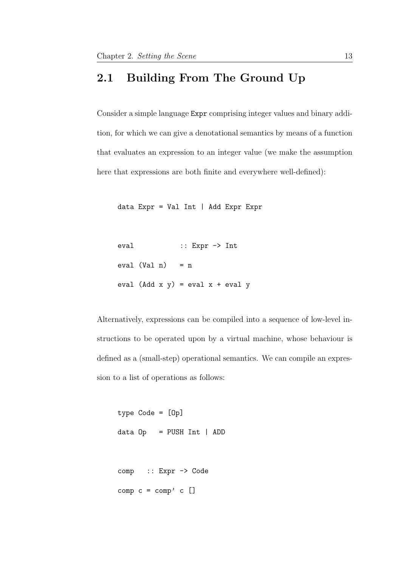### <span id="page-20-0"></span>2.1 Building From The Ground Up

Consider a simple language Expr comprising integer values and binary addition, for which we can give a denotational semantics by means of a function that evaluates an expression to an integer value (we make the assumption here that expressions are both finite and everywhere well-defined):

data Expr = Val Int | Add Expr Expr

```
eval :: Expr -> Int
eval (Va1 n) = neval (Add x y) = eval x + eval y
```
Alternatively, expressions can be compiled into a sequence of low-level instructions to be operated upon by a virtual machine, whose behaviour is defined as a (small-step) operational semantics. We can compile an expression to a list of operations as follows:

```
type Code = [Op]
data Op = PUSH Int | ADD
comp :: Expr -> Code
comp c = comp' c []
```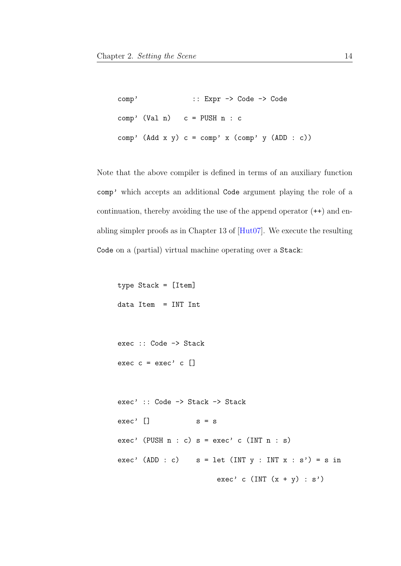```
comp' :: Expr -> Code -> Code
comp' (Val n) c = PUSH n : c
comp' (Add x y) c = comp' x (comp' y (ADD : c))
```
Note that the above compiler is defined in terms of an auxiliary function comp' which accepts an additional Code argument playing the role of a continuation, thereby avoiding the use of the append operator  $(++)$  and enabling simpler proofs as in Chapter 13 of [\[Hut07\]](#page-207-2). We execute the resulting Code on a (partial) virtual machine operating over a Stack:

type Stack = [Item] data Item = INT Int

exec :: Code -> Stack exec  $c = exec$ ,  $c$  []

```
exec' :: Code -> Stack -> Stack
exec' \Box s = sexec' (PUSH n : c) s = exec' c (INT n : s)
exec' (ADD : c) s = \text{let (INT } y : \text{INT } x : s') = s \text{ in}exec' c (INT (x + y) : s')
```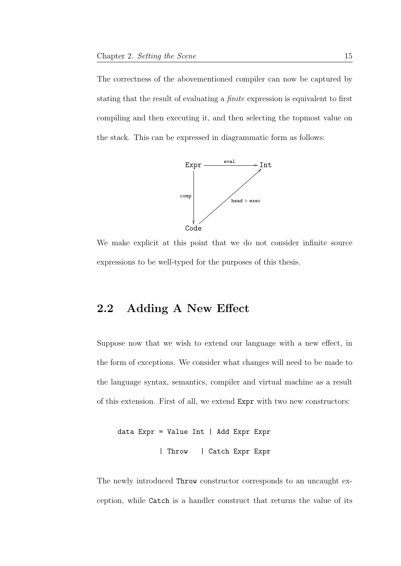The correctness of the abovementioned compiler can now be captured by stating that the result of evaluating a *finite* expression is equivalent to first compiling and then executing it, and then selecting the topmost value on the stack. This can be expressed in diagrammatic form as follows:



We make explicit at this point that we do not consider infinite source expressions to be well-typed for the purposes of this thesis.

## <span id="page-22-0"></span>2.2 Adding A New Effect

Suppose now that we wish to extend our language with a new effect, in the form of exceptions. We consider what changes will need to be made to the language syntax, semantics, compiler and virtual machine as a result of this extension. First of all, we extend Expr with two new constructors:

```
data Expr = Value Int | Add Expr Expr
          | Throw | Catch Expr Expr
```
The newly introduced Throw constructor corresponds to an uncaught exception, while Catch is a handler construct that returns the value of its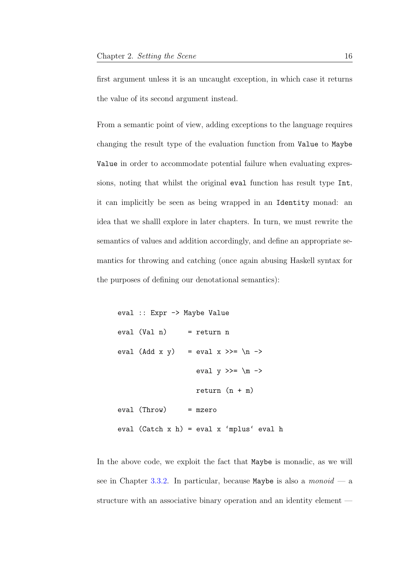first argument unless it is an uncaught exception, in which case it returns the value of its second argument instead.

From a semantic point of view, adding exceptions to the language requires changing the result type of the evaluation function from Value to Maybe Value in order to accommodate potential failure when evaluating expressions, noting that whilst the original eval function has result type Int, it can implicitly be seen as being wrapped in an Identity monad: an idea that we shalll explore in later chapters. In turn, we must rewrite the semantics of values and addition accordingly, and define an appropriate semantics for throwing and catching (once again abusing Haskell syntax for the purposes of defining our denotational semantics):

```
eval :: Expr -> Maybe Value
eval (Val n) = return neval (Add x y) = eval x >>= \n\alpha ->
                    eval y \gg = \mtext{m} \rightarrowreturn (n + m)
eval (Throw) = mzero
eval (Catch x h) = eval x 'mplus' eval h
```
In the above code, we exploit the fact that Maybe is monadic, as we will see in Chapter [3.3.2.](#page-39-0) In particular, because Maybe is also a *monoid* — a structure with an associative binary operation and an identity element —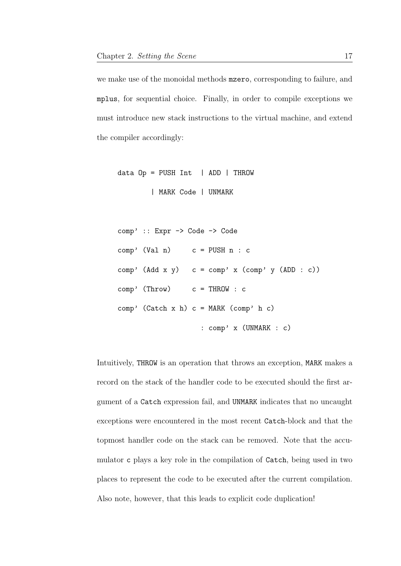we make use of the monoidal methods mzero, corresponding to failure, and mplus, for sequential choice. Finally, in order to compile exceptions we must introduce new stack instructions to the virtual machine, and extend the compiler accordingly:

```
data Op = PUSH Int | ADD | THEOW| MARK Code | UNMARK
```

```
comp' :: Expr -> Code -> Code
comp' (Val n) c = PUSH n : ccomp' (Add x y) c = comp' x (comp' y (ADD : c))
comp' (Throw) c = THROW : c
comp' (Catch x h) c = MARK (comp' h c)
                   : comp' x (UNMARK : c)
```
Intuitively, THROW is an operation that throws an exception, MARK makes a record on the stack of the handler code to be executed should the first argument of a Catch expression fail, and UNMARK indicates that no uncaught exceptions were encountered in the most recent Catch-block and that the topmost handler code on the stack can be removed. Note that the accumulator c plays a key role in the compilation of Catch, being used in two places to represent the code to be executed after the current compilation. Also note, however, that this leads to explicit code duplication!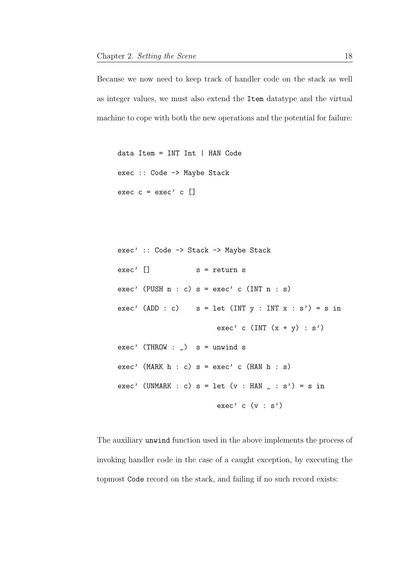Because we now need to keep track of handler code on the stack as well as integer values, we must also extend the Item datatype and the virtual machine to cope with both the new operations and the potential for failure:

```
data Item = INT Int | HAN Code
exec :: Code -> Maybe Stack
exec c = exec' c []
```

```
exec' :: Code -> Stack -> Maybe Stack
exec' [] s = return sexec' (PUSH n : c) s = exec c (INT n : s)
exec' (ADD : c) s = \text{let (INT } y : \text{INT } x : s') = s \text{ in}exec' c (INT (x + y) : s')exec' (THROW : _) s = unwind s
exec' (MARK h : c) s = exec c (HAN h : s)
exec' (UNMARK : c) s = \text{let} (v : \text{HAN} \_, s') = s in
                         exec' c (v : s')
```
The auxiliary unwind function used in the above implements the process of invoking handler code in the case of a caught exception, by executing the topmost Code record on the stack, and failing if no such record exists: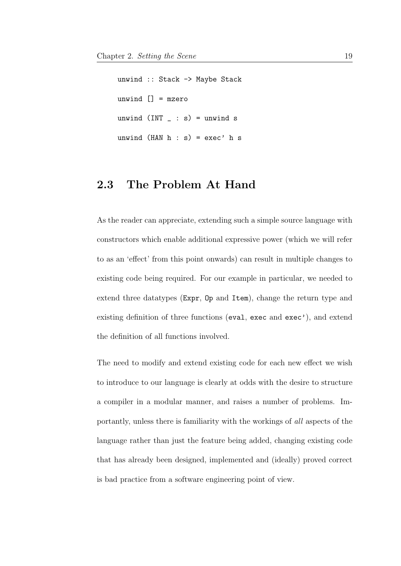unwind :: Stack -> Maybe Stack unwind  $[] = mzero$ unwind  $(INT \_ : s) =$  unwind s unwind  $(HAN h : s) = exec' h s$ 

### <span id="page-26-0"></span>2.3 The Problem At Hand

As the reader can appreciate, extending such a simple source language with constructors which enable additional expressive power (which we will refer to as an 'effect' from this point onwards) can result in multiple changes to existing code being required. For our example in particular, we needed to extend three datatypes (Expr, Op and Item), change the return type and existing definition of three functions (eval, exec and exec'), and extend the definition of all functions involved.

The need to modify and extend existing code for each new effect we wish to introduce to our language is clearly at odds with the desire to structure a compiler in a modular manner, and raises a number of problems. Importantly, unless there is familiarity with the workings of all aspects of the language rather than just the feature being added, changing existing code that has already been designed, implemented and (ideally) proved correct is bad practice from a software engineering point of view.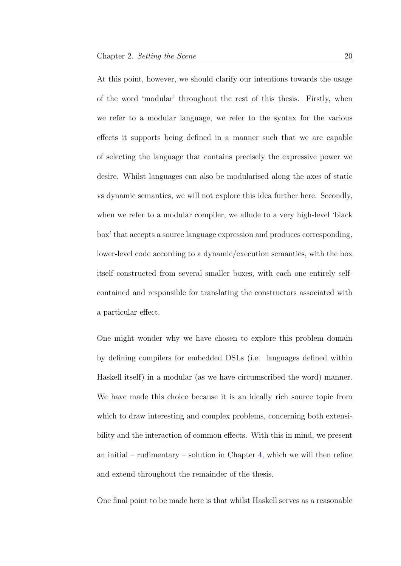At this point, however, we should clarify our intentions towards the usage of the word 'modular' throughout the rest of this thesis. Firstly, when we refer to a modular language, we refer to the syntax for the various effects it supports being defined in a manner such that we are capable of selecting the language that contains precisely the expressive power we desire. Whilst languages can also be modularised along the axes of static vs dynamic semantics, we will not explore this idea further here. Secondly, when we refer to a modular compiler, we allude to a very high-level 'black box' that accepts a source language expression and produces corresponding, lower-level code according to a dynamic/execution semantics, with the box itself constructed from several smaller boxes, with each one entirely selfcontained and responsible for translating the constructors associated with a particular effect.

One might wonder why we have chosen to explore this problem domain by defining compilers for embedded DSLs (i.e. languages defined within Haskell itself) in a modular (as we have circumscribed the word) manner. We have made this choice because it is an ideally rich source topic from which to draw interesting and complex problems, concerning both extensibility and the interaction of common effects. With this in mind, we present an initial – rudimentary – solution in Chapter [4,](#page-74-0) which we will then refine and extend throughout the remainder of the thesis.

One final point to be made here is that whilst Haskell serves as a reasonable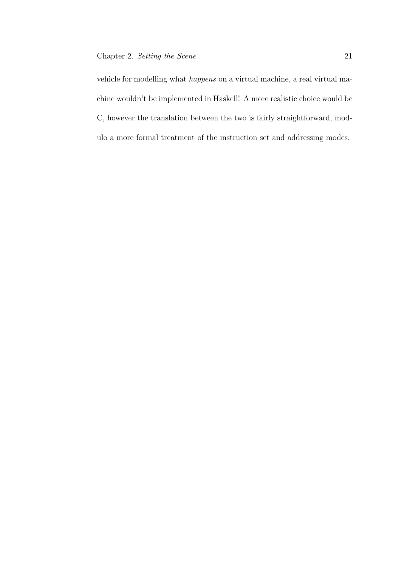vehicle for modelling what happens on a virtual machine, a real virtual machine wouldn't be implemented in Haskell! A more realistic choice would be C, however the translation between the two is fairly straightforward, modulo a more formal treatment of the instruction set and addressing modes.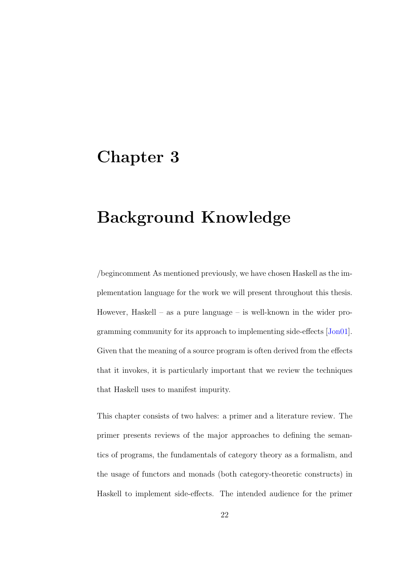## <span id="page-29-0"></span>Chapter 3

# Background Knowledge

/begincomment As mentioned previously, we have chosen Haskell as the implementation language for the work we will present throughout this thesis. However, Haskell – as a pure language – is well-known in the wider programming community for its approach to implementing side-effects [\[Jon01\]](#page-209-0). Given that the meaning of a source program is often derived from the effects that it invokes, it is particularly important that we review the techniques that Haskell uses to manifest impurity.

This chapter consists of two halves: a primer and a literature review. The primer presents reviews of the major approaches to defining the semantics of programs, the fundamentals of category theory as a formalism, and the usage of functors and monads (both category-theoretic constructs) in Haskell to implement side-effects. The intended audience for the primer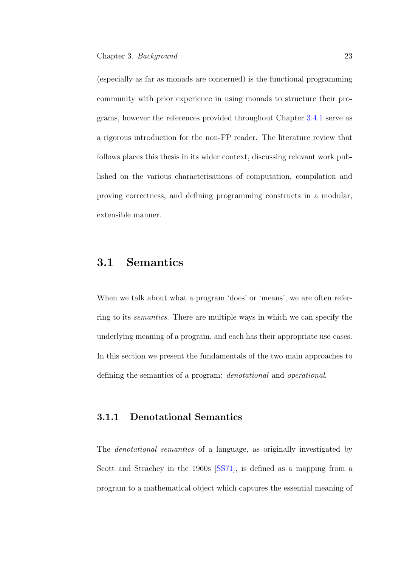(especially as far as monads are concerned) is the functional programming community with prior experience in using monads to structure their programs, however the references provided throughout Chapter [3.4.1](#page-44-0) serve as a rigorous introduction for the non-FP reader. The literature review that follows places this thesis in its wider context, discussing relevant work published on the various characterisations of computation, compilation and proving correctness, and defining programming constructs in a modular, extensible manner.

## <span id="page-30-0"></span>3.1 Semantics

When we talk about what a program 'does' or 'means', we are often referring to its semantics. There are multiple ways in which we can specify the underlying meaning of a program, and each has their appropriate use-cases. In this section we present the fundamentals of the two main approaches to defining the semantics of a program: denotational and operational.

### <span id="page-30-1"></span>3.1.1 Denotational Semantics

The denotational semantics of a language, as originally investigated by Scott and Strachey in the 1960s [\[SS71\]](#page-215-0), is defined as a mapping from a program to a mathematical object which captures the essential meaning of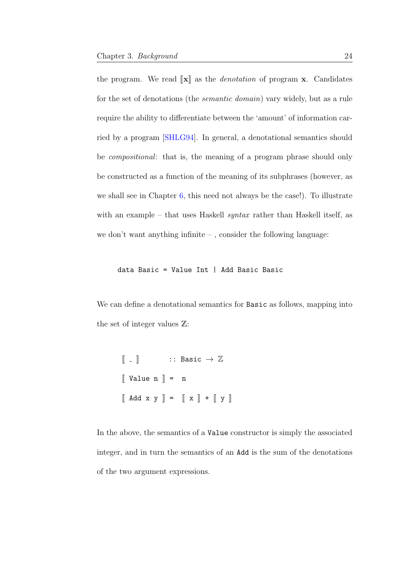the program. We read  $\llbracket \mathbf{x} \rrbracket$  as the *denotation* of program **x**. Candidates for the set of denotations (the semantic domain) vary widely, but as a rule require the ability to differentiate between the 'amount' of information carried by a program [\[SHLG94\]](#page-215-1). In general, a denotational semantics should be compositional: that is, the meaning of a program phrase should only be constructed as a function of the meaning of its subphrases (however, as we shall see in Chapter [6,](#page-133-0) this need not always be the case!). To illustrate with an example – that uses Haskell *syntax* rather than Haskell itself, as we don't want anything infinite – , consider the following language:

data Basic = Value Int | Add Basic Basic

We can define a denotational semantics for Basic as follows, mapping into the set of integer values Z:

```
\llbracket - \rrbracket :: Basic \rightarrow \mathbb{Z}\left[\begin{array}{cc} \nV \text{value} & n \end{array}\right] = n\begin{bmatrix} \end{bmatrix} Add x y \begin{bmatrix} \end{bmatrix} = \begin{bmatrix} \end{bmatrix} x \begin{bmatrix} \end{bmatrix} + \begin{bmatrix} \end{bmatrix} y \begin{bmatrix} \end{bmatrix}
```
In the above, the semantics of a Value constructor is simply the associated integer, and in turn the semantics of an Add is the sum of the denotations of the two argument expressions.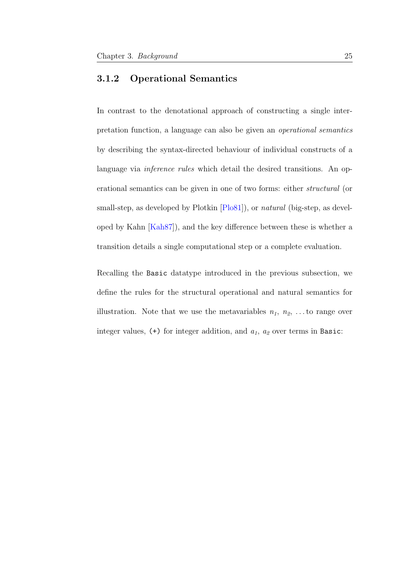#### <span id="page-32-0"></span>3.1.2 Operational Semantics

In contrast to the denotational approach of constructing a single interpretation function, a language can also be given an operational semantics by describing the syntax-directed behaviour of individual constructs of a language via *inference rules* which detail the desired transitions. An operational semantics can be given in one of two forms: either structural (or small-step, as developed by Plotkin  $[P<sub>1</sub>081]$ ), or *natural* (big-step, as developed by Kahn [\[Kah87\]](#page-209-1)), and the key difference between these is whether a transition details a single computational step or a complete evaluation.

Recalling the Basic datatype introduced in the previous subsection, we define the rules for the structural operational and natural semantics for illustration. Note that we use the metavariables  $n_1, n_2, \ldots$  to range over integer values,  $(+)$  for integer addition, and  $a_1$ ,  $a_2$  over terms in Basic: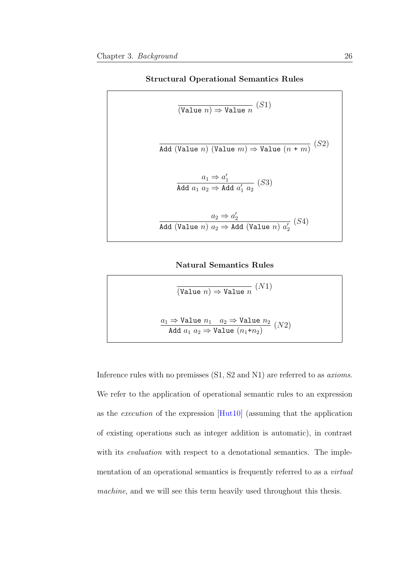#### Structural Operational Semantics Rules

$$
\overline{(\text{Value } n)} \Rightarrow \text{Value } n \quad (S1)
$$
\n
$$
\overline{\text{Add (Value } n) \quad (\text{Value } m) \Rightarrow \text{Value } (n + m)} \quad (S2)
$$
\n
$$
\frac{a_1 \Rightarrow a'_1}{\text{Add } a_1 \ a_2 \Rightarrow \text{Add } a'_1 \ a_2} \quad (S3)
$$
\n
$$
\frac{a_2 \Rightarrow a'_2}{\text{Add (Value } n) \ a_2 \Rightarrow \text{Add (Value } n) \ a'_2} \quad (S4)
$$

#### Natural Semantics Rules

$$
\overline{(\text{Value } n)} \Rightarrow \text{Value } n \quad (N1)
$$
\n
$$
\underline{a_1} \Rightarrow \text{Value } n_1 \quad a_2 \Rightarrow \text{Value } n_2 \quad (N2)
$$
\nAdd  $a_1 a_2 \Rightarrow \text{Value } (n_1+n_2)$ 

Inference rules with no premisses (S1, S2 and N1) are referred to as axioms. We refer to the application of operational semantic rules to an expression as the execution of the expression [\[Hut10\]](#page-208-1) (assuming that the application of existing operations such as integer addition is automatic), in contrast with its *evaluation* with respect to a denotational semantics. The implementation of an operational semantics is frequently referred to as a *virtual* machine, and we will see this term heavily used throughout this thesis.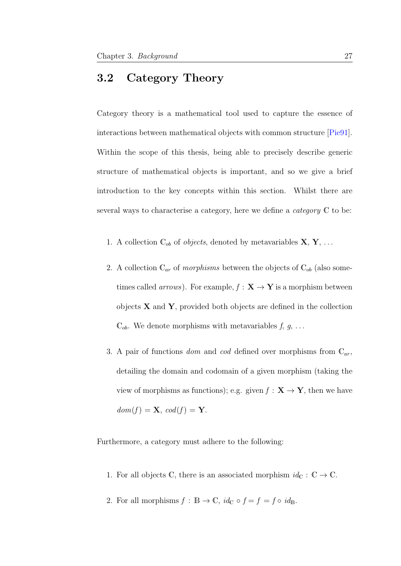## <span id="page-34-0"></span>3.2 Category Theory

Category theory is a mathematical tool used to capture the essence of interactions between mathematical objects with common structure [\[Pie91\]](#page-213-3). Within the scope of this thesis, being able to precisely describe generic structure of mathematical objects is important, and so we give a brief introduction to the key concepts within this section. Whilst there are several ways to characterise a category, here we define a *category*  $\mathbb C$  to be:

- 1. A collection  $\mathbb{C}_{ob}$  of *objects*, denoted by metavariables  $\mathbf{X}, \mathbf{Y}, \ldots$
- 2. A collection  $\mathbb{C}_{ar}$  of *morphisms* between the objects of  $\mathbb{C}_{ob}$  (also sometimes called *arrows*). For example,  $f : \mathbf{X} \to \mathbf{Y}$  is a morphism between objects  $X$  and  $Y$ , provided both objects are defined in the collection  $\mathbb{C}_{ob}$ . We denote morphisms with metavariables  $f, g, \ldots$
- 3. A pair of functions dom and cod defined over morphisms from  $\mathbb{C}_{ar}$ , detailing the domain and codomain of a given morphism (taking the view of morphisms as functions); e.g. given  $f : \mathbf{X} \to \mathbf{Y}$ , then we have  $dom(f) = \mathbf{X}, cod(f) = \mathbf{Y}.$

Furthermore, a category must adhere to the following:

- 1. For all objects C, there is an associated morphism  $id_{\mathbb{C}} : \mathbb{C} \to \mathbb{C}$ .
- 2. For all morphisms  $f : \mathbb{B} \to \mathbb{C}$ ,  $id_{\mathbb{C}} \circ f = f = f \circ id_{\mathbb{B}}$ .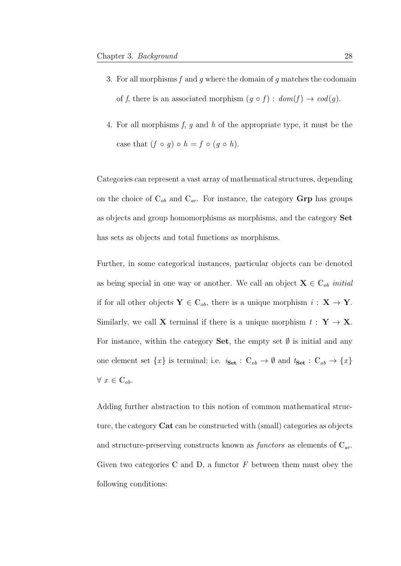- 3. For all morphisms  $f$  and  $g$  where the domain of  $g$  matches the codomain of f, there is an associated morphism  $(g \circ f) : dom(f) \to cod(g)$ .
- 4. For all morphisms  $f, g$  and  $h$  of the appropriate type, it must be the case that  $(f \circ g) \circ h = f \circ (g \circ h)$ .

Categories can represent a vast array of mathematical structures, depending on the choice of  $\mathbb{C}_{ob}$  and  $\mathbb{C}_{ar}$ . For instance, the category **Grp** has groups as objects and group homomorphisms as morphisms, and the category Set has sets as objects and total functions as morphisms.

Further, in some categorical instances, particular objects can be denoted as being special in one way or another. We call an object  $\mathbf{X} \in \mathbb{C}_{ob}$  initial if for all other objects  $Y \in \mathbb{C}_{ob}$ , there is a unique morphism  $i : X \to Y$ . Similarly, we call **X** terminal if there is a unique morphism  $t : Y \to X$ . For instance, within the category Set, the empty set  $\emptyset$  is initial and any one element set  $\{x\}$  is terminal; i.e.  $i_{\text{Set}} : \mathbb{C}_{ob} \to \emptyset$  and  $t_{\text{Set}} : \mathbb{C}_{ob} \to \{x\}$  $\forall x \in \mathbb{C}_{ob}.$ 

Adding further abstraction to this notion of common mathematical structure, the category Cat can be constructed with (small) categories as objects and structure-preserving constructs known as *functors* as elements of  $\mathbb{C}_{ar}$ . Given two categories  $\mathbb C$  and  $\mathbb D$ , a functor  $F$  between them must obey the following conditions: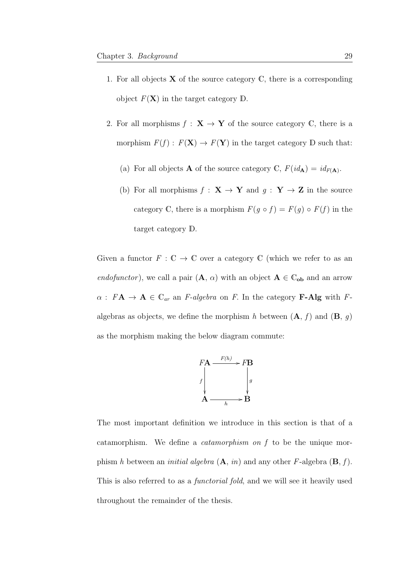- 1. For all objects  $X$  of the source category  $C$ , there is a corresponding object  $F(\mathbf{X})$  in the target category  $\mathbb{D}$ .
- 2. For all morphisms  $f : \mathbf{X} \to \mathbf{Y}$  of the source category C, there is a morphism  $F(f) : F(\mathbf{X}) \to F(\mathbf{Y})$  in the target category D such that:
	- (a) For all objects **A** of the source category C,  $F(id_A) = id_{F(A)}$ .
	- (b) For all morphisms  $f : \mathbf{X} \to \mathbf{Y}$  and  $g : \mathbf{Y} \to \mathbf{Z}$  in the source category C, there is a morphism  $F(g \circ f) = F(g) \circ F(f)$  in the target category D.

Given a functor  $F: \mathbb{C} \to \mathbb{C}$  over a category  $\mathbb{C}$  (which we refer to as an endofunctor), we call a pair  $(A, \alpha)$  with an object  $A \in \mathbb{C}_{ob}$  and an arrow  $\alpha$ :  $FA \rightarrow \mathbf{A} \in \mathbb{C}_{ar}$  an *F-algebra* on *F*. In the category **F-Alg** with *F*algebras as objects, we define the morphism h between  $(A, f)$  and  $(B, g)$ as the morphism making the below diagram commute:



The most important definition we introduce in this section is that of a catamorphism. We define a catamorphism on f to be the unique morphism h between an *initial algebra*  $(A, in)$  and any other F-algebra  $(B, f)$ . This is also referred to as a functorial fold, and we will see it heavily used throughout the remainder of the thesis.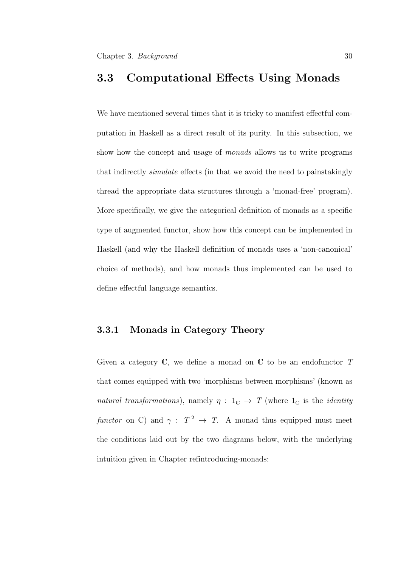## 3.3 Computational Effects Using Monads

We have mentioned several times that it is tricky to manifest effectful computation in Haskell as a direct result of its purity. In this subsection, we show how the concept and usage of *monads* allows us to write programs that indirectly simulate effects (in that we avoid the need to painstakingly thread the appropriate data structures through a 'monad-free' program). More specifically, we give the categorical definition of monads as a specific type of augmented functor, show how this concept can be implemented in Haskell (and why the Haskell definition of monads uses a 'non-canonical' choice of methods), and how monads thus implemented can be used to define effectful language semantics.

## 3.3.1 Monads in Category Theory

Given a category  $\mathbb C$ , we define a monad on  $\mathbb C$  to be an endofunctor  $T$ that comes equipped with two 'morphisms between morphisms' (known as natural transformations), namely  $\eta : 1_{\mathbb{C}} \to T$  (where  $1_{\mathbb{C}}$  is the *identity* functor on C) and  $\gamma: T^2 \to T$ . A monad thus equipped must meet the conditions laid out by the two diagrams below, with the underlying intuition given in Chapter refintroducing-monads: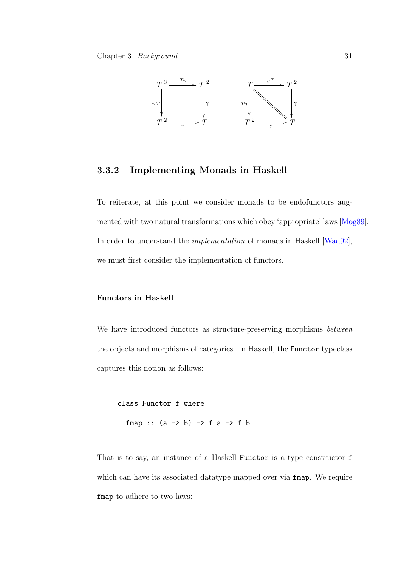

## 3.3.2 Implementing Monads in Haskell

To reiterate, at this point we consider monads to be endofunctors augmented with two natural transformations which obey 'appropriate' laws [\[Mog89\]](#page-211-0). In order to understand the implementation of monads in Haskell [\[Wad92\]](#page-216-0), we must first consider the implementation of functors.

#### Functors in Haskell

We have introduced functors as structure-preserving morphisms between the objects and morphisms of categories. In Haskell, the Functor typeclass captures this notion as follows:

class Functor f where fmap ::  $(a \rightarrow b) \rightarrow f a \rightarrow f b$ 

That is to say, an instance of a Haskell Functor is a type constructor f which can have its associated datatype mapped over via **fmap**. We require fmap to adhere to two laws: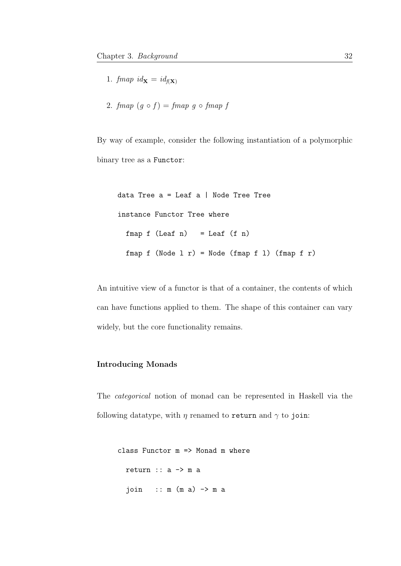- 1. fmap  $id_{\mathbf{X}} = id_{f(\mathbf{X})}$
- 2. fmap  $(g \circ f) = f$ map g  $\circ$  fmap f

By way of example, consider the following instantiation of a polymorphic binary tree as a Functor:

data Tree  $a =$  Leaf  $a \mid$  Node Tree Tree instance Functor Tree where  $fmap f (Leaf n) = Leaf (f n)$ fmap  $f$  (Node  $1 r$ ) = Node (fmap  $f$   $1$ ) (fmap  $f$   $r$ )

An intuitive view of a functor is that of a container, the contents of which can have functions applied to them. The shape of this container can vary widely, but the core functionality remains.

### Introducing Monads

The categorical notion of monad can be represented in Haskell via the following datatype, with  $\eta$  renamed to return and  $\gamma$  to join:

```
class Functor m => Monad m where
 return :: a -> m a
  join :: m(m a) -> m a
```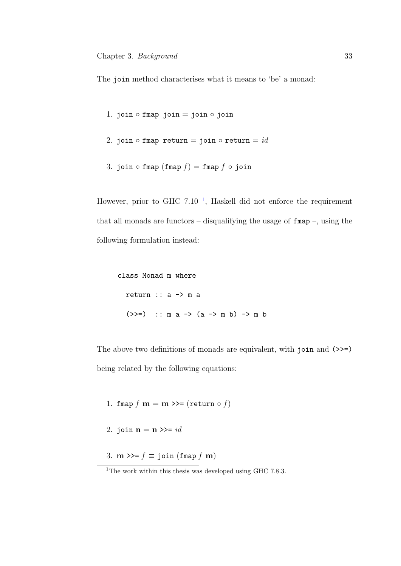The join method characterises what it means to 'be' a monad:

- 1. join  $\circ$  fmap join = join  $\circ$  join
- 2. join  $\circ$  fmap return = join  $\circ$  return = id
- 3. join fmap  $(fmap f) = fmap f \circ j \circ in$

However, prior to GHC 7.[1](#page-40-0)0<sup> $-1$ </sup>, Haskell did not enforce the requirement that all monads are functors – disqualifying the usage of  $fmap -$ , using the following formulation instead:

class Monad m where return :: a -> m a (>>=) :: m a -> (a -> m b) -> m b

The above two definitions of monads are equivalent, with join and  $(\gg=)$ being related by the following equations:

- 1. fmap  $f$  m = m >>= (return  $\circ$   $f$ )
- 2. join  $\mathbf{n} = \mathbf{n} \gg = id$
- 3.  $m \gg f \equiv$  join (fmap f m)

<span id="page-40-0"></span><sup>&</sup>lt;sup>1</sup>The work within this thesis was developed using GHC 7.8.3.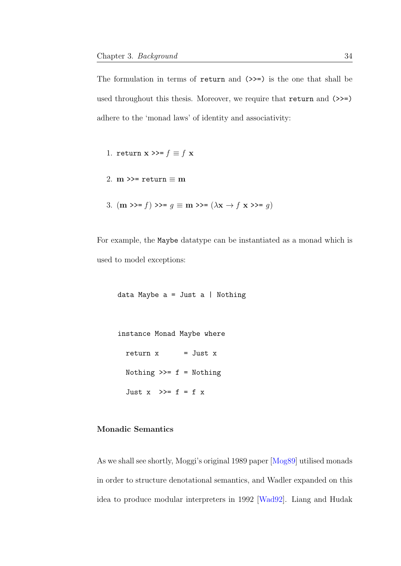The formulation in terms of return and  $(\gg)=$ ) is the one that shall be used throughout this thesis. Moreover, we require that return and  $(\gg=)$ adhere to the 'monad laws' of identity and associativity:

1. return  $\mathbf{x} \gg f \equiv f \mathbf{x}$ 

- 2. m >>= return  $\equiv$  m
- 3.  $(\mathbf{m} \gg f) \gg = g \equiv \mathbf{m} \gg = (\lambda \mathbf{x} \rightarrow f \mathbf{x} \gg = g)$

For example, the Maybe datatype can be instantiated as a monad which is used to model exceptions:

data Maybe  $a =$  Just  $a \mid$  Nothing

instance Monad Maybe where  $return x = Just x$ Nothing  $\gg=f$  = Nothing Just  $x \rightarrow 0$  = f = f x

## Monadic Semantics

As we shall see shortly, Moggi's original 1989 paper [\[Mog89\]](#page-211-0) utilised monads in order to structure denotational semantics, and Wadler expanded on this idea to produce modular interpreters in 1992 [\[Wad92\]](#page-216-0). Liang and Hudak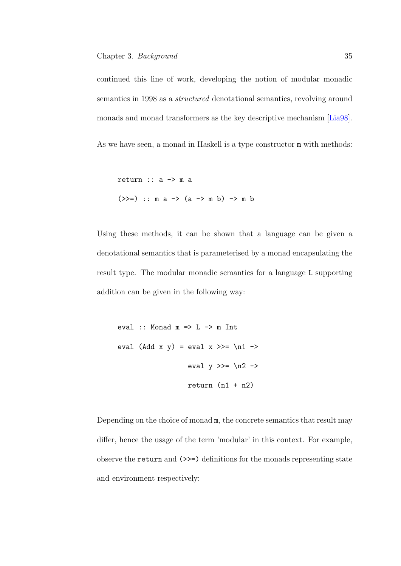continued this line of work, developing the notion of modular monadic semantics in 1998 as a structured denotational semantics, revolving around monads and monad transformers as the key descriptive mechanism [\[Lia98\]](#page-211-1).

As we have seen, a monad in Haskell is a type constructor  $m$  with methods:

return  $:: a \rightarrow m a$  $(\gg)=)$  :: m a -> (a -> m b) -> m b

Using these methods, it can be shown that a language can be given a denotational semantics that is parameterised by a monad encapsulating the result type. The modular monadic semantics for a language L supporting addition can be given in the following way:

```
eval :: Monad m \Rightarrow L \Rightarrow m Int
eval (Add x y) = eval x >>= \n1 ->
                       eval y \gg = \n\alpha^2 \rightarrowreturn (n1 + n2)
```
Depending on the choice of monad m, the concrete semantics that result may differ, hence the usage of the term 'modular' in this context. For example, observe the return and (>>=) definitions for the monads representing state and environment respectively: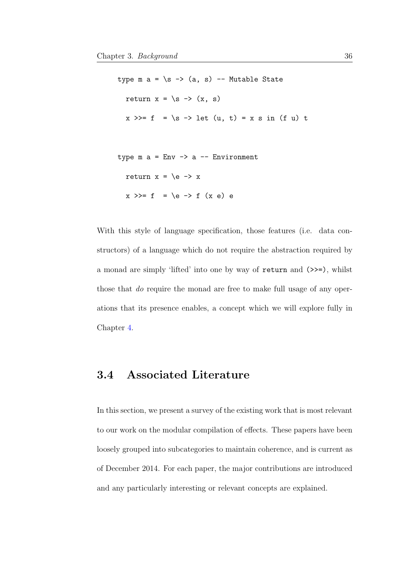type  $m a = \succeq s \rightarrow (a, s)$  -- Mutable State return  $x = \succeq s \rightarrow (x, s)$  $x \gg f = \simeq f$  =  $\pi$  -> let  $(u, t) = x s in (f u) t$ type  $m a = Env \rightarrow a -- Environment$ return  $x = \e -> x$  $x \gg = f = \le \neg$  f  $(x e) e$ 

With this style of language specification, those features (i.e. data constructors) of a language which do not require the abstraction required by a monad are simply 'lifted' into one by way of return and (>>=), whilst those that do require the monad are free to make full usage of any operations that its presence enables, a concept which we will explore fully in Chapter [4.](#page-74-0)

# 3.4 Associated Literature

In this section, we present a survey of the existing work that is most relevant to our work on the modular compilation of effects. These papers have been loosely grouped into subcategories to maintain coherence, and is current as of December 2014. For each paper, the major contributions are introduced and any particularly interesting or relevant concepts are explained.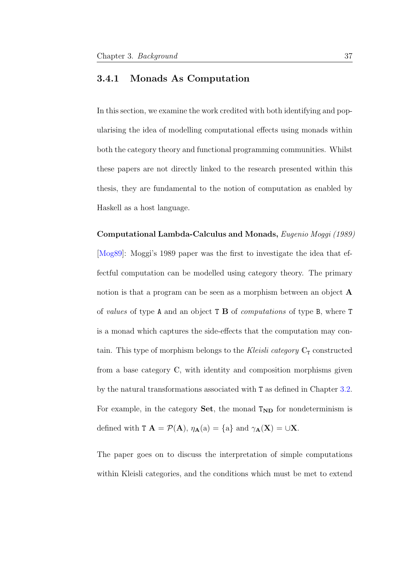## 3.4.1 Monads As Computation

In this section, we examine the work credited with both identifying and popularising the idea of modelling computational effects using monads within both the category theory and functional programming communities. Whilst these papers are not directly linked to the research presented within this thesis, they are fundamental to the notion of computation as enabled by Haskell as a host language.

Computational Lambda-Calculus and Monads, Eugenio Moggi (1989) [\[Mog89\]](#page-211-0): Moggi's 1989 paper was the first to investigate the idea that effectful computation can be modelled using category theory. The primary notion is that a program can be seen as a morphism between an object A of values of type A and an object T B of computations of type B, where T is a monad which captures the side-effects that the computation may contain. This type of morphism belongs to the Kleisli category  $\mathbb{C}_{\mathbb{T}}$  constructed from a base category C, with identity and composition morphisms given by the natural transformations associated with T as defined in Chapter [3.2.](#page-34-0) For example, in the category  $Set$ , the monad  $T_{ND}$  for nondeterminism is defined with  $T A = \mathcal{P}(A)$ ,  $\eta_{A}(a) = \{a\}$  and  $\gamma_{A}(X) = \cup X$ .

The paper goes on to discuss the interpretation of simple computations within Kleisli categories, and the conditions which must be met to extend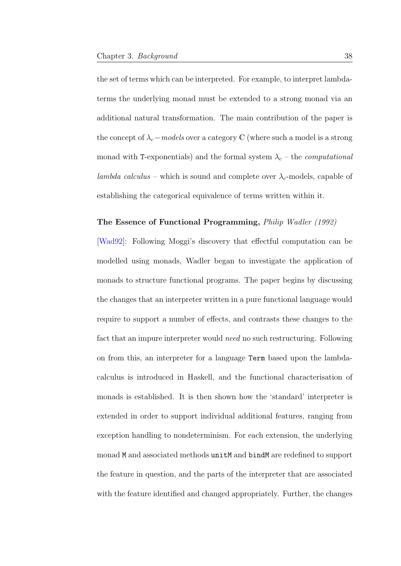the set of terms which can be interpreted. For example, to interpret lambdaterms the underlying monad must be extended to a strong monad via an additional natural transformation. The main contribution of the paper is the concept of  $\lambda_c$  – models over a category C (where such a model is a strong monad with T-exponentials) and the formal system  $\lambda_c$  – the *computational* lambda calculus – which is sound and complete over  $\lambda_c$ -models, capable of establishing the categorical equivalence of terms written within it.

#### The Essence of Functional Programming, Philip Wadler (1992)

[\[Wad92\]](#page-216-0): Following Moggi's discovery that effectful computation can be modelled using monads, Wadler began to investigate the application of monads to structure functional programs. The paper begins by discussing the changes that an interpreter written in a pure functional language would require to support a number of effects, and contrasts these changes to the fact that an impure interpreter would need no such restructuring. Following on from this, an interpreter for a language Term based upon the lambdacalculus is introduced in Haskell, and the functional characterisation of monads is established. It is then shown how the 'standard' interpreter is extended in order to support individual additional features, ranging from exception handling to nondeterminism. For each extension, the underlying monad M and associated methods unitM and bindM are redefined to support the feature in question, and the parts of the interpreter that are associated with the feature identified and changed appropriately. Further, the changes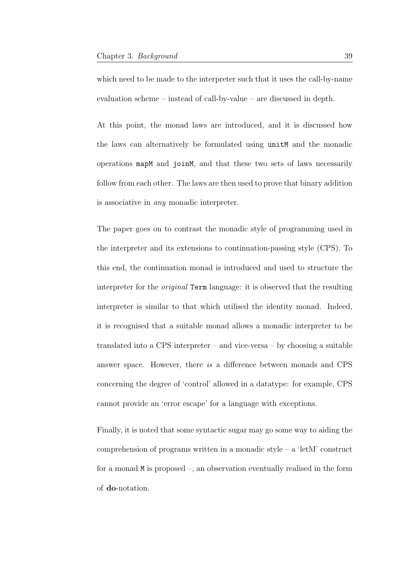which need to be made to the interpreter such that it uses the call-by-name evaluation scheme – instead of call-by-value – are discussed in depth.

At this point, the monad laws are introduced, and it is discussed how the laws can alternatively be formulated using unitM and the monadic operations mapM and joinM, and that these two sets of laws necessarily follow from each other. The laws are then used to prove that binary addition is associative in any monadic interpreter.

The paper goes on to contrast the monadic style of programming used in the interpreter and its extensions to continuation-passing style (CPS). To this end, the continuation monad is introduced and used to structure the interpreter for the original Term language: it is observed that the resulting interpreter is similar to that which utilised the identity monad. Indeed, it is recognised that a suitable monad allows a monadic interpreter to be translated into a CPS interpreter – and vice-versa – by choosing a suitable answer space. However, there is a difference between monads and CPS concerning the degree of 'control' allowed in a datatype: for example, CPS cannot provide an 'error escape' for a language with exceptions.

Finally, it is noted that some syntactic sugar may go some way to aiding the comprehension of programs written in a monadic style – a 'letM' construct for a monad M is proposed –, an observation eventually realised in the form of do-notation.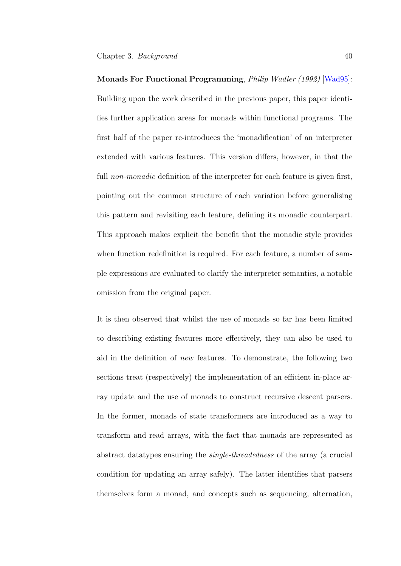Monads For Functional Programming, Philip Wadler (1992) [\[Wad95\]](#page-217-0): Building upon the work described in the previous paper, this paper identifies further application areas for monads within functional programs. The first half of the paper re-introduces the 'monadification' of an interpreter extended with various features. This version differs, however, in that the full *non-monadic* definition of the interpreter for each feature is given first, pointing out the common structure of each variation before generalising this pattern and revisiting each feature, defining its monadic counterpart. This approach makes explicit the benefit that the monadic style provides when function redefinition is required. For each feature, a number of sample expressions are evaluated to clarify the interpreter semantics, a notable omission from the original paper.

It is then observed that whilst the use of monads so far has been limited to describing existing features more effectively, they can also be used to aid in the definition of new features. To demonstrate, the following two sections treat (respectively) the implementation of an efficient in-place array update and the use of monads to construct recursive descent parsers. In the former, monads of state transformers are introduced as a way to transform and read arrays, with the fact that monads are represented as abstract datatypes ensuring the single-threadedness of the array (a crucial condition for updating an array safely). The latter identifies that parsers themselves form a monad, and concepts such as sequencing, alternation,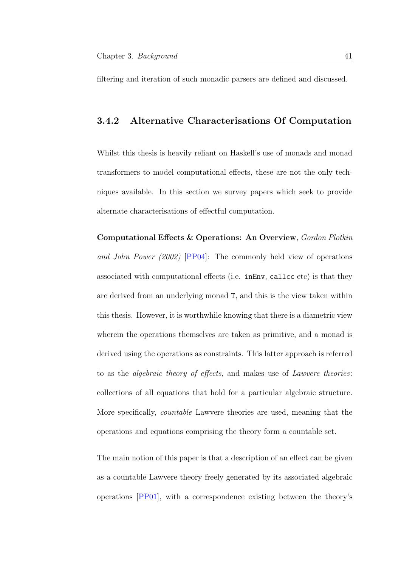filtering and iteration of such monadic parsers are defined and discussed.

## 3.4.2 Alternative Characterisations Of Computation

Whilst this thesis is heavily reliant on Haskell's use of monads and monad transformers to model computational effects, these are not the only techniques available. In this section we survey papers which seek to provide alternate characterisations of effectful computation.

Computational Effects & Operations: An Overview, Gordon Plotkin and John Power (2002) [\[PP04\]](#page-214-0): The commonly held view of operations associated with computational effects (i.e. inEnv, callcc etc) is that they are derived from an underlying monad T, and this is the view taken within this thesis. However, it is worthwhile knowing that there is a diametric view wherein the operations themselves are taken as primitive, and a monad is derived using the operations as constraints. This latter approach is referred to as the algebraic theory of effects, and makes use of Lawvere theories: collections of all equations that hold for a particular algebraic structure. More specifically, countable Lawvere theories are used, meaning that the operations and equations comprising the theory form a countable set.

The main notion of this paper is that a description of an effect can be given as a countable Lawvere theory freely generated by its associated algebraic operations [\[PP01\]](#page-213-0), with a correspondence existing between the theory's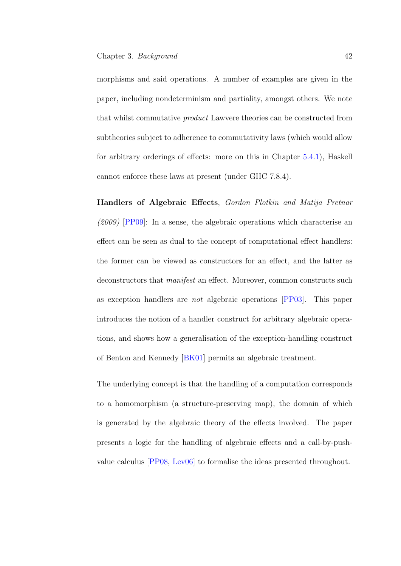morphisms and said operations. A number of examples are given in the paper, including nondeterminism and partiality, amongst others. We note that whilst commutative product Lawvere theories can be constructed from subtheories subject to adherence to commutativity laws (which would allow for arbitrary orderings of effects: more on this in Chapter [5.4.1\)](#page-120-0), Haskell cannot enforce these laws at present (under GHC 7.8.4).

Handlers of Algebraic Effects, Gordon Plotkin and Matija Pretnar  $(2009)$  [\[PP09\]](#page-214-1): In a sense, the algebraic operations which characterise an effect can be seen as dual to the concept of computational effect handlers: the former can be viewed as constructors for an effect, and the latter as deconstructors that *manifest* an effect. Moreover, common constructs such as exception handlers are not algebraic operations [\[PP03\]](#page-214-2). This paper introduces the notion of a handler construct for arbitrary algebraic operations, and shows how a generalisation of the exception-handling construct of Benton and Kennedy [\[BK01\]](#page-203-0) permits an algebraic treatment.

The underlying concept is that the handling of a computation corresponds to a homomorphism (a structure-preserving map), the domain of which is generated by the algebraic theory of the effects involved. The paper presents a logic for the handling of algebraic effects and a call-by-pushvalue calculus [\[PP08,](#page-214-3) [Lev06\]](#page-210-0) to formalise the ideas presented throughout.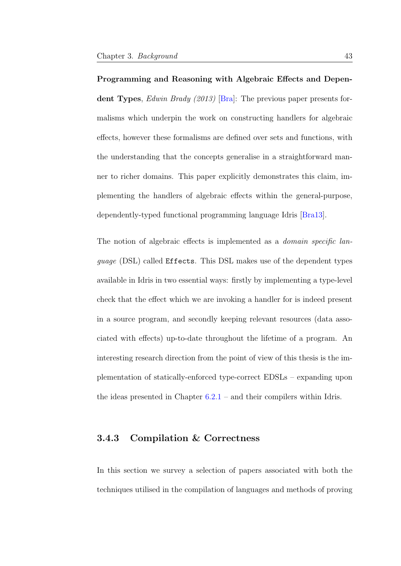Programming and Reasoning with Algebraic Effects and Depen-dent Types, Edwin Brady (2013) [\[Bra\]](#page-203-1): The previous paper presents formalisms which underpin the work on constructing handlers for algebraic effects, however these formalisms are defined over sets and functions, with the understanding that the concepts generalise in a straightforward manner to richer domains. This paper explicitly demonstrates this claim, implementing the handlers of algebraic effects within the general-purpose, dependently-typed functional programming language Idris [\[Bra13\]](#page-203-2).

The notion of algebraic effects is implemented as a *domain specific lan*guage (DSL) called Effects. This DSL makes use of the dependent types available in Idris in two essential ways: firstly by implementing a type-level check that the effect which we are invoking a handler for is indeed present in a source program, and secondly keeping relevant resources (data associated with effects) up-to-date throughout the lifetime of a program. An interesting research direction from the point of view of this thesis is the implementation of statically-enforced type-correct EDSLs – expanding upon the ideas presented in Chapter [6.2.1](#page-137-0) – and their compilers within Idris.

## 3.4.3 Compilation & Correctness

In this section we survey a selection of papers associated with both the techniques utilised in the compilation of languages and methods of proving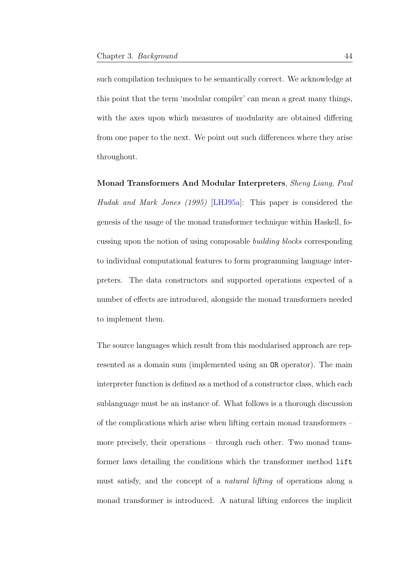such compilation techniques to be semantically correct. We acknowledge at this point that the term 'modular compiler' can mean a great many things, with the axes upon which measures of modularity are obtained differing from one paper to the next. We point out such differences where they arise throughout.

Monad Transformers And Modular Interpreters, Sheng Liang, Paul Hudak and Mark Jones (1995) [\[LHJ95a\]](#page-210-1): This paper is considered the genesis of the usage of the monad transformer technique within Haskell, focussing upon the notion of using composable building blocks corresponding to individual computational features to form programming language interpreters. The data constructors and supported operations expected of a number of effects are introduced, alongside the monad transformers needed to implement them.

The source languages which result from this modularised approach are represented as a domain sum (implemented using an OR operator). The main interpreter function is defined as a method of a constructor class, which each sublanguage must be an instance of. What follows is a thorough discussion of the complications which arise when lifting certain monad transformers – more precisely, their operations – through each other. Two monad transformer laws detailing the conditions which the transformer method lift must satisfy, and the concept of a natural lifting of operations along a monad transformer is introduced. A natural lifting enforces the implicit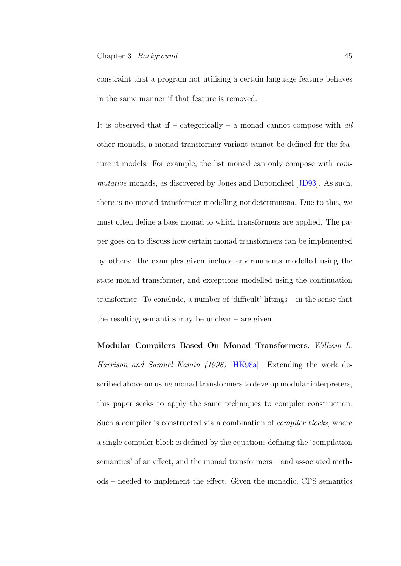constraint that a program not utilising a certain language feature behaves in the same manner if that feature is removed.

It is observed that if – categorically – a monad cannot compose with  $all$ other monads, a monad transformer variant cannot be defined for the feature it models. For example, the list monad can only compose with commutative monads, as discovered by Jones and Duponcheel [\[JD93\]](#page-208-0). As such, there is no monad transformer modelling nondeterminism. Due to this, we must often define a base monad to which transformers are applied. The paper goes on to discuss how certain monad transformers can be implemented by others: the examples given include environments modelled using the state monad transformer, and exceptions modelled using the continuation transformer. To conclude, a number of 'difficult' liftings – in the sense that the resulting semantics may be unclear – are given.

Modular Compilers Based On Monad Transformers, William L. Harrison and Samuel Kamin (1998) [\[HK98a\]](#page-207-0): Extending the work described above on using monad transformers to develop modular interpreters, this paper seeks to apply the same techniques to compiler construction. Such a compiler is constructed via a combination of *compiler blocks*, where a single compiler block is defined by the equations defining the 'compilation semantics' of an effect, and the monad transformers – and associated methods – needed to implement the effect. Given the monadic, CPS semantics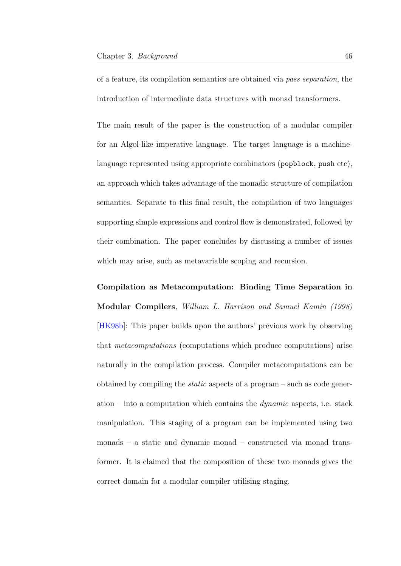of a feature, its compilation semantics are obtained via pass separation, the introduction of intermediate data structures with monad transformers.

The main result of the paper is the construction of a modular compiler for an Algol-like imperative language. The target language is a machinelanguage represented using appropriate combinators (popblock, push etc), an approach which takes advantage of the monadic structure of compilation semantics. Separate to this final result, the compilation of two languages supporting simple expressions and control flow is demonstrated, followed by their combination. The paper concludes by discussing a number of issues which may arise, such as metavariable scoping and recursion.

Compilation as Metacomputation: Binding Time Separation in Modular Compilers, William L. Harrison and Samuel Kamin (1998) [\[HK98b\]](#page-207-1): This paper builds upon the authors' previous work by observing that metacomputations (computations which produce computations) arise naturally in the compilation process. Compiler metacomputations can be obtained by compiling the static aspects of a program – such as code generation – into a computation which contains the  $dynamic$  aspects, i.e. stack manipulation. This staging of a program can be implemented using two monads – a static and dynamic monad – constructed via monad transformer. It is claimed that the composition of these two monads gives the correct domain for a modular compiler utilising staging.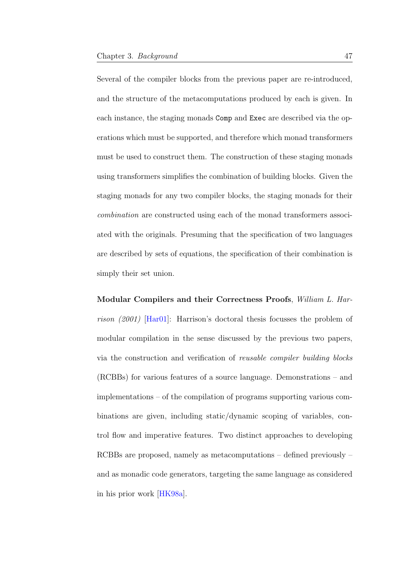Several of the compiler blocks from the previous paper are re-introduced, and the structure of the metacomputations produced by each is given. In each instance, the staging monads Comp and Exec are described via the operations which must be supported, and therefore which monad transformers must be used to construct them. The construction of these staging monads using transformers simplifies the combination of building blocks. Given the staging monads for any two compiler blocks, the staging monads for their combination are constructed using each of the monad transformers associated with the originals. Presuming that the specification of two languages are described by sets of equations, the specification of their combination is simply their set union.

Modular Compilers and their Correctness Proofs, William L. Harrison (2001) [\[Har01\]](#page-206-0): Harrison's doctoral thesis focusses the problem of modular compilation in the sense discussed by the previous two papers, via the construction and verification of reusable compiler building blocks (RCBBs) for various features of a source language. Demonstrations – and implementations – of the compilation of programs supporting various combinations are given, including static/dynamic scoping of variables, control flow and imperative features. Two distinct approaches to developing RCBBs are proposed, namely as metacomputations – defined previously – and as monadic code generators, targeting the same language as considered in his prior work [\[HK98a\]](#page-207-0).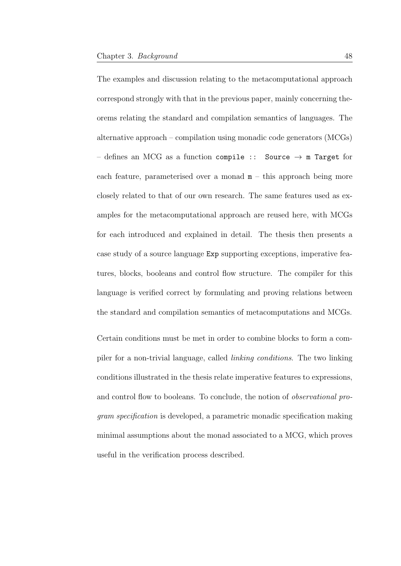The examples and discussion relating to the metacomputational approach correspond strongly with that in the previous paper, mainly concerning theorems relating the standard and compilation semantics of languages. The alternative approach – compilation using monadic code generators (MCGs) – defines an MCG as a function compile :: Source  $\rightarrow$  m Target for each feature, parameterised over a monad  $m -$  this approach being more closely related to that of our own research. The same features used as examples for the metacomputational approach are reused here, with MCGs for each introduced and explained in detail. The thesis then presents a case study of a source language Exp supporting exceptions, imperative features, blocks, booleans and control flow structure. The compiler for this language is verified correct by formulating and proving relations between the standard and compilation semantics of metacomputations and MCGs.

Certain conditions must be met in order to combine blocks to form a compiler for a non-trivial language, called linking conditions. The two linking conditions illustrated in the thesis relate imperative features to expressions, and control flow to booleans. To conclude, the notion of observational program specification is developed, a parametric monadic specification making minimal assumptions about the monad associated to a MCG, which proves useful in the verification process described.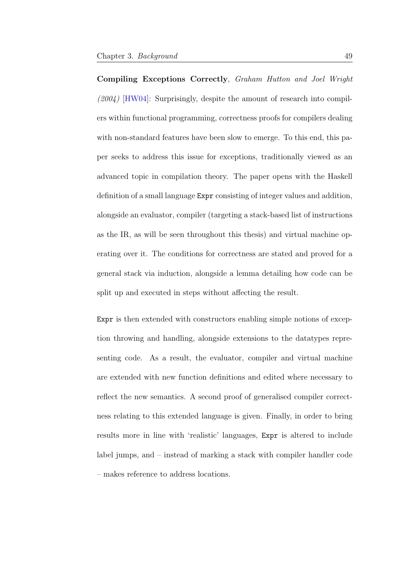Compiling Exceptions Correctly, Graham Hutton and Joel Wright  $(2004)$  [\[HW04\]](#page-208-1): Surprisingly, despite the amount of research into compilers within functional programming, correctness proofs for compilers dealing with non-standard features have been slow to emerge. To this end, this paper seeks to address this issue for exceptions, traditionally viewed as an advanced topic in compilation theory. The paper opens with the Haskell definition of a small language Expr consisting of integer values and addition, alongside an evaluator, compiler (targeting a stack-based list of instructions as the IR, as will be seen throughout this thesis) and virtual machine operating over it. The conditions for correctness are stated and proved for a general stack via induction, alongside a lemma detailing how code can be split up and executed in steps without affecting the result.

Expr is then extended with constructors enabling simple notions of exception throwing and handling, alongside extensions to the datatypes representing code. As a result, the evaluator, compiler and virtual machine are extended with new function definitions and edited where necessary to reflect the new semantics. A second proof of generalised compiler correctness relating to this extended language is given. Finally, in order to bring results more in line with 'realistic' languages, Expr is altered to include label jumps, and – instead of marking a stack with compiler handler code – makes reference to address locations.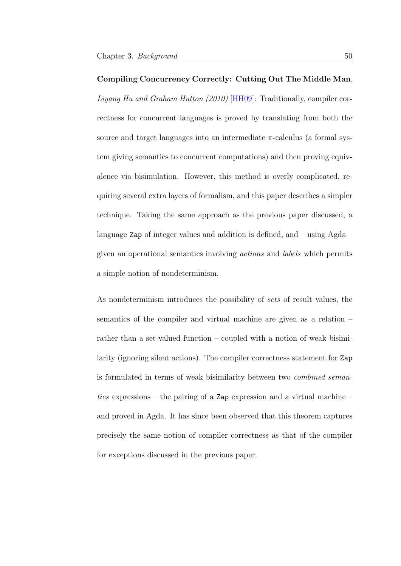Compiling Concurrency Correctly: Cutting Out The Middle Man, Liyang Hu and Graham Hutton (2010) [\[HH09\]](#page-206-1): Traditionally, compiler correctness for concurrent languages is proved by translating from both the source and target languages into an intermediate  $\pi$ -calculus (a formal system giving semantics to concurrent computations) and then proving equivalence via bisimulation. However, this method is overly complicated, requiring several extra layers of formalism, and this paper describes a simpler technique. Taking the same approach as the previous paper discussed, a language Zap of integer values and addition is defined, and – using Agda – given an operational semantics involving actions and labels which permits a simple notion of nondeterminism.

As nondeterminism introduces the possibility of sets of result values, the semantics of the compiler and virtual machine are given as a relation – rather than a set-valued function – coupled with a notion of weak bisimilarity (ignoring silent actions). The compiler correctness statement for Zap is formulated in terms of weak bisimilarity between two combined semantics expressions – the pairing of a Zap expression and a virtual machine – and proved in Agda. It has since been observed that this theorem captures precisely the same notion of compiler correctness as that of the compiler for exceptions discussed in the previous paper.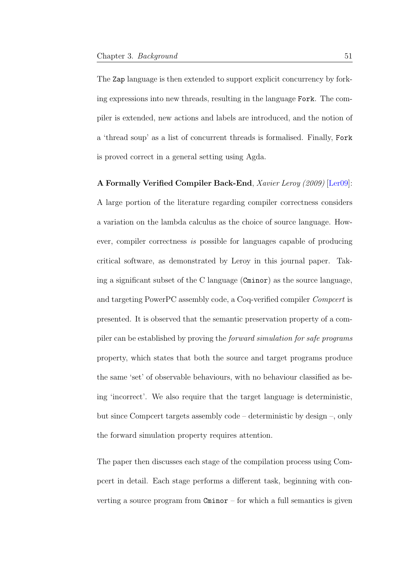The Zap language is then extended to support explicit concurrency by forking expressions into new threads, resulting in the language Fork. The compiler is extended, new actions and labels are introduced, and the notion of a 'thread soup' as a list of concurrent threads is formalised. Finally, Fork is proved correct in a general setting using Agda.

A Formally Verified Compiler Back-End, Xavier Leroy (2009) [\[Ler09\]](#page-210-2): A large portion of the literature regarding compiler correctness considers a variation on the lambda calculus as the choice of source language. However, compiler correctness is possible for languages capable of producing critical software, as demonstrated by Leroy in this journal paper. Taking a significant subset of the C language  $(Cminor)$  as the source language, and targeting PowerPC assembly code, a Coq-verified compiler Compcert is presented. It is observed that the semantic preservation property of a compiler can be established by proving the forward simulation for safe programs property, which states that both the source and target programs produce the same 'set' of observable behaviours, with no behaviour classified as being 'incorrect'. We also require that the target language is deterministic, but since Compcert targets assembly code – deterministic by design –, only the forward simulation property requires attention.

The paper then discusses each stage of the compilation process using Compcert in detail. Each stage performs a different task, beginning with converting a source program from  $Cminor - for$  which a full semantics is given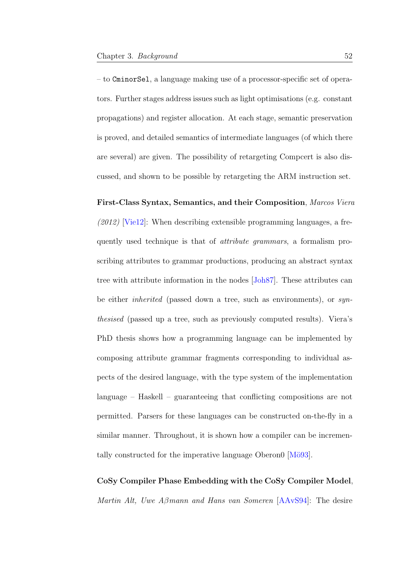– to CminorSel, a language making use of a processor-specific set of operators. Further stages address issues such as light optimisations (e.g. constant propagations) and register allocation. At each stage, semantic preservation is proved, and detailed semantics of intermediate languages (of which there are several) are given. The possibility of retargeting Compcert is also discussed, and shown to be possible by retargeting the ARM instruction set.

First-Class Syntax, Semantics, and their Composition, Marcos Viera  $(2012)$  [\[Vie12\]](#page-216-1): When describing extensible programming languages, a frequently used technique is that of attribute grammars, a formalism proscribing attributes to grammar productions, producing an abstract syntax tree with attribute information in the nodes [\[Joh87\]](#page-208-2). These attributes can be either inherited (passed down a tree, such as environments), or synthesised (passed up a tree, such as previously computed results). Viera's PhD thesis shows how a programming language can be implemented by composing attribute grammar fragments corresponding to individual aspects of the desired language, with the type system of the implementation language – Haskell – guaranteeing that conflicting compositions are not permitted. Parsers for these languages can be constructed on-the-fly in a similar manner. Throughout, it is shown how a compiler can be incrementally constructed for the imperative language Oberon0 [Mö93].

CoSy Compiler Phase Embedding with the CoSy Compiler Model, Martin Alt, Uwe Aβmann and Hans van Someren [\[AAvS94\]](#page-201-0): The desire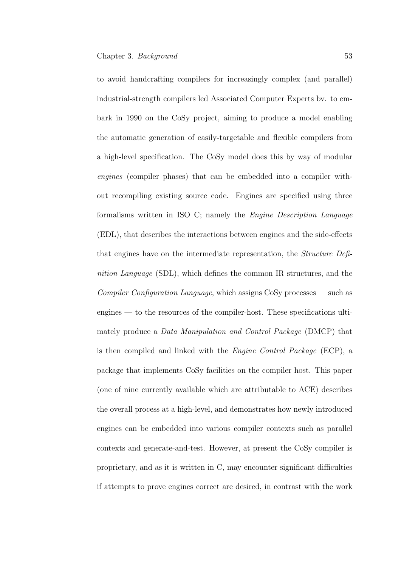to avoid handcrafting compilers for increasingly complex (and parallel) industrial-strength compilers led Associated Computer Experts bv. to embark in 1990 on the CoSy project, aiming to produce a model enabling the automatic generation of easily-targetable and flexible compilers from a high-level specification. The CoSy model does this by way of modular engines (compiler phases) that can be embedded into a compiler without recompiling existing source code. Engines are specified using three formalisms written in ISO C; namely the Engine Description Language (EDL), that describes the interactions between engines and the side-effects that engines have on the intermediate representation, the Structure Definition Language (SDL), which defines the common IR structures, and the Compiler Configuration Language, which assigns CoSy processes — such as engines — to the resources of the compiler-host. These specifications ultimately produce a Data Manipulation and Control Package (DMCP) that is then compiled and linked with the Engine Control Package (ECP), a package that implements CoSy facilities on the compiler host. This paper (one of nine currently available which are attributable to ACE) describes the overall process at a high-level, and demonstrates how newly introduced engines can be embedded into various compiler contexts such as parallel contexts and generate-and-test. However, at present the CoSy compiler is proprietary, and as it is written in C, may encounter significant difficulties if attempts to prove engines correct are desired, in contrast with the work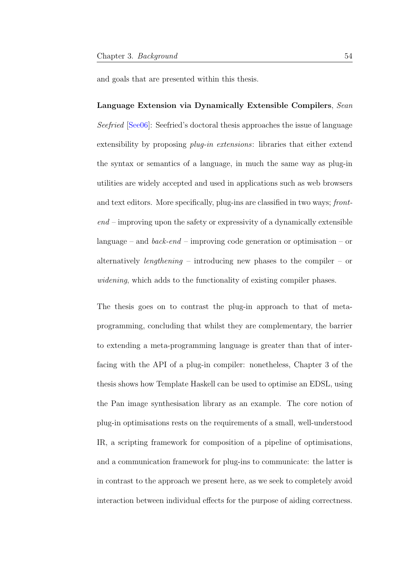and goals that are presented within this thesis.

Language Extension via Dynamically Extensible Compilers, Sean Seefried [\[See06\]](#page-215-0): Seefried's doctoral thesis approaches the issue of language extensibility by proposing *plug-in extensions*: libraries that either extend the syntax or semantics of a language, in much the same way as plug-in utilities are widely accepted and used in applications such as web browsers and text editors. More specifically, plug-ins are classified in two ways; front $end$  – improving upon the safety or expressivity of a dynamically extensible language – and  $back-end$  – improving code generation or optimisation – or alternatively *lengthening* – introducing new phases to the compiler – or widening, which adds to the functionality of existing compiler phases.

The thesis goes on to contrast the plug-in approach to that of metaprogramming, concluding that whilst they are complementary, the barrier to extending a meta-programming language is greater than that of interfacing with the API of a plug-in compiler: nonetheless, Chapter 3 of the thesis shows how Template Haskell can be used to optimise an EDSL, using the Pan image synthesisation library as an example. The core notion of plug-in optimisations rests on the requirements of a small, well-understood IR, a scripting framework for composition of a pipeline of optimisations, and a communication framework for plug-ins to communicate: the latter is in contrast to the approach we present here, as we seek to completely avoid interaction between individual effects for the purpose of aiding correctness.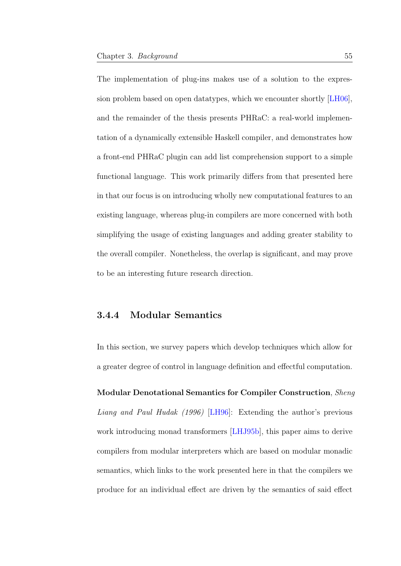The implementation of plug-ins makes use of a solution to the expression problem based on open datatypes, which we encounter shortly [\[LH06\]](#page-210-3), and the remainder of the thesis presents PHRaC: a real-world implementation of a dynamically extensible Haskell compiler, and demonstrates how a front-end PHRaC plugin can add list comprehension support to a simple functional language. This work primarily differs from that presented here in that our focus is on introducing wholly new computational features to an existing language, whereas plug-in compilers are more concerned with both simplifying the usage of existing languages and adding greater stability to the overall compiler. Nonetheless, the overlap is significant, and may prove to be an interesting future research direction.

#### 3.4.4 Modular Semantics

In this section, we survey papers which develop techniques which allow for a greater degree of control in language definition and effectful computation.

Modular Denotational Semantics for Compiler Construction, Sheng Liang and Paul Hudak (1996) [\[LH96\]](#page-210-4): Extending the author's previous work introducing monad transformers [\[LHJ95b\]](#page-211-3), this paper aims to derive compilers from modular interpreters which are based on modular monadic semantics, which links to the work presented here in that the compilers we produce for an individual effect are driven by the semantics of said effect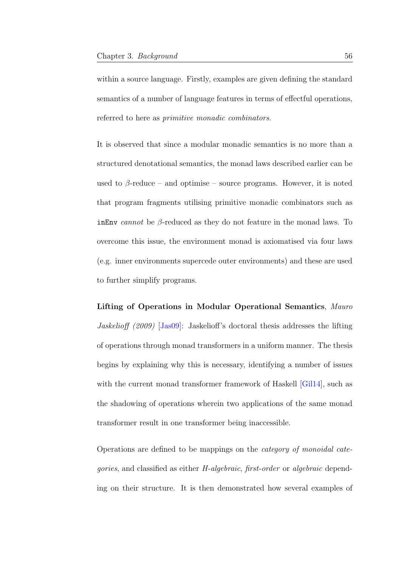within a source language. Firstly, examples are given defining the standard semantics of a number of language features in terms of effectful operations, referred to here as *primitive monadic combinators*.

It is observed that since a modular monadic semantics is no more than a structured denotational semantics, the monad laws described earlier can be used to  $\beta$ -reduce – and optimise – source programs. However, it is noted that program fragments utilising primitive monadic combinators such as inEnv cannot be  $\beta$ -reduced as they do not feature in the monad laws. To overcome this issue, the environment monad is axiomatised via four laws (e.g. inner environments supercede outer environments) and these are used to further simplify programs.

Lifting of Operations in Modular Operational Semantics, Mauro Jaskelioff (2009) [\[Jas09\]](#page-208-3): Jaskelioff's doctoral thesis addresses the lifting of operations through monad transformers in a uniform manner. The thesis begins by explaining why this is necessary, identifying a number of issues with the current monad transformer framework of Haskell [\[Gil14\]](#page-206-2), such as the shadowing of operations wherein two applications of the same monad transformer result in one transformer being inaccessible.

Operations are defined to be mappings on the category of monoidal categories, and classified as either H-algebraic, first-order or algebraic depending on their structure. It is then demonstrated how several examples of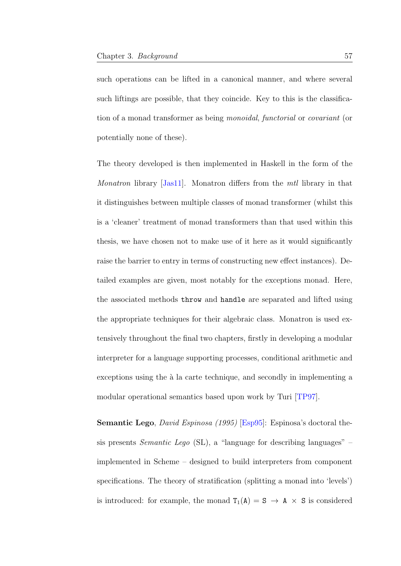such operations can be lifted in a canonical manner, and where several such liftings are possible, that they coincide. Key to this is the classification of a monad transformer as being monoidal, functorial or covariant (or potentially none of these).

The theory developed is then implemented in Haskell in the form of the Monatron library [\[Jas11\]](#page-208-4). Monatron differs from the *mtl* library in that it distinguishes between multiple classes of monad transformer (whilst this is a 'cleaner' treatment of monad transformers than that used within this thesis, we have chosen not to make use of it here as it would significantly raise the barrier to entry in terms of constructing new effect instances). Detailed examples are given, most notably for the exceptions monad. Here, the associated methods throw and handle are separated and lifted using the appropriate techniques for their algebraic class. Monatron is used extensively throughout the final two chapters, firstly in developing a modular interpreter for a language supporting processes, conditional arithmetic and exceptions using the  $\lambda$  la carte technique, and secondly in implementing a modular operational semantics based upon work by Turi [\[TP97\]](#page-216-2).

Semantic Lego, *David Espinosa* (1995) [\[Esp95\]](#page-206-3): Espinosa's doctoral thesis presents Semantic Lego (SL), a "language for describing languages" – implemented in Scheme – designed to build interpreters from component specifications. The theory of stratification (splitting a monad into 'levels') is introduced: for example, the monad  $T_1(A) = S \rightarrow A \times S$  is considered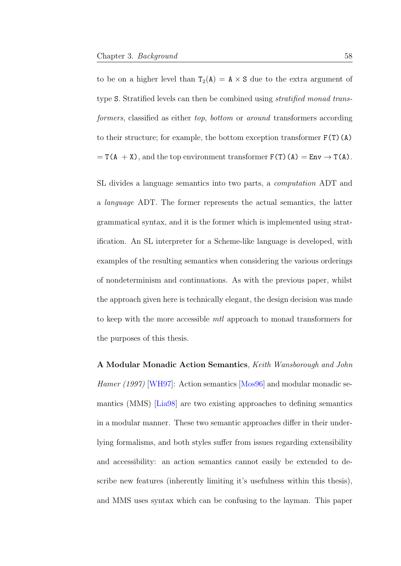to be on a higher level than  $T_2(A) = A \times S$  due to the extra argument of type S. Stratified levels can then be combined using *stratified monad trans*formers, classified as either top, bottom or around transformers according to their structure; for example, the bottom exception transformer  $F(T)(A)$  $= T(A + X)$ , and the top environment transformer  $F(T)(A) = Env \rightarrow T(A)$ .

SL divides a language semantics into two parts, a computation ADT and a language ADT. The former represents the actual semantics, the latter grammatical syntax, and it is the former which is implemented using stratification. An SL interpreter for a Scheme-like language is developed, with examples of the resulting semantics when considering the various orderings of nondeterminism and continuations. As with the previous paper, whilst the approach given here is technically elegant, the design decision was made to keep with the more accessible mtl approach to monad transformers for the purposes of this thesis.

A Modular Monadic Action Semantics, Keith Wansborough and John Hamer (1997) [\[WH97\]](#page-217-1): Action semantics [\[Mos96\]](#page-212-0) and modular monadic semantics (MMS) [\[Lia98\]](#page-211-1) are two existing approaches to defining semantics in a modular manner. These two semantic approaches differ in their underlying formalisms, and both styles suffer from issues regarding extensibility and accessibility: an action semantics cannot easily be extended to describe new features (inherently limiting it's usefulness within this thesis), and MMS uses syntax which can be confusing to the layman. This paper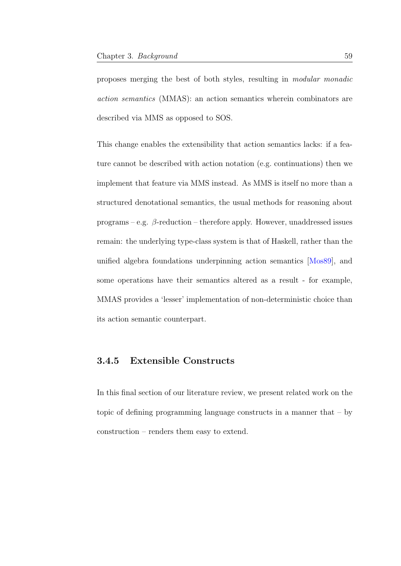proposes merging the best of both styles, resulting in modular monadic action semantics (MMAS): an action semantics wherein combinators are described via MMS as opposed to SOS.

This change enables the extensibility that action semantics lacks: if a feature cannot be described with action notation (e.g. continuations) then we implement that feature via MMS instead. As MMS is itself no more than a structured denotational semantics, the usual methods for reasoning about programs – e.g.  $\beta$ -reduction – therefore apply. However, unaddressed issues remain: the underlying type-class system is that of Haskell, rather than the unified algebra foundations underpinning action semantics [\[Mos89\]](#page-212-1), and some operations have their semantics altered as a result - for example, MMAS provides a 'lesser' implementation of non-deterministic choice than its action semantic counterpart.

## 3.4.5 Extensible Constructs

In this final section of our literature review, we present related work on the topic of defining programming language constructs in a manner that – by construction – renders them easy to extend.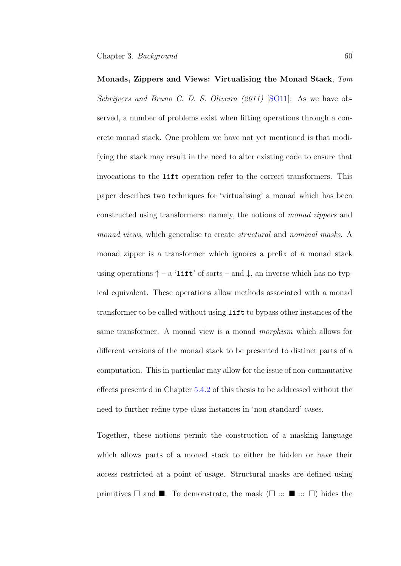Monads, Zippers and Views: Virtualising the Monad Stack, Tom Schrijvers and Bruno C. D. S. Oliveira (2011) [\[SO11\]](#page-215-1): As we have observed, a number of problems exist when lifting operations through a concrete monad stack. One problem we have not yet mentioned is that modifying the stack may result in the need to alter existing code to ensure that invocations to the lift operation refer to the correct transformers. This paper describes two techniques for 'virtualising' a monad which has been constructed using transformers: namely, the notions of monad zippers and monad views, which generalise to create *structural* and nominal masks. A monad zipper is a transformer which ignores a prefix of a monad stack using operations  $\uparrow$  – a 'lift' of sorts – and  $\downarrow$ , an inverse which has no typical equivalent. These operations allow methods associated with a monad transformer to be called without using lift to bypass other instances of the same transformer. A monad view is a monad morphism which allows for different versions of the monad stack to be presented to distinct parts of a

computation. This in particular may allow for the issue of non-commutative effects presented in Chapter [5.4.2](#page-124-0) of this thesis to be addressed without the need to further refine type-class instances in 'non-standard' cases.

Together, these notions permit the construction of a masking language which allows parts of a monad stack to either be hidden or have their access restricted at a point of usage. Structural masks are defined using primitives  $\square$  and  $\square$ . To demonstrate, the mask  $(\square ::: \blacksquare ::: \square)$  hides the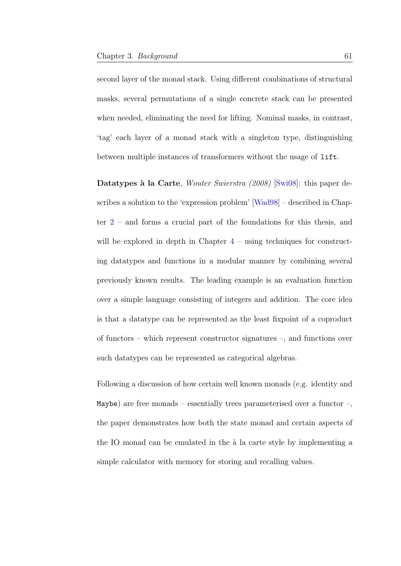second layer of the monad stack. Using different combinations of structural masks, several permutations of a single concrete stack can be presented when needed, eliminating the need for lifting. Nominal masks, in contrast, 'tag' each layer of a monad stack with a singleton type, distinguishing between multiple instances of transformers without the usage of lift.

Datatypes à la Carte, Wouter Swierstra (2008) [\[Swi08\]](#page-216-3): this paper describes a solution to the 'expression problem' [\[Wad98\]](#page-217-2) – described in Chapter [2](#page-19-0) – and forms a crucial part of the foundations for this thesis, and will be explored in depth in Chapter  $4$  – using techniques for constructing datatypes and functions in a modular manner by combining several previously known results. The leading example is an evaluation function over a simple language consisting of integers and addition. The core idea is that a datatype can be represented as the least fixpoint of a coproduct of functors – which represent constructor signatures –, and functions over such datatypes can be represented as categorical algebras.

Following a discussion of how certain well known monads (e.g. identity and Maybe) are free monads – essentially trees parameterised over a functor –, the paper demonstrates how both the state monad and certain aspects of the IO monad can be emulated in the  $\lambda$  la carte style by implementing a simple calculator with memory for storing and recalling values.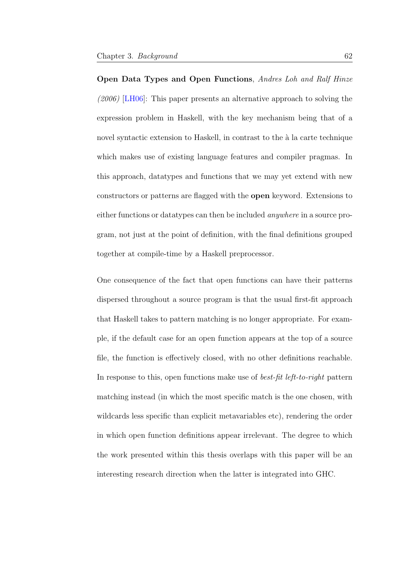Open Data Types and Open Functions, Andres Loh and Ralf Hinze  $(2006)$  [\[LH06\]](#page-210-3): This paper presents an alternative approach to solving the expression problem in Haskell, with the key mechanism being that of a novel syntactic extension to Haskell, in contrast to the  $\alpha$  la carte technique which makes use of existing language features and compiler pragmas. In this approach, datatypes and functions that we may yet extend with new constructors or patterns are flagged with the open keyword. Extensions to either functions or datatypes can then be included anywhere in a source program, not just at the point of definition, with the final definitions grouped together at compile-time by a Haskell preprocessor.

One consequence of the fact that open functions can have their patterns dispersed throughout a source program is that the usual first-fit approach that Haskell takes to pattern matching is no longer appropriate. For example, if the default case for an open function appears at the top of a source file, the function is effectively closed, with no other definitions reachable. In response to this, open functions make use of best-fit left-to-right pattern matching instead (in which the most specific match is the one chosen, with wildcards less specific than explicit metavariables etc), rendering the order in which open function definitions appear irrelevant. The degree to which the work presented within this thesis overlaps with this paper will be an interesting research direction when the latter is integrated into GHC.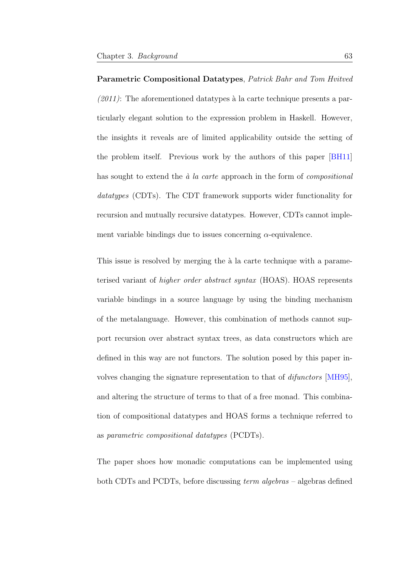Parametric Compositional Datatypes, Patrick Bahr and Tom Hvitved  $(2011)$ : The aforementioned datatypes à la carte technique presents a particularly elegant solution to the expression problem in Haskell. However, the insights it reveals are of limited applicability outside the setting of the problem itself. Previous work by the authors of this paper [\[BH11\]](#page-202-0) has sought to extend the  $\dot{a}$  la carte approach in the form of compositional datatypes (CDTs). The CDT framework supports wider functionality for recursion and mutually recursive datatypes. However, CDTs cannot implement variable bindings due to issues concerning  $\alpha$ -equivalence.

This issue is resolved by merging the  $\alpha$  la carte technique with a parameterised variant of higher order abstract syntax (HOAS). HOAS represents variable bindings in a source language by using the binding mechanism of the metalanguage. However, this combination of methods cannot support recursion over abstract syntax trees, as data constructors which are defined in this way are not functors. The solution posed by this paper involves changing the signature representation to that of difunctors [\[MH95\]](#page-211-4), and altering the structure of terms to that of a free monad. This combination of compositional datatypes and HOAS forms a technique referred to as parametric compositional datatypes (PCDTs).

The paper shoes how monadic computations can be implemented using both CDTs and PCDTs, before discussing term algebras – algebras defined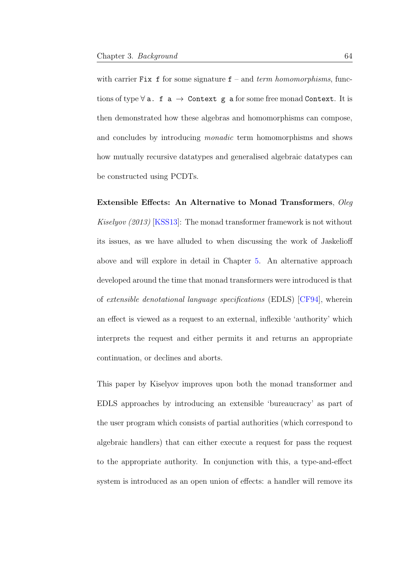with carrier Fix f for some signature  $f$  – and *term homomorphisms*, functions of type  $\forall$  a. f a  $\rightarrow$  Context g a for some free monad Context. It is then demonstrated how these algebras and homomorphisms can compose, and concludes by introducing monadic term homomorphisms and shows how mutually recursive datatypes and generalised algebraic datatypes can be constructed using PCDTs.

Extensible Effects: An Alternative to Monad Transformers, Oleg Kiselyov (2013) [\[KSS13\]](#page-209-0): The monad transformer framework is not without its issues, as we have alluded to when discussing the work of Jaskelioff above and will explore in detail in Chapter [5.](#page-95-0) An alternative approach developed around the time that monad transformers were introduced is that of extensible denotational language specifications (EDLS) [\[CF94\]](#page-203-3), wherein an effect is viewed as a request to an external, inflexible 'authority' which interprets the request and either permits it and returns an appropriate continuation, or declines and aborts.

This paper by Kiselyov improves upon both the monad transformer and EDLS approaches by introducing an extensible 'bureaucracy' as part of the user program which consists of partial authorities (which correspond to algebraic handlers) that can either execute a request for pass the request to the appropriate authority. In conjunction with this, a type-and-effect system is introduced as an open union of effects: a handler will remove its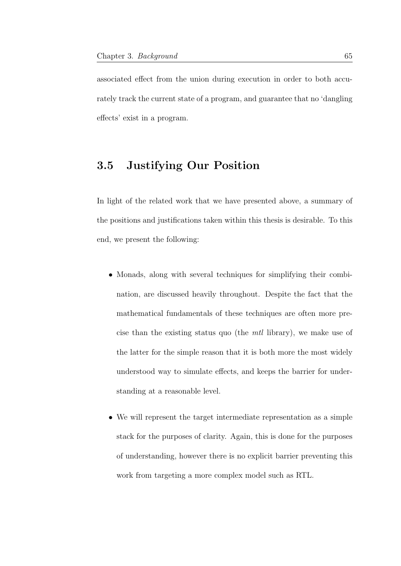associated effect from the union during execution in order to both accurately track the current state of a program, and guarantee that no 'dangling effects' exist in a program.

## 3.5 Justifying Our Position

In light of the related work that we have presented above, a summary of the positions and justifications taken within this thesis is desirable. To this end, we present the following:

- Monads, along with several techniques for simplifying their combination, are discussed heavily throughout. Despite the fact that the mathematical fundamentals of these techniques are often more precise than the existing status quo (the mtl library), we make use of the latter for the simple reason that it is both more the most widely understood way to simulate effects, and keeps the barrier for understanding at a reasonable level.
- We will represent the target intermediate representation as a simple stack for the purposes of clarity. Again, this is done for the purposes of understanding, however there is no explicit barrier preventing this work from targeting a more complex model such as RTL.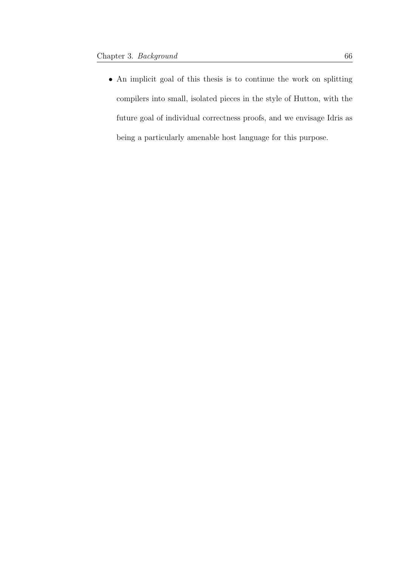• An implicit goal of this thesis is to continue the work on splitting compilers into small, isolated pieces in the style of Hutton, with the future goal of individual correctness proofs, and we envisage Idris as being a particularly amenable host language for this purpose.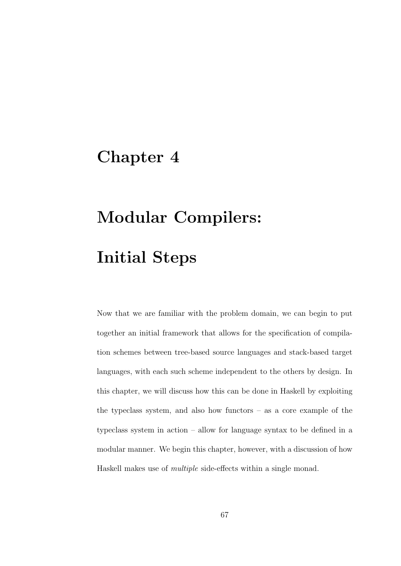## Chapter 4

# Modular Compilers: Initial Steps

Now that we are familiar with the problem domain, we can begin to put together an initial framework that allows for the specification of compilation schemes between tree-based source languages and stack-based target languages, with each such scheme independent to the others by design. In this chapter, we will discuss how this can be done in Haskell by exploiting the typeclass system, and also how functors – as a core example of the typeclass system in action – allow for language syntax to be defined in a modular manner. We begin this chapter, however, with a discussion of how Haskell makes use of multiple side-effects within a single monad.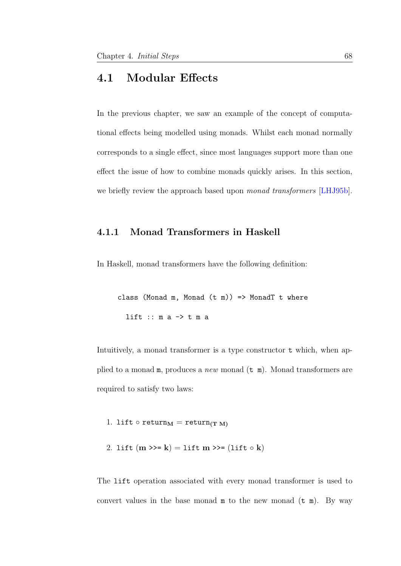### 4.1 Modular Effects

In the previous chapter, we saw an example of the concept of computational effects being modelled using monads. Whilst each monad normally corresponds to a single effect, since most languages support more than one effect the issue of how to combine monads quickly arises. In this section, we briefly review the approach based upon *monad transformers* [\[LHJ95b\]](#page-211-0).

### 4.1.1 Monad Transformers in Haskell

In Haskell, monad transformers have the following definition:

class (Monad m, Monad  $(t m)$ ) => MonadT t where lift  $:: m a -> t m a$ 

Intuitively, a monad transformer is a type constructor t which, when applied to a monad  $m$ , produces a *new* monad  $(\tau \ m)$ . Monad transformers are required to satisfy two laws:

1. lift  $\circ$  return $_M$  = return $_{(T M)}$ 

2. lift  $(m \gg=k) =$  lift  $m \gg=($ lift  $\circ k)$ 

The lift operation associated with every monad transformer is used to convert values in the base monad  $m$  to the new monad  $(t m)$ . By way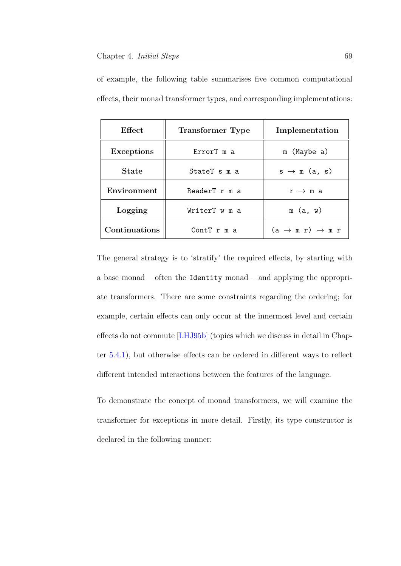| Effect            | <b>Transformer</b> Type | Implementation                        |
|-------------------|-------------------------|---------------------------------------|
| <b>Exceptions</b> | ErrorT m a              | m (Maybe a)                           |
| <b>State</b>      | StateT s m a            | $s \rightarrow m$ (a, s)              |
| Environment       | ReaderT r m a           | $r \rightarrow m a$                   |
| Logging           | WriterT w m a           | m(a, w)                               |
| Continuations     | Cont $T$ $r$ $m$ a      | $(a \rightarrow m r) \rightarrow m r$ |

of example, the following table summarises five common computational effects, their monad transformer types, and corresponding implementations:

The general strategy is to 'stratify' the required effects, by starting with a base monad – often the Identity monad – and applying the appropriate transformers. There are some constraints regarding the ordering; for example, certain effects can only occur at the innermost level and certain effects do not commute [\[LHJ95b\]](#page-211-0) (topics which we discuss in detail in Chapter [5.4.1\)](#page-120-0), but otherwise effects can be ordered in different ways to reflect different intended interactions between the features of the language.

To demonstrate the concept of monad transformers, we will examine the transformer for exceptions in more detail. Firstly, its type constructor is declared in the following manner: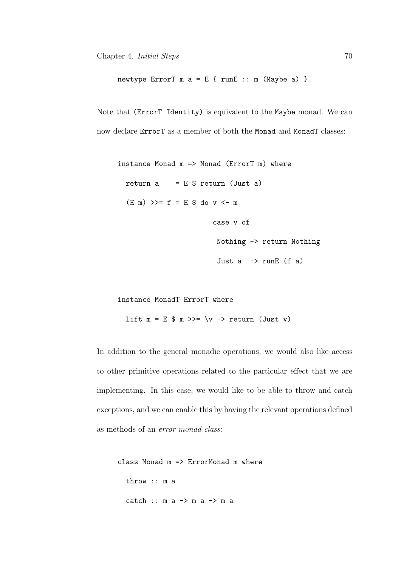newtype ErrorT  $m a = E \{ runE :: m (Maybe a) \}$ 

Note that (ErrorT Identity) is equivalent to the Maybe monad. We can now declare ErrorT as a member of both the Monad and MonadT classes:

```
instance Monad m \Rightarrow Monad (ErrorT m) where
  return a = E $ return (Just a)
  (E \n m) >> = f = E \n $ do v < - mcase v of
                           Nothing -> return Nothing
                           Just a \rightarrow runE (f a)
```

```
instance MonadT ErrorT where
 lift m = E $ m >> = \vee - return (Just v)
```
In addition to the general monadic operations, we would also like access to other primitive operations related to the particular effect that we are implementing. In this case, we would like to be able to throw and catch exceptions, and we can enable this by having the relevant operations defined as methods of an error monad class:

```
class Monad m => ErrorMonad m where
 throw :: m a
 catch :: m a -> m a -> m a
```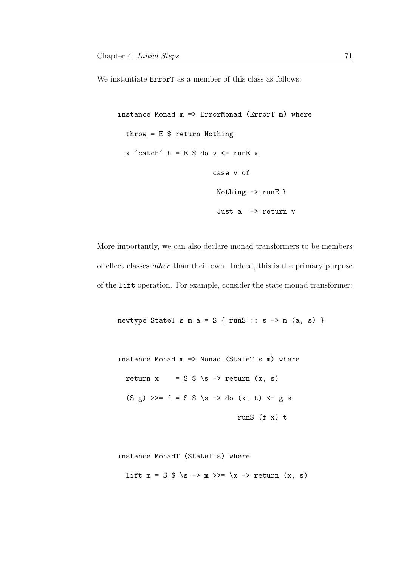We instantiate  $ErrorT$  as a member of this class as follows:

```
instance Monad m => ErrorMonad (ErrorT m) where
  throw = E $ return Nothing
  x 'catch' h = E $ do v <- runE x
                        case v of
                         Nothing -> runE h
                         Just a \rightarrow return v
```
More importantly, we can also declare monad transformers to be members of effect classes other than their own. Indeed, this is the primary purpose of the lift operation. For example, consider the state monad transformer:

```
newtype StateT s m a = S { runS :: s \rightarrow m (a, s) }
```

```
instance Monad m => Monad (StateT s m) where
 return x = S $ \s -> return (x, s)(S g) >>= f = S \$ \s -> do (x, t) <- g s
                            runS (f x) t
```
instance MonadT (StateT s) where lift  $m = S \$  \s ->  $m \gg = \x \rightarrow$  return  $(x, s)$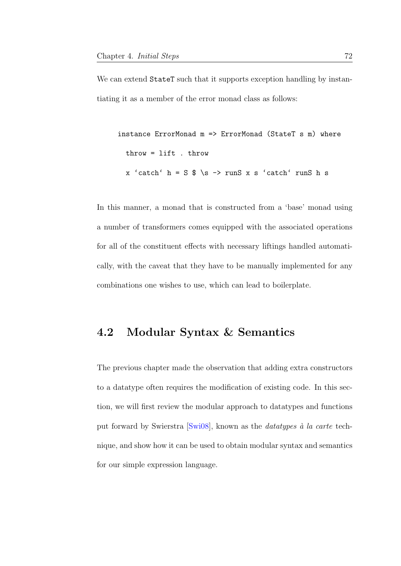We can extend StateT such that it supports exception handling by instantiating it as a member of the error monad class as follows:

```
instance ErrorMonad m => ErrorMonad (StateT s m) where
 throw = lift . throw
 x 'catch' h = S \$ \s -> runS x s 'catch' runS h s
```
In this manner, a monad that is constructed from a 'base' monad using a number of transformers comes equipped with the associated operations for all of the constituent effects with necessary liftings handled automatically, with the caveat that they have to be manually implemented for any combinations one wishes to use, which can lead to boilerplate.

## 4.2 Modular Syntax & Semantics

The previous chapter made the observation that adding extra constructors to a datatype often requires the modification of existing code. In this section, we will first review the modular approach to datatypes and functions put forward by Swierstra [\[Swi08\]](#page-216-0), known as the *datatypes*  $\dot{a}$  la carte technique, and show how it can be used to obtain modular syntax and semantics for our simple expression language.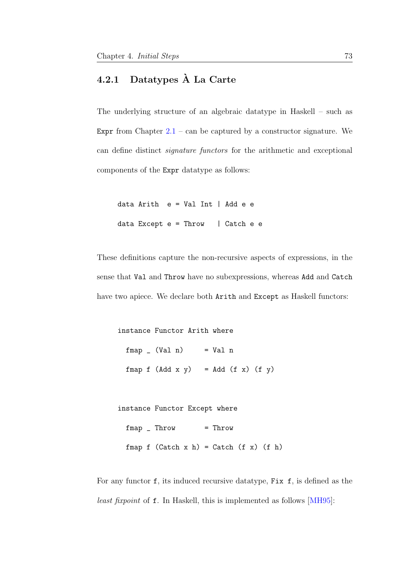## <span id="page-80-0"></span>4.2.1 Datatypes A La Carte `

The underlying structure of an algebraic datatype in Haskell – such as Expr from Chapter  $2.1$  – can be captured by a constructor signature. We can define distinct signature functors for the arithmetic and exceptional components of the Expr datatype as follows:

data Arith e = Val Int | Add e e data Except  $e = Throw$  | Catch  $e e$ 

These definitions capture the non-recursive aspects of expressions, in the sense that Val and Throw have no subexpressions, whereas Add and Catch have two apiece. We declare both Arith and Except as Haskell functors:

instance Functor Arith where  $fmap$   $(Val n)$  =  $Val n$  $fmap f (Add x y) = Add (f x) (f y)$ 

```
instance Functor Except where
```
fmap \_ Throw = Throw

fmap  $f$  (Catch  $x h$ ) = Catch  $(f x)$  ( $f h$ )

For any functor f, its induced recursive datatype, Fix f, is defined as the least fixpoint of f. In Haskell, this is implemented as follows [\[MH95\]](#page-211-1):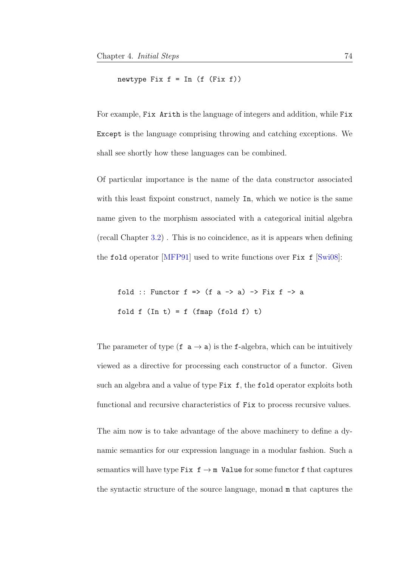newtype Fix  $f = In (f (Fix f))$ 

For example, Fix Arith is the language of integers and addition, while Fix Except is the language comprising throwing and catching exceptions. We shall see shortly how these languages can be combined.

Of particular importance is the name of the data constructor associated with this least fixpoint construct, namely In, which we notice is the same name given to the morphism associated with a categorical initial algebra (recall Chapter [3.2\)](#page-34-0) . This is no coincidence, as it is appears when defining the fold operator  $[MFP91]$  used to write functions over Fix f  $[Swi08]$ :

fold :: Functor  $f \Rightarrow (f a \rightarrow a) \Rightarrow Fix f \Rightarrow a$ fold  $f(\text{In } t) = f(\text{fmap}(fold f))$ 

The parameter of type  $(f \, \mathsf{a} \to \mathsf{a})$  is the f-algebra, which can be intuitively viewed as a directive for processing each constructor of a functor. Given such an algebra and a value of type Fix f, the fold operator exploits both functional and recursive characteristics of Fix to process recursive values.

The aim now is to take advantage of the above machinery to define a dynamic semantics for our expression language in a modular fashion. Such a semantics will have type Fix  $f \rightarrow m$  Value for some functor f that captures the syntactic structure of the source language, monad m that captures the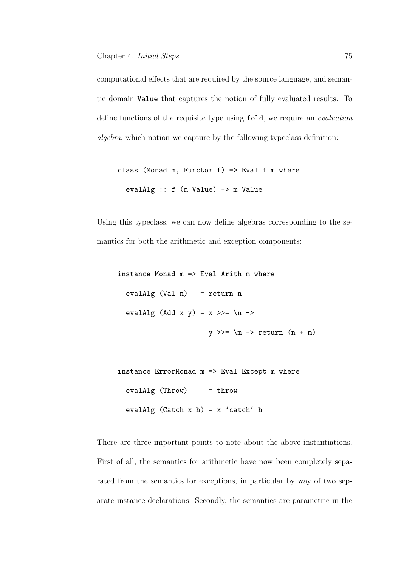computational effects that are required by the source language, and semantic domain Value that captures the notion of fully evaluated results. To define functions of the requisite type using fold, we require an evaluation algebra, which notion we capture by the following typeclass definition:

```
class (Monad m, Functor f) => Eval f m where
 evalAlg :: f (m Value) -> m Value
```
Using this typeclass, we can now define algebras corresponding to the semantics for both the arithmetic and exception components:

instance Monad m => Eval Arith m where  $evalAlg (Val n) = return n$ evalAlg (Add x y) =  $x \gg = \n\neq -\n$  $y \gg = \m$  -> return  $(n + m)$ 

```
instance ErrorMonad m => Eval Except m where
 evalAlg (Throw) = throw
 evalAlg (Catch x h) = x 'catch' h
```
There are three important points to note about the above instantiations. First of all, the semantics for arithmetic have now been completely separated from the semantics for exceptions, in particular by way of two separate instance declarations. Secondly, the semantics are parametric in the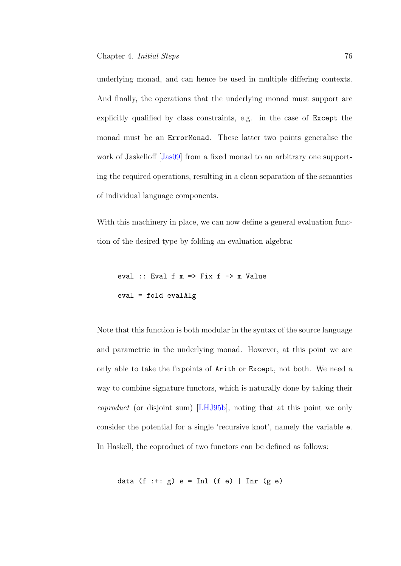underlying monad, and can hence be used in multiple differing contexts. And finally, the operations that the underlying monad must support are explicitly qualified by class constraints, e.g. in the case of Except the monad must be an ErrorMonad. These latter two points generalise the work of Jaskelioff [\[Jas09\]](#page-208-0) from a fixed monad to an arbitrary one supporting the required operations, resulting in a clean separation of the semantics of individual language components.

With this machinery in place, we can now define a general evaluation function of the desired type by folding an evaluation algebra:

eval :: Eval f  $m \Rightarrow Fix f \Rightarrow m$  Value eval = fold evalAlg

Note that this function is both modular in the syntax of the source language and parametric in the underlying monad. However, at this point we are only able to take the fixpoints of Arith or Except, not both. We need a way to combine signature functors, which is naturally done by taking their coproduct (or disjoint sum) [\[LHJ95b\]](#page-211-0), noting that at this point we only consider the potential for a single 'recursive knot', namely the variable e. In Haskell, the coproduct of two functors can be defined as follows:

data (f :+:  $g$ ) e = Inl (f e) | Inr (g e)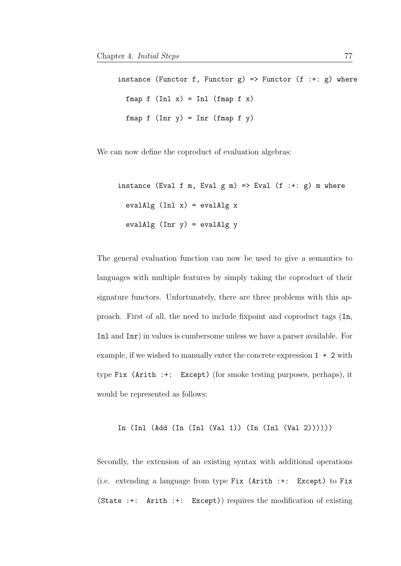instance (Functor f, Functor  $g$ ) => Functor (f :+:  $g$ ) where fmap  $f$  (Inl  $x$ ) = Inl (fmap  $f$   $x$ ) fmap  $f$  (Inr  $y$ ) = Inr (fmap  $f$   $y$ )

We can now define the coproduct of evaluation algebras:

instance (Eval f m, Eval  $g$  m) => Eval  $(f : +: g)$  m where evalAlg  $(Inl x) = evalAlg x$ evalAlg  $(Inv y) = evalAlg y$ 

The general evaluation function can now be used to give a semantics to languages with multiple features by simply taking the coproduct of their signature functors. Unfortunately, there are three problems with this approach. First of all, the need to include fixpoint and coproduct tags (In, Inl and Inr) in values is cumbersome unless we have a parser available. For example, if we wished to manually enter the concrete expression  $1 + 2$  with type Fix (Arith :+: Except) (for smoke testing purposes, perhaps), it would be represented as follows:

In (Inl (Add (In (Inl (Val 1)) (In (Inl (Val 2))))))

Secondly, the extension of an existing syntax with additional operations (i.e. extending a language from type Fix (Arith :+: Except) to Fix (State :+: Arith :+: Except)) requires the modification of existing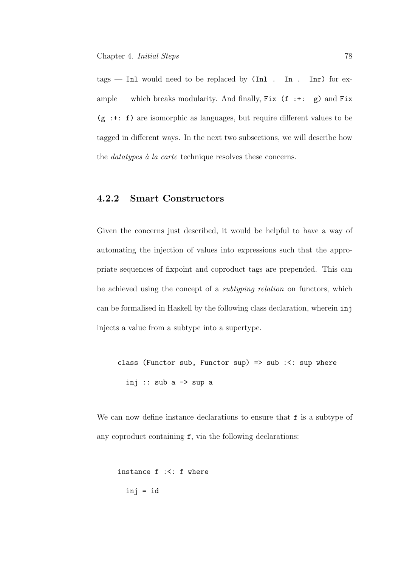$tags$  — Inl would need to be replaced by (Inl. In. Inr) for example — which breaks modularity. And finally, Fix  $(f : +: g)$  and Fix  $(g : +: f)$  are isomorphic as languages, but require different values to be tagged in different ways. In the next two subsections, we will describe how the *datatypes*  $\dot{a}$  *la carte* technique resolves these concerns.

### 4.2.2 Smart Constructors

Given the concerns just described, it would be helpful to have a way of automating the injection of values into expressions such that the appropriate sequences of fixpoint and coproduct tags are prepended. This can be achieved using the concept of a subtyping relation on functors, which can be formalised in Haskell by the following class declaration, wherein inj injects a value from a subtype into a supertype.

class (Functor sub, Functor sup) => sub :<: sup where inj :: sub a  $\rightarrow$  sup a

We can now define instance declarations to ensure that f is a subtype of any coproduct containing f, via the following declarations:

instance f :<: f where inj = id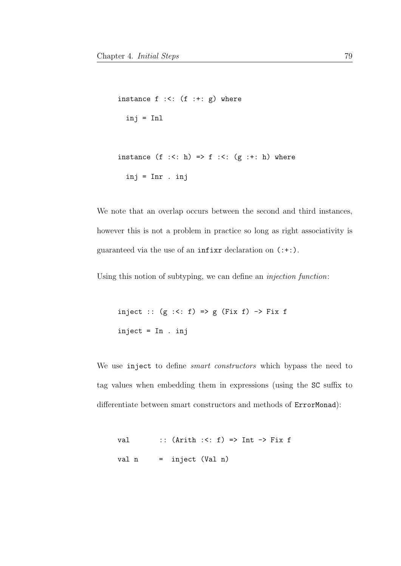```
instance f :<: (f :+: g) where
  inj = Inl
instance (f : \le h) \Rightarrow f : \le (g : \le h) where
  inj = Inr . inj
```
We note that an overlap occurs between the second and third instances, however this is not a problem in practice so long as right associativity is guaranteed via the use of an infixr declaration on (:+:).

Using this notion of subtyping, we can define an injection function:

inject ::  $(g \le f) \Rightarrow g$  (Fix f) -> Fix f inject = In . inj

We use inject to define *smart constructors* which bypass the need to tag values when embedding them in expressions (using the SC suffix to differentiate between smart constructors and methods of ErrorMonad):

val ::  $(Arith : \langle : f \rangle \Rightarrow Int \Rightarrow Fix f$ val n = inject (Val n)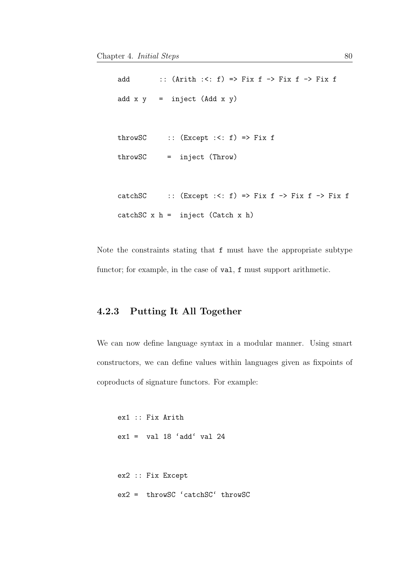```
add :: (Arith:<= f) =&gt; Fix f -&gt; Fix f -&gt; Fix fadd x y = inject (Add x y)throwSC :: (Except : <: f) \Rightarrow Fix fthrowSC = inject (Throw)
catchSC :: (Except :<: f) => Fix f -> Fix f -> Fix f
catchSC x h = inject (Catch x h)
```
Note the constraints stating that f must have the appropriate subtype functor; for example, in the case of val, f must support arithmetic.

### 4.2.3 Putting It All Together

We can now define language syntax in a modular manner. Using smart constructors, we can define values within languages given as fixpoints of coproducts of signature functors. For example:

```
ex1 :: Fix Arith
ex1 = val 18 'add' val 24ex2 :: Fix Except
ex2 = throwSC 'catchSC' throwSC
```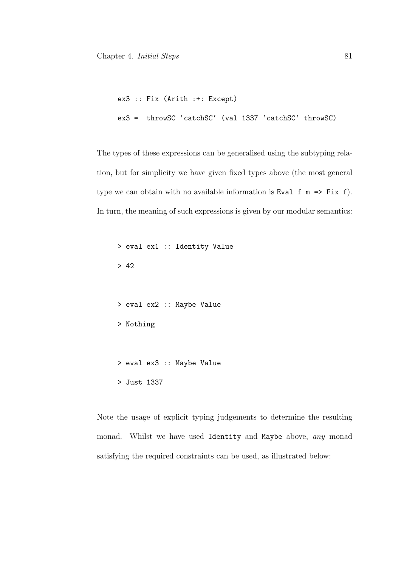```
ex3 :: Fix (Arith :+: Except)
ex3 = throwSC 'catchSC' (val 1337 'catchSC' throwSC)
```
The types of these expressions can be generalised using the subtyping relation, but for simplicity we have given fixed types above (the most general type we can obtain with no available information is Eval  $f \in \mathbb{R}$  => Fix  $f$ ). In turn, the meaning of such expressions is given by our modular semantics:

```
> eval ex1 :: Identity Value
> 42
> eval ex2 :: Maybe Value
> Nothing
> eval ex3 :: Maybe Value
> Just 1337
```
Note the usage of explicit typing judgements to determine the resulting monad. Whilst we have used Identity and Maybe above, any monad satisfying the required constraints can be used, as illustrated below: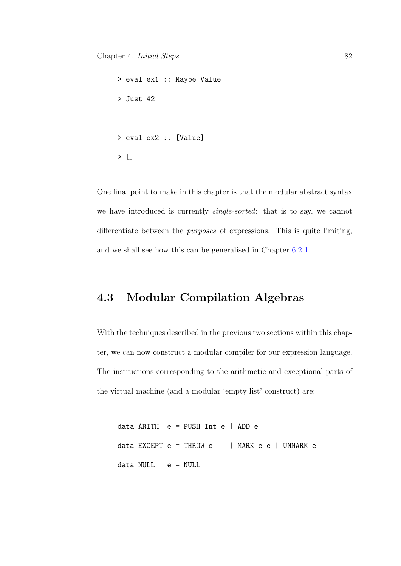```
> eval ex1 :: Maybe Value
> Just 42
> eval ex2 :: [Value]
> []
```
One final point to make in this chapter is that the modular abstract syntax we have introduced is currently single-sorted: that is to say, we cannot differentiate between the purposes of expressions. This is quite limiting, and we shall see how this can be generalised in Chapter [6.2.1.](#page-137-0)

## <span id="page-89-0"></span>4.3 Modular Compilation Algebras

With the techniques described in the previous two sections within this chapter, we can now construct a modular compiler for our expression language. The instructions corresponding to the arithmetic and exceptional parts of the virtual machine (and a modular 'empty list' construct) are:

data ARITH e = PUSH Int e | ADD e data EXCEPT  $e = THROW e$  | MARK e e | UNMARK e data NULL e = NULL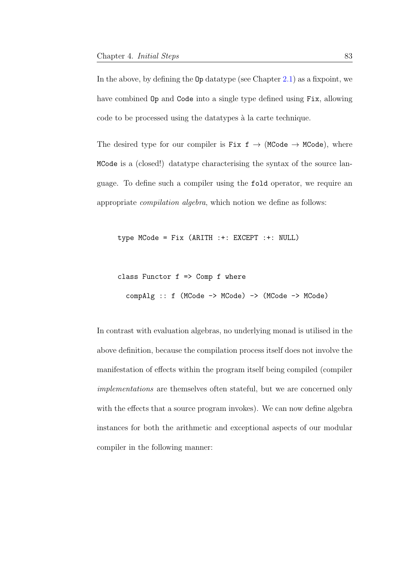In the above, by defining the  $0p$  datatype (see Chapter [2.1\)](#page-20-0) as a fixpoint, we have combined Op and Code into a single type defined using Fix, allowing code to be processed using the datatypes à la carte technique.

The desired type for our compiler is Fix  $f \rightarrow (MCode \rightarrow MCode)$ , where MCode is a (closed!) datatype characterising the syntax of the source language. To define such a compiler using the fold operator, we require an appropriate compilation algebra, which notion we define as follows:

type MCode = Fix (ARITH :+: EXCEPT :+: NULL)

```
class Functor f \Rightarrow Comp f where
  compAlg :: f (MCode -> MCode) -> (MCode -> MCode)
```
In contrast with evaluation algebras, no underlying monad is utilised in the above definition, because the compilation process itself does not involve the manifestation of effects within the program itself being compiled (compiler implementations are themselves often stateful, but we are concerned only with the effects that a source program invokes). We can now define algebra instances for both the arithmetic and exceptional aspects of our modular compiler in the following manner: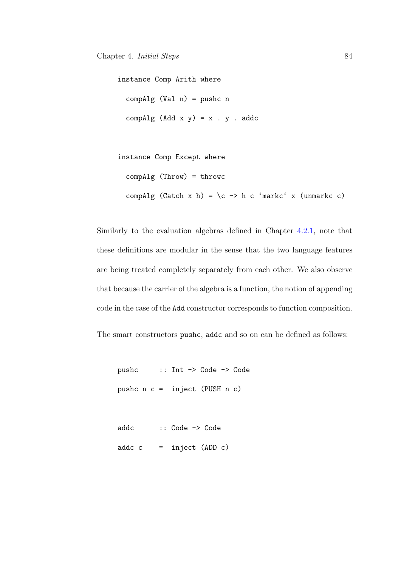instance Comp Arith where  $compAlg (Val n) = pushc n$ compAlg  $(Add x y) = x$ . y. addc

```
instance Comp Except where
 compAlg (Throw) = throwc
 compAlg (Catch x h) = \c -> h c 'markc' x (unmarkc c)
```
Similarly to the evaluation algebras defined in Chapter [4.2.1,](#page-80-0) note that these definitions are modular in the sense that the two language features are being treated completely separately from each other. We also observe that because the carrier of the algebra is a function, the notion of appending code in the case of the Add constructor corresponds to function composition.

The smart constructors pushc, addc and so on can be defined as follows:

pushc :: Int -> Code -> Code pushc n c = inject (PUSH n c)

```
addc :: Code -> Code
\text{addc } c = \text{inject } (\text{ADD } c)
```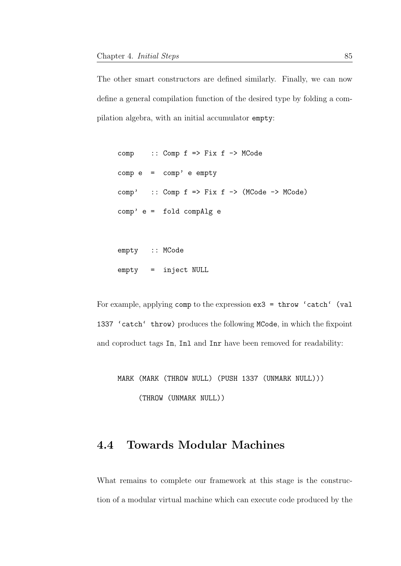The other smart constructors are defined similarly. Finally, we can now define a general compilation function of the desired type by folding a compilation algebra, with an initial accumulator empty:

comp :: Comp f => Fix f -> MCode comp e = comp' e empty  $comp'$  :: Comp  $f \Rightarrow Fix f \rightarrow (MCode \rightarrow MCode)$ comp' e = fold compAlg e

empty :: MCode empty = inject NULL

For example, applying comp to the expression ex3 = throw 'catch' (val 1337 'catch' throw) produces the following MCode, in which the fixpoint and coproduct tags In, Inl and Inr have been removed for readability:

MARK (MARK (THROW NULL) (PUSH 1337 (UNMARK NULL))) (THROW (UNMARK NULL))

## 4.4 Towards Modular Machines

What remains to complete our framework at this stage is the construction of a modular virtual machine which can execute code produced by the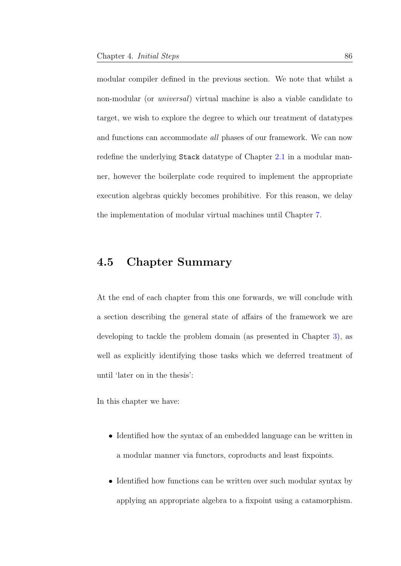modular compiler defined in the previous section. We note that whilst a non-modular (or universal) virtual machine is also a viable candidate to target, we wish to explore the degree to which our treatment of datatypes and functions can accommodate all phases of our framework. We can now redefine the underlying Stack datatype of Chapter [2.1](#page-20-0) in a modular manner, however the boilerplate code required to implement the appropriate execution algebras quickly becomes prohibitive. For this reason, we delay the implementation of modular virtual machines until Chapter [7.](#page-174-0)

## 4.5 Chapter Summary

At the end of each chapter from this one forwards, we will conclude with a section describing the general state of affairs of the framework we are developing to tackle the problem domain (as presented in Chapter [3\)](#page-29-0), as well as explicitly identifying those tasks which we deferred treatment of until 'later on in the thesis':

In this chapter we have:

- Identified how the syntax of an embedded language can be written in a modular manner via functors, coproducts and least fixpoints.
- Identified how functions can be written over such modular syntax by applying an appropriate algebra to a fixpoint using a catamorphism.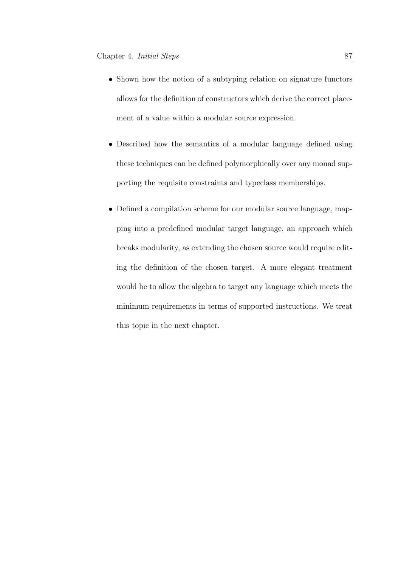- Shown how the notion of a subtyping relation on signature functors allows for the definition of constructors which derive the correct placement of a value within a modular source expression.
- Described how the semantics of a modular language defined using these techniques can be defined polymorphically over any monad supporting the requisite constraints and typeclass memberships.
- Defined a compilation scheme for our modular source language, mapping into a predefined modular target language, an approach which breaks modularity, as extending the chosen source would require editing the definition of the chosen target. A more elegant treatment would be to allow the algebra to target any language which meets the minimum requirements in terms of supported instructions. We treat this topic in the next chapter.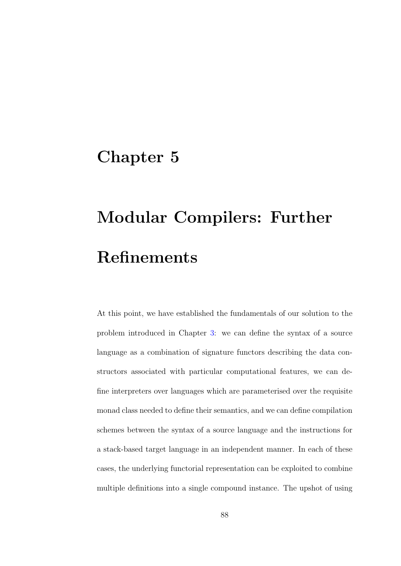## Chapter 5

# Modular Compilers: Further Refinements

At this point, we have established the fundamentals of our solution to the problem introduced in Chapter [3:](#page-29-0) we can define the syntax of a source language as a combination of signature functors describing the data constructors associated with particular computational features, we can define interpreters over languages which are parameterised over the requisite monad class needed to define their semantics, and we can define compilation schemes between the syntax of a source language and the instructions for a stack-based target language in an independent manner. In each of these cases, the underlying functorial representation can be exploited to combine multiple definitions into a single compound instance. The upshot of using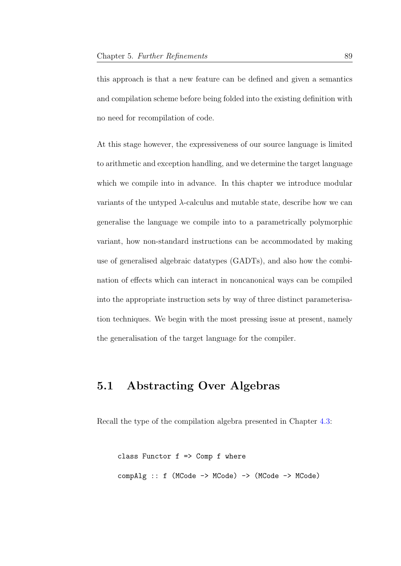this approach is that a new feature can be defined and given a semantics and compilation scheme before being folded into the existing definition with no need for recompilation of code.

At this stage however, the expressiveness of our source language is limited to arithmetic and exception handling, and we determine the target language which we compile into in advance. In this chapter we introduce modular variants of the untyped  $\lambda$ -calculus and mutable state, describe how we can generalise the language we compile into to a parametrically polymorphic variant, how non-standard instructions can be accommodated by making use of generalised algebraic datatypes (GADTs), and also how the combination of effects which can interact in noncanonical ways can be compiled into the appropriate instruction sets by way of three distinct parameterisation techniques. We begin with the most pressing issue at present, namely the generalisation of the target language for the compiler.

## 5.1 Abstracting Over Algebras

Recall the type of the compilation algebra presented in Chapter [4.3:](#page-89-0)

```
class Functor f \Rightarrow Comp f where
compAlg :: f (MCode -> MCode) -> (MCode -> MCode)
```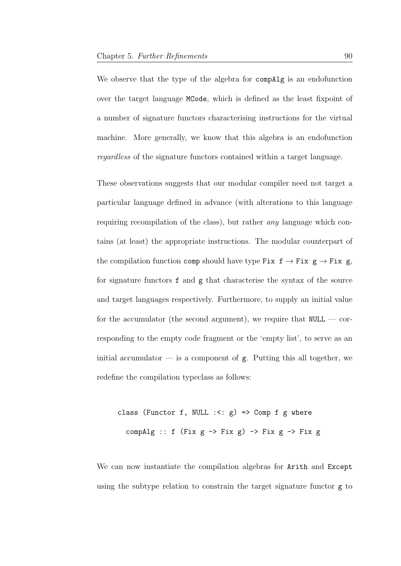We observe that the type of the algebra for compAlg is an endofunction over the target language MCode, which is defined as the least fixpoint of a number of signature functors characterising instructions for the virtual machine. More generally, we know that this algebra is an endofunction regardless of the signature functors contained within a target language.

These observations suggests that our modular compiler need not target a particular language defined in advance (with alterations to this language requiring recompilation of the class), but rather any language which contains (at least) the appropriate instructions. The modular counterpart of the compilation function comp should have type Fix  $f \rightarrow Fix g \rightarrow Fix g$ , for signature functors f and g that characterise the syntax of the source and target languages respectively. Furthermore, to supply an initial value for the accumulator (the second argument), we require that  $NULL - cor$ responding to the empty code fragment or the 'empty list', to serve as an initial accumulator  $\overline{\phantom{a}}$  is a component of g. Putting this all together, we redefine the compilation typeclass as follows:

class (Functor f, NULL  $: < g$ ) => Comp f g where compAlg :: f (Fix  $g \rightarrow Fix g$ ) -> Fix  $g \rightarrow Fix g$ 

We can now instantiate the compilation algebras for Arith and Except using the subtype relation to constrain the target signature functor g to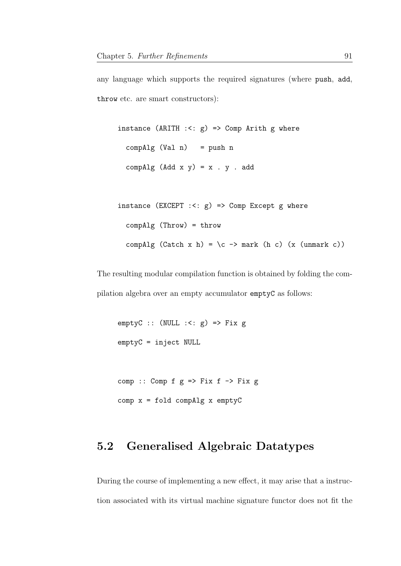```
any language which supports the required signatures (where push, add,
throw etc. are smart constructors):
```

```
instance (ARITH : <: g) => Comp Arith g where
 compAlg (Val n) = push n
 compAlg (Add x y) = x . y . add
```

```
instance (EXCEPT : <: g) => Comp Except g where
 compAlg (Throw) = throw
 compAlg (Catch x h) = \c -> mark (h c) (x (unmark c))
```
The resulting modular compilation function is obtained by folding the compilation algebra over an empty accumulator emptyC as follows:

```
emptyC :: (NULL : <: g) \Rightarrow Fix gemptyC = inject NULL
comp :: Comp f g \Rightarrow Fix f \Rightarrow Fix gcomp x = fold compAlg x emptyC
```
## 5.2 Generalised Algebraic Datatypes

During the course of implementing a new effect, it may arise that a instruction associated with its virtual machine signature functor does not fit the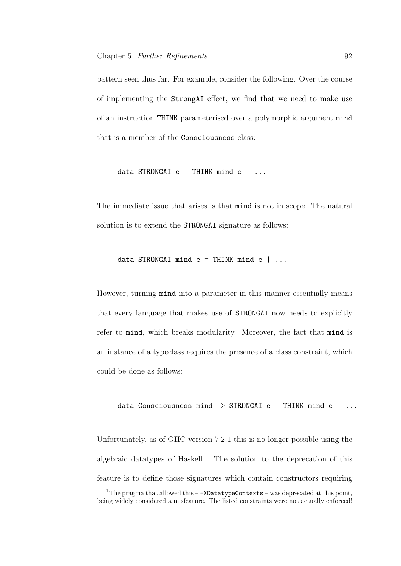pattern seen thus far. For example, consider the following. Over the course of implementing the StrongAI effect, we find that we need to make use of an instruction THINK parameterised over a polymorphic argument mind that is a member of the Consciousness class:

data STRONGAI  $e = THINK$  mind  $e$   $| ...$ 

The immediate issue that arises is that mind is not in scope. The natural solution is to extend the **STRONGAI** signature as follows:

data STRONGAI mind  $e = THINK$  mind  $e$   $| \dots$ 

However, turning mind into a parameter in this manner essentially means that every language that makes use of STRONGAI now needs to explicitly refer to mind, which breaks modularity. Moreover, the fact that mind is an instance of a typeclass requires the presence of a class constraint, which could be done as follows:

data Consciousness mind => STRONGAI e = THINK mind e  $| \dots$ 

Unfortunately, as of GHC version 7.2.1 this is no longer possible using the algebraic datatypes of Haskell<sup>[1](#page-99-0)</sup>. The solution to the deprecation of this feature is to define those signatures which contain constructors requiring

<span id="page-99-0"></span> $1$ The pragma that allowed this  $-$ -XDatatypeContexts – was deprecated at this point, being widely considered a misfeature. The listed constraints were not actually enforced!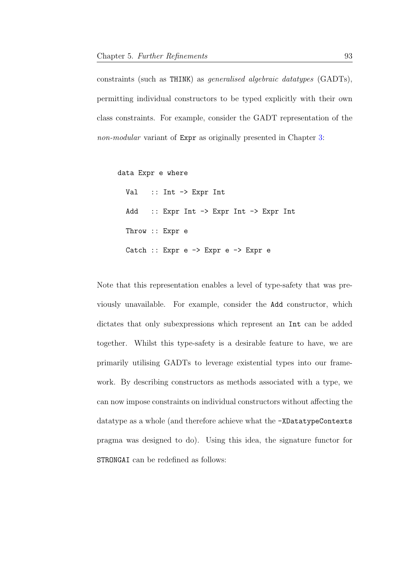constraints (such as THINK) as generalised algebraic datatypes (GADTs), permitting individual constructors to be typed explicitly with their own class constraints. For example, consider the GADT representation of the non-modular variant of Expr as originally presented in Chapter [3:](#page-29-0)

data Expr e where

Val :: Int -> Expr Int Add :: Expr Int -> Expr Int -> Expr Int Throw :: Expr e Catch :: Expr e -> Expr e -> Expr e

Note that this representation enables a level of type-safety that was previously unavailable. For example, consider the Add constructor, which dictates that only subexpressions which represent an Int can be added together. Whilst this type-safety is a desirable feature to have, we are primarily utilising GADTs to leverage existential types into our framework. By describing constructors as methods associated with a type, we can now impose constraints on individual constructors without affecting the datatype as a whole (and therefore achieve what the -XDatatypeContexts pragma was designed to do). Using this idea, the signature functor for STRONGAI can be redefined as follows: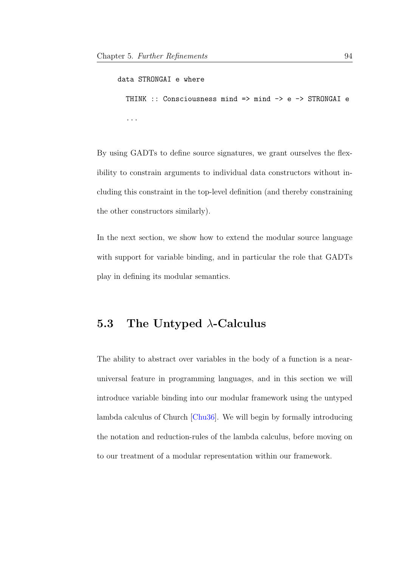```
data STRONGAI e where
  THINK :: Consciousness mind => mind -> e -> STRONGAI e
  ...
```
By using GADTs to define source signatures, we grant ourselves the flexibility to constrain arguments to individual data constructors without including this constraint in the top-level definition (and thereby constraining the other constructors similarly).

In the next section, we show how to extend the modular source language with support for variable binding, and in particular the role that GADTs play in defining its modular semantics.

### 5.3 The Untyped  $\lambda$ -Calculus

The ability to abstract over variables in the body of a function is a nearuniversal feature in programming languages, and in this section we will introduce variable binding into our modular framework using the untyped lambda calculus of Church [\[Chu36\]](#page-204-0). We will begin by formally introducing the notation and reduction-rules of the lambda calculus, before moving on to our treatment of a modular representation within our framework.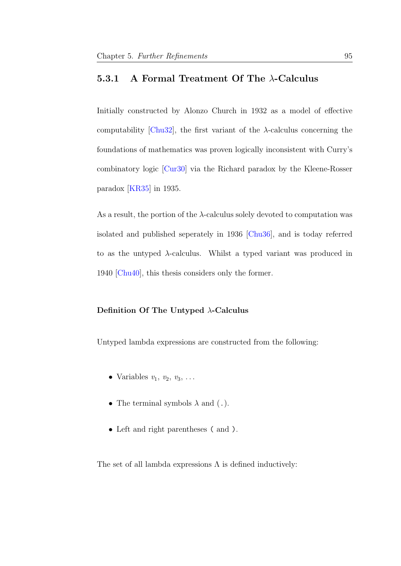### 5.3.1 A Formal Treatment Of The  $\lambda$ -Calculus

Initially constructed by Alonzo Church in 1932 as a model of effective computability [\[Chu32\]](#page-204-1), the first variant of the  $\lambda$ -calculus concerning the foundations of mathematics was proven logically inconsistent with Curry's combinatory logic [\[Cur30\]](#page-204-2) via the Richard paradox by the Kleene-Rosser paradox [\[KR35\]](#page-209-0) in 1935.

As a result, the portion of the  $\lambda$ -calculus solely devoted to computation was isolated and published seperately in 1936 [\[Chu36\]](#page-204-0), and is today referred to as the untyped  $\lambda$ -calculus. Whilst a typed variant was produced in 1940 [\[Chu40\]](#page-204-3), this thesis considers only the former.

### Definition Of The Untyped  $\lambda$ -Calculus

Untyped lambda expressions are constructed from the following:

- Variables  $v_1, v_2, v_3, \ldots$
- The terminal symbols  $\lambda$  and (.).
- Left and right parentheses ( and ).

The set of all lambda expressions  $\Lambda$  is defined inductively: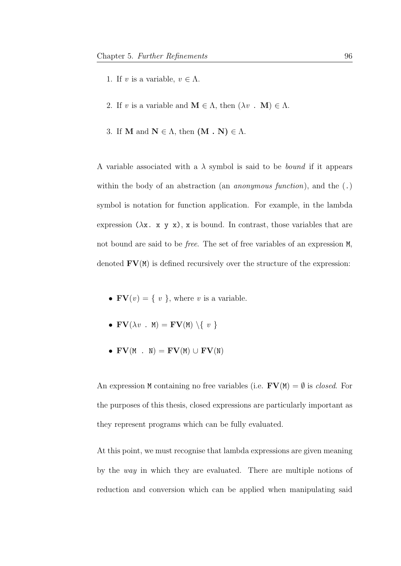- 1. If v is a variable,  $v \in \Lambda$ .
- 2. If v is a variable and  $\mathbf{M} \in \Lambda$ , then  $(\lambda v \cdot \mathbf{M}) \in \Lambda$ .
- 3. If **M** and  $N \in \Lambda$ , then  $(M \cdot N) \in \Lambda$ .

A variable associated with a  $\lambda$  symbol is said to be *bound* if it appears within the body of an abstraction (an *anonymous function*), and the  $(.)$ symbol is notation for function application. For example, in the lambda expression  $(\lambda x. x y x)$ , x is bound. In contrast, those variables that are not bound are said to be free. The set of free variables of an expression M, denoted  $\mathbf{F}\mathbf{V}(M)$  is defined recursively over the structure of the expression:

- $\mathbf{FV}(v) = \{ v \}$ , where v is a variable.
- $\mathbf{FV}(\lambda v \cdot M) = \mathbf{FV}(M) \setminus \{ v \}$
- $\mathbf{FV}(\mathbf{M} \cdot \mathbf{N}) = \mathbf{FV}(\mathbf{M}) \cup \mathbf{FV}(\mathbf{N})$

An expression M containing no free variables (i.e.  $\mathbf{FV}(M) = \emptyset$  is *closed*. For the purposes of this thesis, closed expressions are particularly important as they represent programs which can be fully evaluated.

At this point, we must recognise that lambda expressions are given meaning by the way in which they are evaluated. There are multiple notions of reduction and conversion which can be applied when manipulating said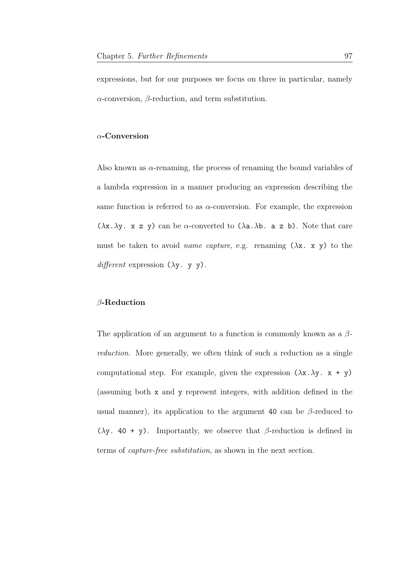expressions, but for our purposes we focus on three in particular, namely  $\alpha$ -conversion,  $\beta$ -reduction, and term substitution.

### α-Conversion

Also known as α-renaming, the process of renaming the bound variables of a lambda expression in a manner producing an expression describing the same function is referred to as  $\alpha$ -conversion. For example, the expression  $(\lambda x.\lambda y. x z y)$  can be  $\alpha$ -converted to  $(\lambda a.\lambda b. a z b)$ . Note that care must be taken to avoid *name capture*, e.g. renaming  $(\lambda x. x y)$  to the  $differential$  expression  $(\lambda y. y y)$ .

### β-Reduction

The application of an argument to a function is commonly known as a  $\beta$ reduction. More generally, we often think of such a reduction as a single computational step. For example, given the expression  $(\lambda x.\lambda y. x + y)$ (assuming both x and y represent integers, with addition defined in the usual manner), its application to the argument 40 can be  $\beta$ -reduced to ( $\lambda$ y. 40 + y). Importantly, we observe that  $\beta$ -reduction is defined in terms of capture-free substitution, as shown in the next section.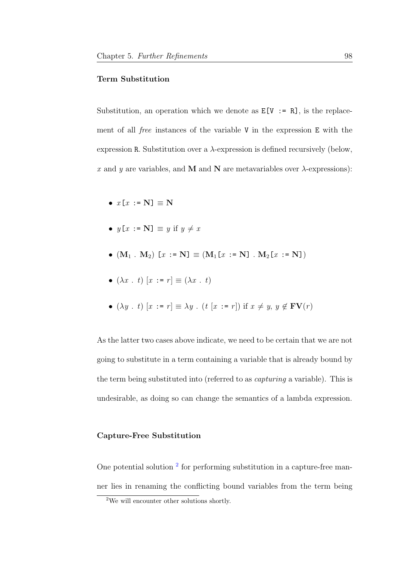#### Term Substitution

Substitution, an operation which we denote as  $E[V := R]$ , is the replacement of all free instances of the variable V in the expression E with the expression R. Substitution over a  $\lambda$ -expression is defined recursively (below, x and y are variables, and M and N are metavariables over  $\lambda$ -expressions):

- $x[x := N] \equiv N$
- $y[x := N] \equiv y$  if  $y \neq x$
- $(M_1 \cdot M_2)$   $[x := N] \equiv (M_1[x := N] \cdot M_2[x := N])$
- $(\lambda x \cdot t)$   $[x := r] \equiv (\lambda x \cdot t)$
- $(\lambda y \cdot t) [x := r] \equiv \lambda y \cdot (t [x := r])$  if  $x \neq y, y \notin \text{FV}(r)$

As the latter two cases above indicate, we need to be certain that we are not going to substitute in a term containing a variable that is already bound by the term being substituted into (referred to as capturing a variable). This is undesirable, as doing so can change the semantics of a lambda expression.

### Capture-Free Substitution

One potential solution<sup>[2](#page-105-0)</sup> for performing substitution in a capture-free manner lies in renaming the conflicting bound variables from the term being

<span id="page-105-0"></span><sup>2</sup>We will encounter other solutions shortly.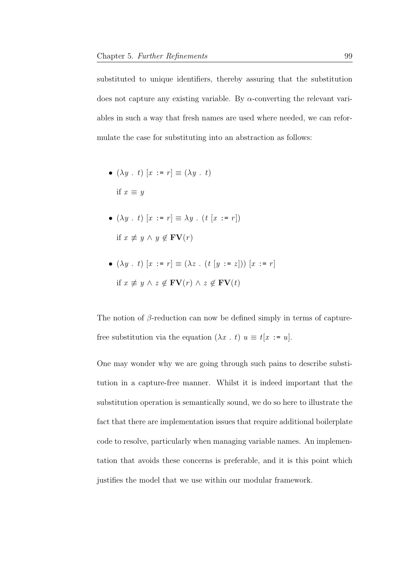substituted to unique identifiers, thereby assuring that the substitution does not capture any existing variable. By  $\alpha$ -converting the relevant variables in such a way that fresh names are used where needed, we can reformulate the case for substituting into an abstraction as follows:

• 
$$
(\lambda y \cdot t) [x := r] \equiv (\lambda y \cdot t)
$$
  
if  $x \equiv y$ 

\n- \n
$$
(\lambda y \cdot t) [x := r] \equiv \lambda y \cdot (t [x := r])
$$
\n
\n- \n if  $x \not\equiv y \land y \not\in \mathbf{FV}(r)$ \n
\n

•  $(\lambda y \cdot t) [x := r] \equiv (\lambda z \cdot (t [y := z])) [x := r]$ if  $x \neq y \land z \notin \textbf{FV}(r) \land z \notin \textbf{FV}(t)$ 

The notion of  $\beta$ -reduction can now be defined simply in terms of capturefree substitution via the equation  $(\lambda x \cdot t) u \equiv t[x := u].$ 

One may wonder why we are going through such pains to describe substitution in a capture-free manner. Whilst it is indeed important that the substitution operation is semantically sound, we do so here to illustrate the fact that there are implementation issues that require additional boilerplate code to resolve, particularly when managing variable names. An implementation that avoids these concerns is preferable, and it is this point which justifies the model that we use within our modular framework.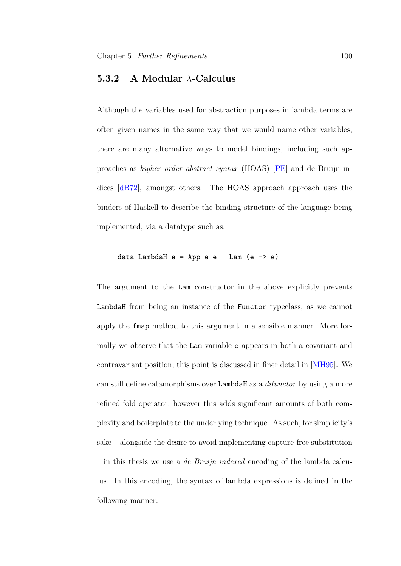### 5.3.2 A Modular  $\lambda$ -Calculus

Although the variables used for abstraction purposes in lambda terms are often given names in the same way that we would name other variables, there are many alternative ways to model bindings, including such approaches as higher order abstract syntax (HOAS) [\[PE\]](#page-213-0) and de Bruijn indices [\[dB72\]](#page-205-0), amongst others. The HOAS approach approach uses the binders of Haskell to describe the binding structure of the language being implemented, via a datatype such as:

$$
data LambdaH e = App e e | Lam (e -> e)
$$

The argument to the Lam constructor in the above explicitly prevents LambdaH from being an instance of the Functor typeclass, as we cannot apply the fmap method to this argument in a sensible manner. More formally we observe that the Lam variable e appears in both a covariant and contravariant position; this point is discussed in finer detail in [\[MH95\]](#page-211-1). We can still define catamorphisms over LambdaH as a *difunctor* by using a more refined fold operator; however this adds significant amounts of both complexity and boilerplate to the underlying technique. As such, for simplicity's sake – alongside the desire to avoid implementing capture-free substitution – in this thesis we use a *de Bruijn indexed* encoding of the lambda calculus. In this encoding, the syntax of lambda expressions is defined in the following manner: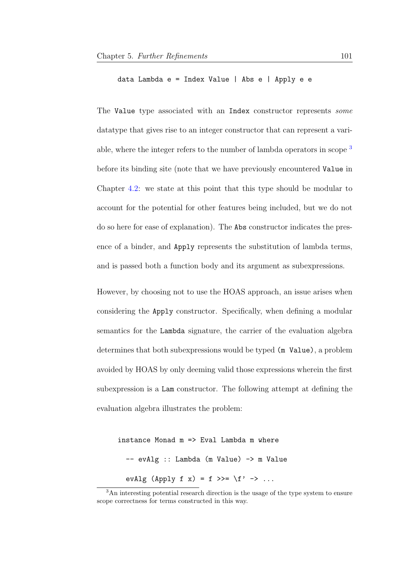data Lambda e = Index Value | Abs e | Apply e e

The Value type associated with an Index constructor represents some datatype that gives rise to an integer constructor that can represent a vari-able, where the integer refers to the number of lambda operators in scope <sup>[3](#page-108-0)</sup> before its binding site (note that we have previously encountered Value in Chapter [4.2:](#page-79-0) we state at this point that this type should be modular to account for the potential for other features being included, but we do not do so here for ease of explanation). The Abs constructor indicates the presence of a binder, and Apply represents the substitution of lambda terms, and is passed both a function body and its argument as subexpressions.

However, by choosing not to use the HOAS approach, an issue arises when considering the Apply constructor. Specifically, when defining a modular semantics for the Lambda signature, the carrier of the evaluation algebra determines that both subexpressions would be typed (m Value), a problem avoided by HOAS by only deeming valid those expressions wherein the first subexpression is a Lam constructor. The following attempt at defining the evaluation algebra illustrates the problem:

```
instance Monad m \implies Eval Lambda m where
  -- evAlg :: Lambda (m Value) -> m Value
  evAlg (Apply f x) = f >>= \f' -> ...
```
<span id="page-108-0"></span><sup>3</sup>An interesting potential research direction is the usage of the type system to ensure scope correctness for terms constructed in this way.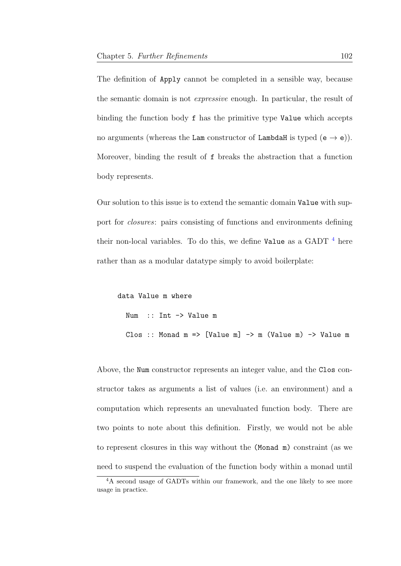The definition of Apply cannot be completed in a sensible way, because the semantic domain is not expressive enough. In particular, the result of binding the function body f has the primitive type Value which accepts no arguments (whereas the Lam constructor of LambdaH is typed  $(e \rightarrow e)$ ). Moreover, binding the result of f breaks the abstraction that a function body represents.

Our solution to this issue is to extend the semantic domain Value with support for closures: pairs consisting of functions and environments defining their non-local variables. To do this, we define Value as a GADT  $^4$  $^4$  here rather than as a modular datatype simply to avoid boilerplate:

```
data Value m where
  Num :: Int -> Value m
  Clos :: Monad m \implies [Value m] \rightarrow m (Value m) \rightarrow Value m
```
Above, the Num constructor represents an integer value, and the Clos constructor takes as arguments a list of values (i.e. an environment) and a computation which represents an unevaluated function body. There are two points to note about this definition. Firstly, we would not be able to represent closures in this way without the (Monad m) constraint (as we need to suspend the evaluation of the function body within a monad until

<span id="page-109-0"></span><sup>&</sup>lt;sup>4</sup>A second usage of GADTs within our framework, and the one likely to see more usage in practice.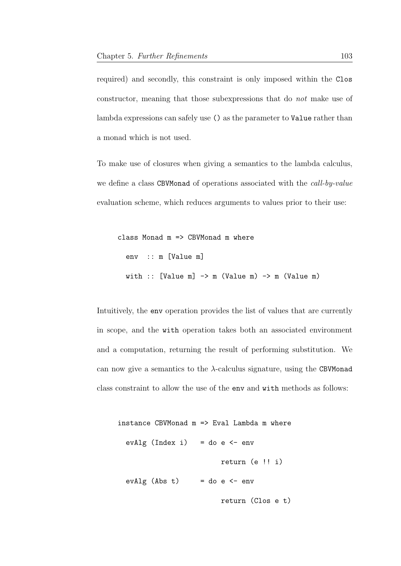required) and secondly, this constraint is only imposed within the Clos constructor, meaning that those subexpressions that do not make use of lambda expressions can safely use () as the parameter to Value rather than a monad which is not used.

To make use of closures when giving a semantics to the lambda calculus, we define a class CBVMonad of operations associated with the *call-by-value* evaluation scheme, which reduces arguments to values prior to their use:

```
class Monad m => CBVMonad m where
  env :: m [Value m]
  with :: [Value m] \rightarrow m (Value m) \rightarrow m (Value m)
```
Intuitively, the env operation provides the list of values that are currently in scope, and the with operation takes both an associated environment and a computation, returning the result of performing substitution. We can now give a semantics to the  $\lambda$ -calculus signature, using the CBVMonad class constraint to allow the use of the env and with methods as follows:

```
instance CBVMonad m \Rightarrow Eval Lambda m where
 evAlg (Index i) = do e < - envreturn (e !! i)
  evAlg (Abs t) = do e \le env
                         return (Clos e t)
```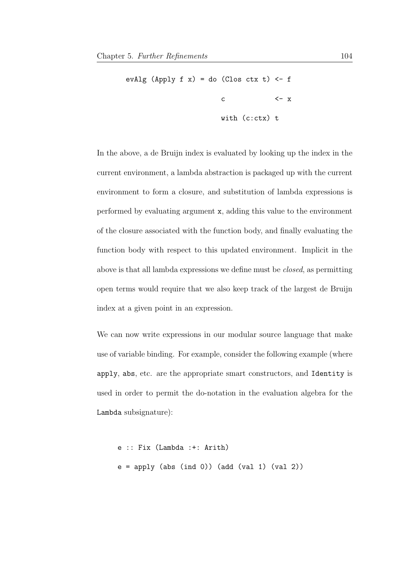```
evAlg (Apply f(x) = do (Clos ctx t) \leftarrow f
                      c <- xwith (c:ctx) t
```
In the above, a de Bruijn index is evaluated by looking up the index in the current environment, a lambda abstraction is packaged up with the current environment to form a closure, and substitution of lambda expressions is performed by evaluating argument x, adding this value to the environment of the closure associated with the function body, and finally evaluating the function body with respect to this updated environment. Implicit in the above is that all lambda expressions we define must be closed, as permitting open terms would require that we also keep track of the largest de Bruijn index at a given point in an expression.

We can now write expressions in our modular source language that make use of variable binding. For example, consider the following example (where apply, abs, etc. are the appropriate smart constructors, and Identity is used in order to permit the do-notation in the evaluation algebra for the Lambda subsignature):

```
e :: Fix (Lambda :+: Arith)
e = apply (abs (ind 0)) (add (val 1) (val 2))
```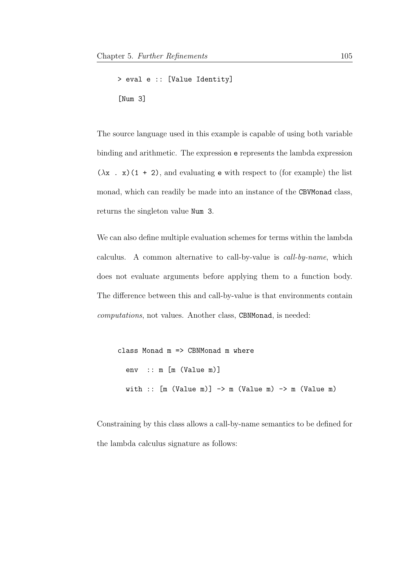```
> eval e :: [Value Identity]
[Num 3]
```
The source language used in this example is capable of using both variable binding and arithmetic. The expression e represents the lambda expression  $(\lambda x \cdot x)(1 + 2)$ , and evaluating **e** with respect to (for example) the list monad, which can readily be made into an instance of the CBVMonad class, returns the singleton value Num 3.

We can also define multiple evaluation schemes for terms within the lambda calculus. A common alternative to call-by-value is call-by-name, which does not evaluate arguments before applying them to a function body. The difference between this and call-by-value is that environments contain computations, not values. Another class, CBNMonad, is needed:

```
class Monad m \implies CBNMonad m where
  env :: m [m (Value m)]
  with :: [m (Value m)] \rightarrow m (Value m) \rightarrow m (Value m)
```
Constraining by this class allows a call-by-name semantics to be defined for the lambda calculus signature as follows: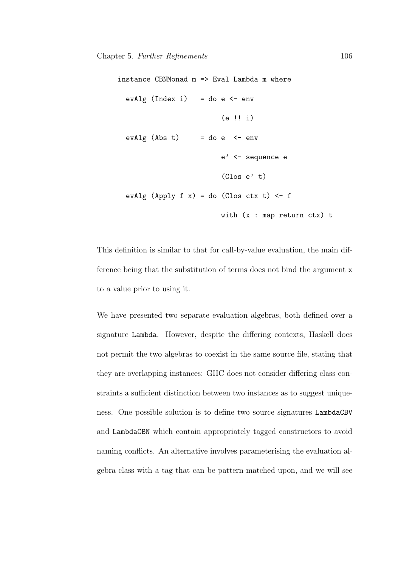```
instance CBNMonad m \implies Eval Lambda m where
 evAlg (Index i) = do e < - env(e !! i)
  evAlg (Abs t) = do e \leftarrow enve' <- sequence e
                           (Clos e' t)
  evAlg (Apply f(x) = do (Clos ctx t) \leftarrow f
                           with (x : map return ctx) t
```
This definition is similar to that for call-by-value evaluation, the main difference being that the substitution of terms does not bind the argument x to a value prior to using it.

We have presented two separate evaluation algebras, both defined over a signature Lambda. However, despite the differing contexts, Haskell does not permit the two algebras to coexist in the same source file, stating that they are overlapping instances: GHC does not consider differing class constraints a sufficient distinction between two instances as to suggest uniqueness. One possible solution is to define two source signatures LambdaCBV and LambdaCBN which contain appropriately tagged constructors to avoid naming conflicts. An alternative involves parameterising the evaluation algebra class with a tag that can be pattern-matched upon, and we will see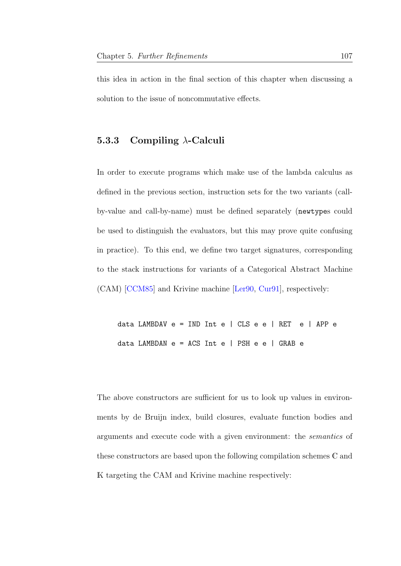this idea in action in the final section of this chapter when discussing a solution to the issue of noncommutative effects.

## 5.3.3 Compiling  $\lambda$ -Calculi

In order to execute programs which make use of the lambda calculus as defined in the previous section, instruction sets for the two variants (callby-value and call-by-name) must be defined separately (newtypes could be used to distinguish the evaluators, but this may prove quite confusing in practice). To this end, we define two target signatures, corresponding to the stack instructions for variants of a Categorical Abstract Machine (CAM) [\[CCM85\]](#page-203-0) and Krivine machine [\[Ler90,](#page-210-0) [Cur91\]](#page-205-0), respectively:

data LAMBDAV e = IND Int e | CLS e e | RET e | APP e data LAMBDAN e = ACS Int e | PSH e e | GRAB e

The above constructors are sufficient for us to look up values in environments by de Bruijn index, build closures, evaluate function bodies and arguments and execute code with a given environment: the semantics of these constructors are based upon the following compilation schemes C and K targeting the CAM and Krivine machine respectively: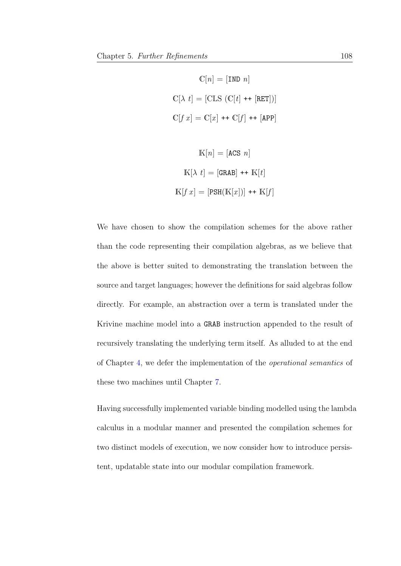$$
\mathbb{C}[n] = [\text{IND } n]
$$

$$
\mathbb{C}[\lambda t] = [\text{CLS } (\mathbb{C}[t] \text{++ } [\text{RET}])]
$$

$$
\mathbb{C}[f x] = \mathbb{C}[x] \text{++ } \mathbb{C}[f] \text{++ } [\text{APP}]
$$

$$
K[n] = [ACS \space n]
$$
  

$$
K[λ \space t] = [GRAB] ++ K[t]
$$
  

$$
K[f \space x] = [PSH(K[x])] ++ K[f]
$$

We have chosen to show the compilation schemes for the above rather than the code representing their compilation algebras, as we believe that the above is better suited to demonstrating the translation between the source and target languages; however the definitions for said algebras follow directly. For example, an abstraction over a term is translated under the Krivine machine model into a GRAB instruction appended to the result of recursively translating the underlying term itself. As alluded to at the end of Chapter [4,](#page-74-0) we defer the implementation of the operational semantics of these two machines until Chapter [7.](#page-174-0)

Having successfully implemented variable binding modelled using the lambda calculus in a modular manner and presented the compilation schemes for two distinct models of execution, we now consider how to introduce persistent, updatable state into our modular compilation framework.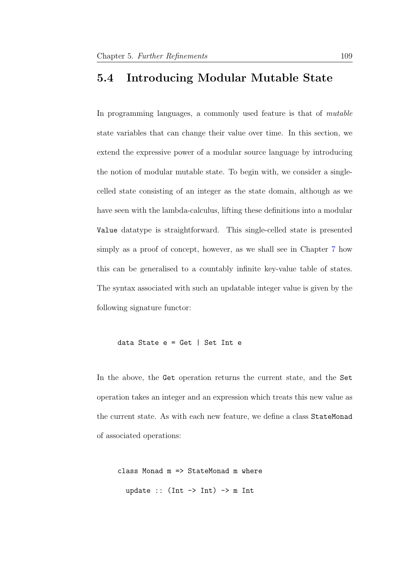# <span id="page-116-0"></span>5.4 Introducing Modular Mutable State

In programming languages, a commonly used feature is that of *mutable* state variables that can change their value over time. In this section, we extend the expressive power of a modular source language by introducing the notion of modular mutable state. To begin with, we consider a singlecelled state consisting of an integer as the state domain, although as we have seen with the lambda-calculus, lifting these definitions into a modular Value datatype is straightforward. This single-celled state is presented simply as a proof of concept, however, as we shall see in Chapter [7](#page-174-0) how this can be generalised to a countably infinite key-value table of states. The syntax associated with such an updatable integer value is given by the following signature functor:

```
data State e = Get | Set Int e
```
In the above, the Get operation returns the current state, and the Set operation takes an integer and an expression which treats this new value as the current state. As with each new feature, we define a class StateMonad of associated operations:

```
class Monad m => StateMonad m where
  update :: (int \rightarrow Int) \rightarrow m Int
```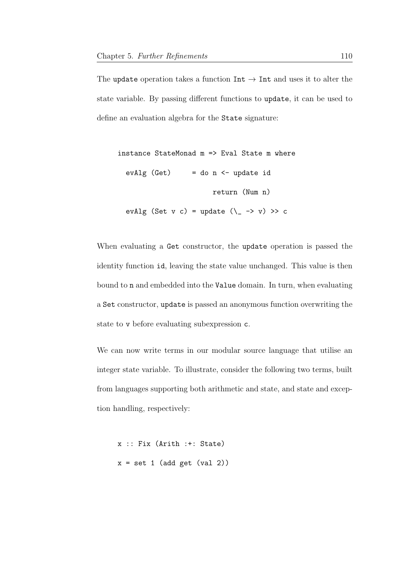The update operation takes a function  $Int \rightarrow Int$  and uses it to alter the state variable. By passing different functions to update, it can be used to define an evaluation algebra for the State signature:

```
instance StateMonad m => Eval State m where
 evAlg (Get) = do n \leq update id
                        return (Num n)
  evAlg (Set v c) = update (\_ - \rightarrow v) \gg c
```
When evaluating a Get constructor, the update operation is passed the identity function id, leaving the state value unchanged. This value is then bound to n and embedded into the Value domain. In turn, when evaluating a Set constructor, update is passed an anonymous function overwriting the state to v before evaluating subexpression c.

We can now write terms in our modular source language that utilise an integer state variable. To illustrate, consider the following two terms, built from languages supporting both arithmetic and state, and state and exception handling, respectively:

```
x :: Fix (Arith :+: State)
x = set 1 (add get (val 2))
```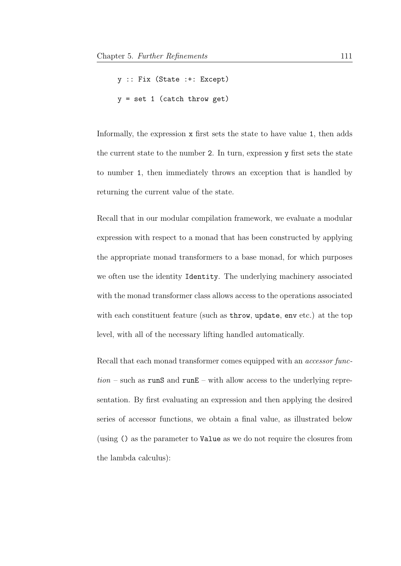```
y :: Fix (State :+: Except)
y = set 1 (catch throw get)
```
Informally, the expression x first sets the state to have value 1, then adds the current state to the number 2. In turn, expression y first sets the state to number 1, then immediately throws an exception that is handled by returning the current value of the state.

Recall that in our modular compilation framework, we evaluate a modular expression with respect to a monad that has been constructed by applying the appropriate monad transformers to a base monad, for which purposes we often use the identity Identity. The underlying machinery associated with the monad transformer class allows access to the operations associated with each constituent feature (such as throw, update, env etc.) at the top level, with all of the necessary lifting handled automatically.

Recall that each monad transformer comes equipped with an *accessor func* $tion$  – such as runS and runE – with allow access to the underlying representation. By first evaluating an expression and then applying the desired series of accessor functions, we obtain a final value, as illustrated below (using () as the parameter to Value as we do not require the closures from the lambda calculus):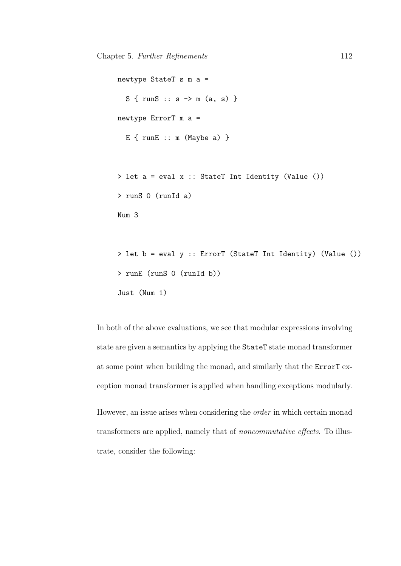```
newtype StateT s m a =
  S \{ runS :: s \rightarrow m (a, s) \}newtype ErrorT m a =
  E { runE :: m (Maybe a) }
> let a = eval x :: StateT Int Identity (Value ())
> runS 0 (runId a)
Num 3
> let b = eval y :: ErrorT (StateT Int Identity) (Value ())
```

```
Just (Num 1)
```
> runE (runS 0 (runId b))

In both of the above evaluations, we see that modular expressions involving state are given a semantics by applying the StateT state monad transformer at some point when building the monad, and similarly that the ErrorT exception monad transformer is applied when handling exceptions modularly.

However, an issue arises when considering the order in which certain monad transformers are applied, namely that of noncommutative effects. To illustrate, consider the following: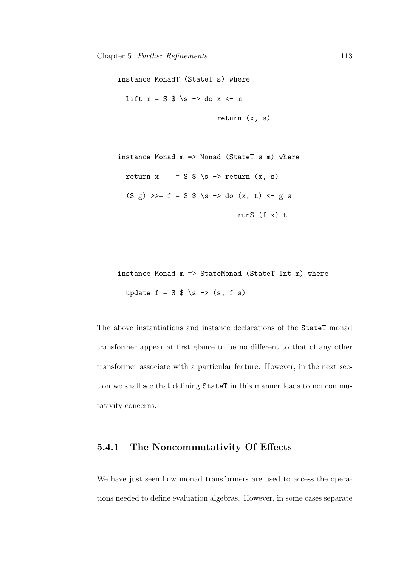instance MonadT (StateT s) where lift  $m = S \$  \s -> do x <- m return (x, s) instance Monad m => Monad (StateT s m) where return  $x = S$  \$ \s -> return  $(x, s)$  $(S g) >> f = S $ \succeq \neg \text{do } (x, t) < - g s$ runS (f x) t

instance Monad m => StateMonad (StateT Int m) where update  $f = S \$  \s -> (s, f s)

The above instantiations and instance declarations of the StateT monad transformer appear at first glance to be no different to that of any other transformer associate with a particular feature. However, in the next section we shall see that defining StateT in this manner leads to noncommutativity concerns.

## 5.4.1 The Noncommutativity Of Effects

We have just seen how monad transformers are used to access the operations needed to define evaluation algebras. However, in some cases separate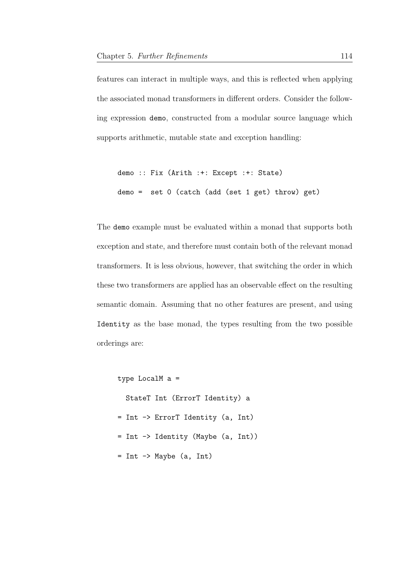features can interact in multiple ways, and this is reflected when applying the associated monad transformers in different orders. Consider the following expression demo, constructed from a modular source language which supports arithmetic, mutable state and exception handling:

```
demo :: Fix (Arith :+: Except :+: State)
demo = set 0 (catch (add (set 1 get) throw) get)
```
The demo example must be evaluated within a monad that supports both exception and state, and therefore must contain both of the relevant monad transformers. It is less obvious, however, that switching the order in which these two transformers are applied has an observable effect on the resulting semantic domain. Assuming that no other features are present, and using Identity as the base monad, the types resulting from the two possible orderings are:

```
type LocalM a =
```
StateT Int (ErrorT Identity) a

- = Int -> ErrorT Identity (a, Int)
- = Int -> Identity (Maybe (a, Int))
- = Int -> Maybe (a, Int)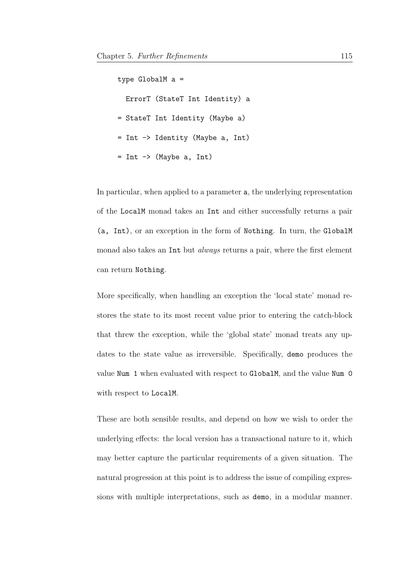type GlobalM a = ErrorT (StateT Int Identity) a = StateT Int Identity (Maybe a) = Int -> Identity (Maybe a, Int) = Int -> (Maybe a, Int)

In particular, when applied to a parameter a, the underlying representation of the LocalM monad takes an Int and either successfully returns a pair (a, Int), or an exception in the form of Nothing. In turn, the GlobalM monad also takes an Int but *always* returns a pair, where the first element can return Nothing.

More specifically, when handling an exception the 'local state' monad restores the state to its most recent value prior to entering the catch-block that threw the exception, while the 'global state' monad treats any updates to the state value as irreversible. Specifically, demo produces the value Num 1 when evaluated with respect to GlobalM, and the value Num 0 with respect to LocalM.

These are both sensible results, and depend on how we wish to order the underlying effects: the local version has a transactional nature to it, which may better capture the particular requirements of a given situation. The natural progression at this point is to address the issue of compiling expressions with multiple interpretations, such as demo, in a modular manner.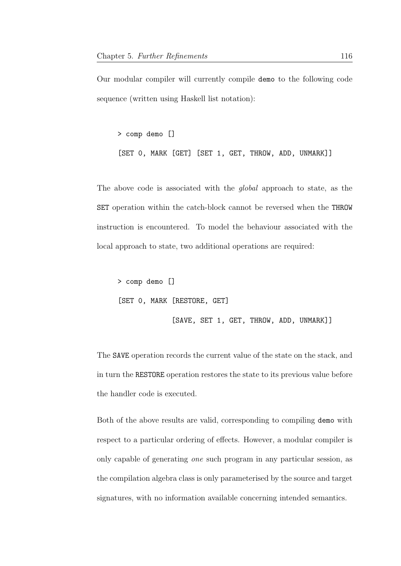Our modular compiler will currently compile demo to the following code sequence (written using Haskell list notation):

> comp demo [] [SET 0, MARK [GET] [SET 1, GET, THROW, ADD, UNMARK]]

The above code is associated with the *global* approach to state, as the SET operation within the catch-block cannot be reversed when the THROW instruction is encountered. To model the behaviour associated with the local approach to state, two additional operations are required:

> comp demo [] [SET 0, MARK [RESTORE, GET] [SAVE, SET 1, GET, THROW, ADD, UNMARK]]

The SAVE operation records the current value of the state on the stack, and in turn the RESTORE operation restores the state to its previous value before the handler code is executed.

Both of the above results are valid, corresponding to compiling demo with respect to a particular ordering of effects. However, a modular compiler is only capable of generating one such program in any particular session, as the compilation algebra class is only parameterised by the source and target signatures, with no information available concerning intended semantics.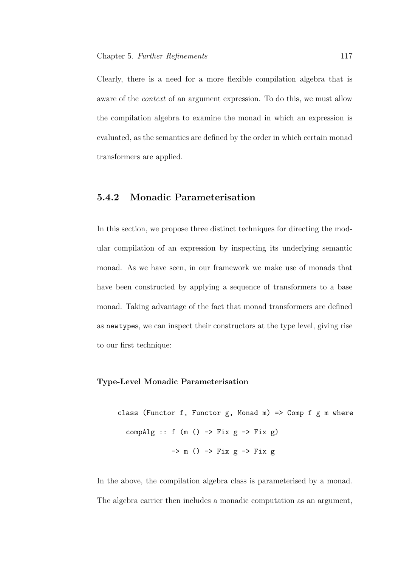Clearly, there is a need for a more flexible compilation algebra that is aware of the context of an argument expression. To do this, we must allow the compilation algebra to examine the monad in which an expression is evaluated, as the semantics are defined by the order in which certain monad transformers are applied.

## 5.4.2 Monadic Parameterisation

In this section, we propose three distinct techniques for directing the modular compilation of an expression by inspecting its underlying semantic monad. As we have seen, in our framework we make use of monads that have been constructed by applying a sequence of transformers to a base monad. Taking advantage of the fact that monad transformers are defined as newtypes, we can inspect their constructors at the type level, giving rise to our first technique:

#### Type-Level Monadic Parameterisation

class (Functor f, Functor  $g$ , Monad m) => Comp f  $g$  m where compAlg ::  $f(m) \rightarrow Fix g \rightarrow Fix g)$  $\Rightarrow$  m ()  $\Rightarrow$  Fix g  $\Rightarrow$  Fix g

In the above, the compilation algebra class is parameterised by a monad. The algebra carrier then includes a monadic computation as an argument,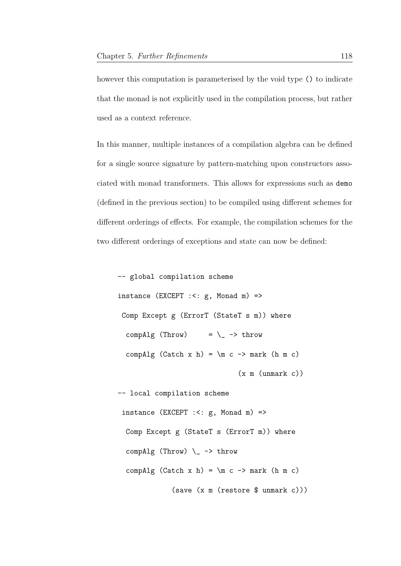however this computation is parameterised by the void type () to indicate that the monad is not explicitly used in the compilation process, but rather used as a context reference.

In this manner, multiple instances of a compilation algebra can be defined for a single source signature by pattern-matching upon constructors associated with monad transformers. This allows for expressions such as demo (defined in the previous section) to be compiled using different schemes for different orderings of effects. For example, the compilation schemes for the two different orderings of exceptions and state can now be defined:

```
-- global compilation scheme
instance (EXCEPT : <: g, Monad m) =>
 Comp Except g (ErrorT (StateT s m)) where
 compAlg (Throw) = \angle -> throw
  compAlg (Catch x h) = \mbox{m c} -> mark (h m c)
                              (x m (unmark c))
-- local compilation scheme
 instance (EXCEPT : <: g, Monad m) =>
  Comp Except g (StateT s (ErrorT m)) where
  compAlg (Throw) \angle -> throw
  compAlg (Catch x h) = \mbox{m c} -> mark (h m c)
             (save (x m (restore $ unmark c)))
```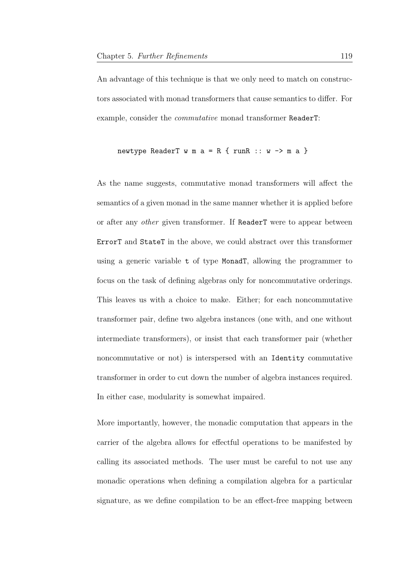An advantage of this technique is that we only need to match on constructors associated with monad transformers that cause semantics to differ. For example, consider the commutative monad transformer ReaderT:

newtype ReaderT w m a = R { runR :: w -> m a }

As the name suggests, commutative monad transformers will affect the semantics of a given monad in the same manner whether it is applied before or after any other given transformer. If ReaderT were to appear between ErrorT and StateT in the above, we could abstract over this transformer using a generic variable t of type MonadT, allowing the programmer to focus on the task of defining algebras only for noncommutative orderings. This leaves us with a choice to make. Either; for each noncommutative transformer pair, define two algebra instances (one with, and one without intermediate transformers), or insist that each transformer pair (whether noncommutative or not) is interspersed with an Identity commutative transformer in order to cut down the number of algebra instances required. In either case, modularity is somewhat impaired.

More importantly, however, the monadic computation that appears in the carrier of the algebra allows for effectful operations to be manifested by calling its associated methods. The user must be careful to not use any monadic operations when defining a compilation algebra for a particular signature, as we define compilation to be an effect-free mapping between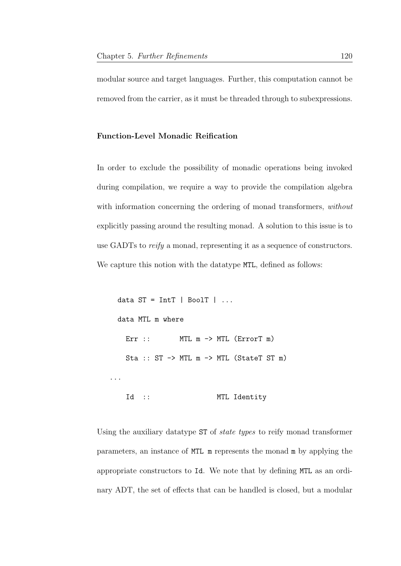modular source and target languages. Further, this computation cannot be removed from the carrier, as it must be threaded through to subexpressions.

#### Function-Level Monadic Reification

In order to exclude the possibility of monadic operations being invoked during compilation, we require a way to provide the compilation algebra with information concerning the ordering of monad transformers, without explicitly passing around the resulting monad. A solution to this issue is to use GADTs to *reify* a monad, representing it as a sequence of constructors. We capture this notion with the datatype MTL, defined as follows:

```
data ST = IntT | BoolT | ...
 data MTL m where
   Err :: MTL m \rightarrow MTL (ErrorT m)
   Sta :: ST -> MTL m -> MTL (StateT ST m)
...
   Id :: MTL Identity
```
Using the auxiliary datatype ST of *state types* to reify monad transformer parameters, an instance of MTL m represents the monad m by applying the appropriate constructors to Id. We note that by defining MTL as an ordinary ADT, the set of effects that can be handled is closed, but a modular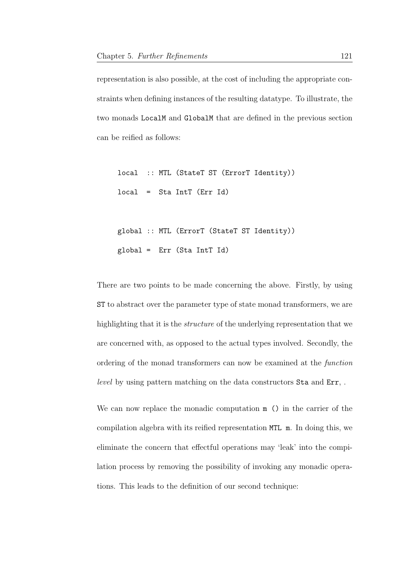representation is also possible, at the cost of including the appropriate constraints when defining instances of the resulting datatype. To illustrate, the two monads LocalM and GlobalM that are defined in the previous section can be reified as follows:

local :: MTL (StateT ST (ErrorT Identity)) local = Sta IntT (Err Id)

global :: MTL (ErrorT (StateT ST Identity)) global = Err (Sta IntT Id)

There are two points to be made concerning the above. Firstly, by using ST to abstract over the parameter type of state monad transformers, we are highlighting that it is the structure of the underlying representation that we are concerned with, as opposed to the actual types involved. Secondly, the ordering of the monad transformers can now be examined at the function level by using pattern matching on the data constructors Sta and Err, .

We can now replace the monadic computation  $m$  () in the carrier of the compilation algebra with its reified representation MTL m. In doing this, we eliminate the concern that effectful operations may 'leak' into the compilation process by removing the possibility of invoking any monadic operations. This leads to the definition of our second technique: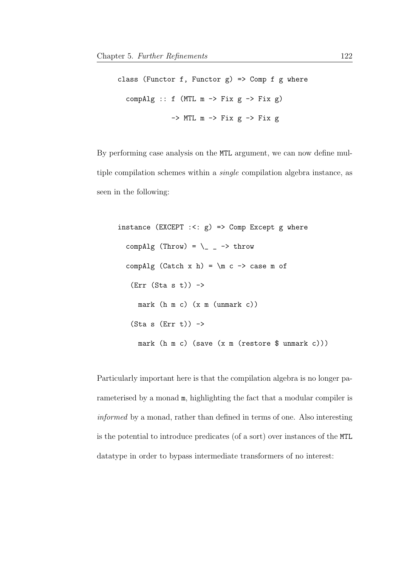class (Functor f, Functor  $g$ ) => Comp f  $g$  where compAlg ::  $f$  (MTL  $m \rightarrow Fix g \rightarrow Fix g$ )  $\Rightarrow$  MTL m  $\Rightarrow$  Fix g  $\Rightarrow$  Fix g

By performing case analysis on the MTL argument, we can now define multiple compilation schemes within a single compilation algebra instance, as seen in the following:

```
instance (EXCEPT : <: g) => Comp Except g where
 compAlg (Throw) = \_{ -} -> throw
  compAlg (Catch x h) = m c -> case m of
   (Err (Sta s t)) \rightarrowmark (h m c) (x m (unmark c))
   (Sta s (Err t)) ->
     mark (h m c) (save (x m (restore $ unmark c)))
```
Particularly important here is that the compilation algebra is no longer parameterised by a monad m, highlighting the fact that a modular compiler is informed by a monad, rather than defined in terms of one. Also interesting is the potential to introduce predicates (of a sort) over instances of the MTL datatype in order to bypass intermediate transformers of no interest: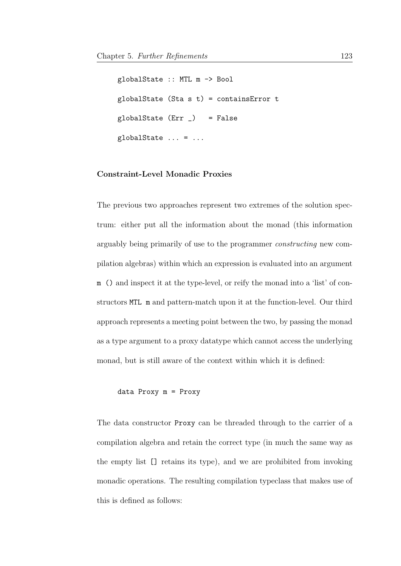```
globalState :: MTL m -> Bool
globalState (Sta s t) = containsError t
globalState (Err_) = False
globalState \dots = \dots
```
#### Constraint-Level Monadic Proxies

The previous two approaches represent two extremes of the solution spectrum: either put all the information about the monad (this information arguably being primarily of use to the programmer constructing new compilation algebras) within which an expression is evaluated into an argument m () and inspect it at the type-level, or reify the monad into a 'list' of constructors MTL m and pattern-match upon it at the function-level. Our third approach represents a meeting point between the two, by passing the monad as a type argument to a proxy datatype which cannot access the underlying monad, but is still aware of the context within which it is defined:

#### data Proxy m = Proxy

The data constructor Proxy can be threaded through to the carrier of a compilation algebra and retain the correct type (in much the same way as the empty list [] retains its type), and we are prohibited from invoking monadic operations. The resulting compilation typeclass that makes use of this is defined as follows: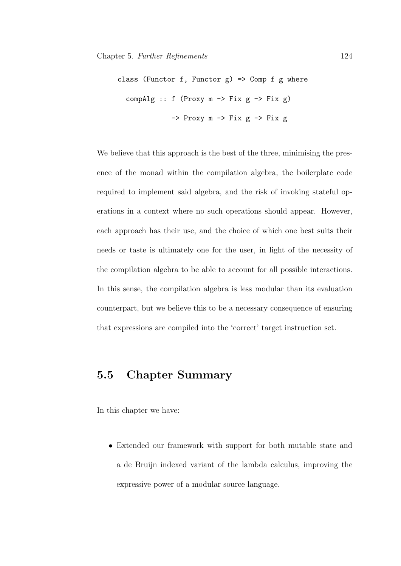```
class (Functor f, Functor g) => Comp f g where
  compAlg :: f (Proxy m \rightarrow Fix g \rightarrow Fix g)
                  \Rightarrow Proxy m \Rightarrow Fix g \Rightarrow Fix g
```
We believe that this approach is the best of the three, minimising the presence of the monad within the compilation algebra, the boilerplate code required to implement said algebra, and the risk of invoking stateful operations in a context where no such operations should appear. However, each approach has their use, and the choice of which one best suits their needs or taste is ultimately one for the user, in light of the necessity of the compilation algebra to be able to account for all possible interactions. In this sense, the compilation algebra is less modular than its evaluation counterpart, but we believe this to be a necessary consequence of ensuring that expressions are compiled into the 'correct' target instruction set.

# 5.5 Chapter Summary

In this chapter we have:

• Extended our framework with support for both mutable state and a de Bruijn indexed variant of the lambda calculus, improving the expressive power of a modular source language.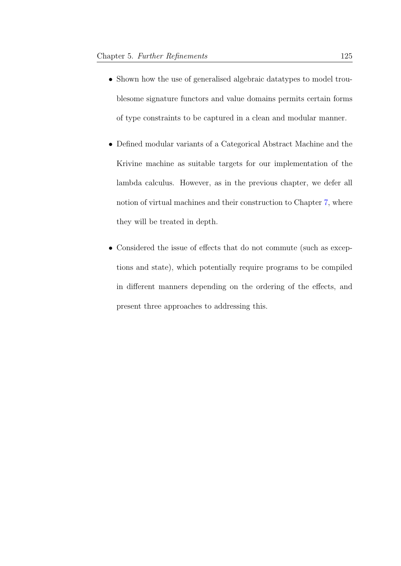- Shown how the use of generalised algebraic datatypes to model troublesome signature functors and value domains permits certain forms of type constraints to be captured in a clean and modular manner.
- Defined modular variants of a Categorical Abstract Machine and the Krivine machine as suitable targets for our implementation of the lambda calculus. However, as in the previous chapter, we defer all notion of virtual machines and their construction to Chapter [7,](#page-174-0) where they will be treated in depth.
- Considered the issue of effects that do not commute (such as exceptions and state), which potentially require programs to be compiled in different manners depending on the ordering of the effects, and present three approaches to addressing this.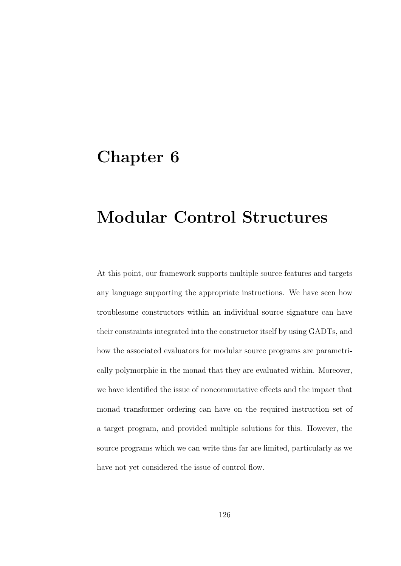# Chapter 6

# Modular Control Structures

At this point, our framework supports multiple source features and targets any language supporting the appropriate instructions. We have seen how troublesome constructors within an individual source signature can have their constraints integrated into the constructor itself by using GADTs, and how the associated evaluators for modular source programs are parametrically polymorphic in the monad that they are evaluated within. Moreover, we have identified the issue of noncommutative effects and the impact that monad transformer ordering can have on the required instruction set of a target program, and provided multiple solutions for this. However, the source programs which we can write thus far are limited, particularly as we have not yet considered the issue of control flow.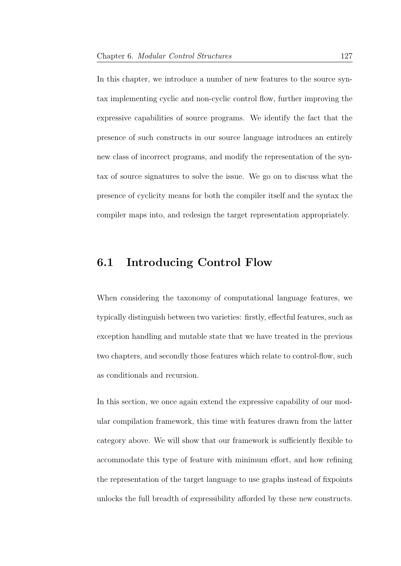In this chapter, we introduce a number of new features to the source syntax implementing cyclic and non-cyclic control flow, further improving the expressive capabilities of source programs. We identify the fact that the presence of such constructs in our source language introduces an entirely new class of incorrect programs, and modify the representation of the syntax of source signatures to solve the issue. We go on to discuss what the presence of cyclicity means for both the compiler itself and the syntax the compiler maps into, and redesign the target representation appropriately.

# 6.1 Introducing Control Flow

When considering the taxonomy of computational language features, we typically distinguish between two varieties: firstly, effectful features, such as exception handling and mutable state that we have treated in the previous two chapters, and secondly those features which relate to control-flow, such as conditionals and recursion.

In this section, we once again extend the expressive capability of our modular compilation framework, this time with features drawn from the latter category above. We will show that our framework is sufficiently flexible to accommodate this type of feature with minimum effort, and how refining the representation of the target language to use graphs instead of fixpoints unlocks the full breadth of expressibility afforded by these new constructs.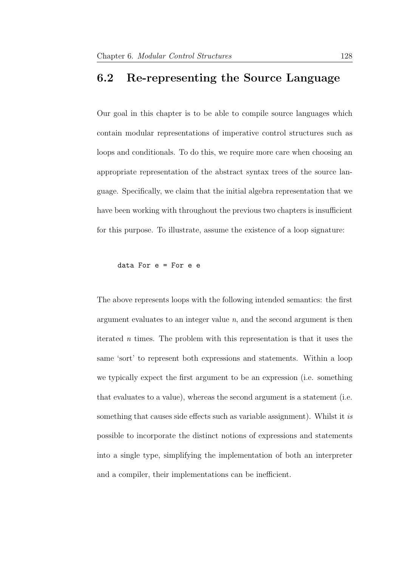## 6.2 Re-representing the Source Language

Our goal in this chapter is to be able to compile source languages which contain modular representations of imperative control structures such as loops and conditionals. To do this, we require more care when choosing an appropriate representation of the abstract syntax trees of the source language. Specifically, we claim that the initial algebra representation that we have been working with throughout the previous two chapters is insufficient for this purpose. To illustrate, assume the existence of a loop signature:

data For e = For e e

The above represents loops with the following intended semantics: the first argument evaluates to an integer value  $n$ , and the second argument is then iterated n times. The problem with this representation is that it uses the same 'sort' to represent both expressions and statements. Within a loop we typically expect the first argument to be an expression (i.e. something that evaluates to a value), whereas the second argument is a statement (i.e. something that causes side effects such as variable assignment). Whilst it is possible to incorporate the distinct notions of expressions and statements into a single type, simplifying the implementation of both an interpreter and a compiler, their implementations can be inefficient.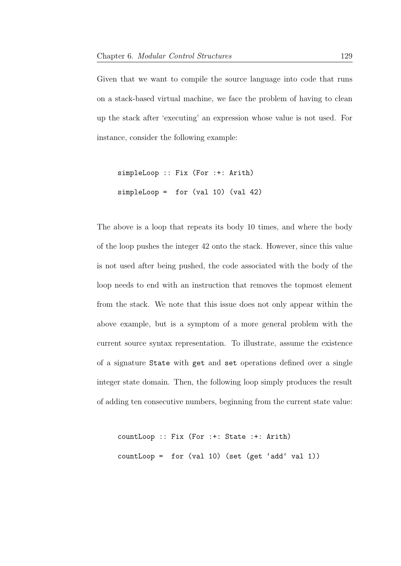Given that we want to compile the source language into code that runs on a stack-based virtual machine, we face the problem of having to clean up the stack after 'executing' an expression whose value is not used. For instance, consider the following example:

```
simpleLoop :: Fix (For :+: Arith)
simpleLoop = for (val 10) (val 42)
```
The above is a loop that repeats its body 10 times, and where the body of the loop pushes the integer 42 onto the stack. However, since this value is not used after being pushed, the code associated with the body of the loop needs to end with an instruction that removes the topmost element from the stack. We note that this issue does not only appear within the above example, but is a symptom of a more general problem with the current source syntax representation. To illustrate, assume the existence of a signature State with get and set operations defined over a single integer state domain. Then, the following loop simply produces the result of adding ten consecutive numbers, beginning from the current state value:

```
countLoop :: Fix (For :+: State :+: Arith)
countLoop = for (val 10) (set (get 'add' val 1))
```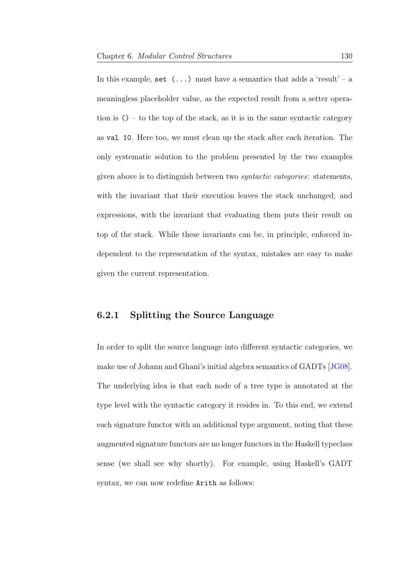In this example, set  $(\ldots)$  must have a semantics that adds a 'result' – a meaningless placeholder value, as the expected result from a setter operation is  $()$  – to the top of the stack, as it is in the same syntactic category as val 10. Here too, we must clean up the stack after each iteration. The only systematic solution to the problem presented by the two examples given above is to distinguish between two syntactic categories: statements, with the invariant that their execution leaves the stack unchanged; and expressions, with the invariant that evaluating them puts their result on top of the stack. While these invariants can be, in principle, enforced independent to the representation of the syntax, mistakes are easy to make given the current representation.

### 6.2.1 Splitting the Source Language

In order to split the source language into different syntactic categories, we make use of Johann and Ghani's initial algebra semantics of GADTs [\[JG08\]](#page-208-0). The underlying idea is that each node of a tree type is annotated at the type level with the syntactic category it resides in. To this end, we extend each signature functor with an additional type argument, noting that these augmented signature functors are no longer functors in the Haskell typeclass sense (we shall see why shortly). For example, using Haskell's GADT syntax, we can now redefine Arith as follows: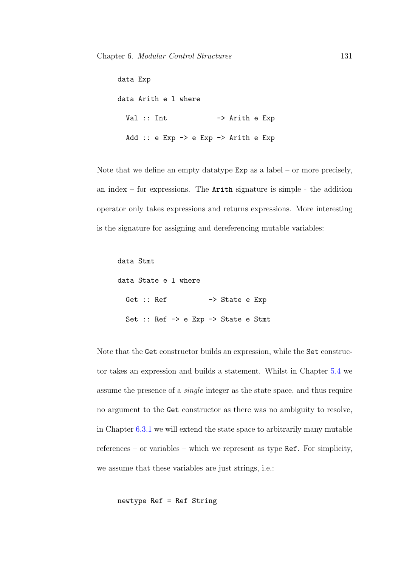data Exp data Arith e l where Val :: Int -> Arith e Exp Add :: e Exp -> e Exp -> Arith e Exp

Note that we define an empty data type  $Exp$  as a label – or more precisely, an index – for expressions. The Arith signature is simple - the addition operator only takes expressions and returns expressions. More interesting is the signature for assigning and dereferencing mutable variables:

```
data Stmt
data State e l where
 Get :: Ref -> State e Exp
 Set :: Ref -> e Exp -> State e Stmt
```
Note that the Get constructor builds an expression, while the Set constructor takes an expression and builds a statement. Whilst in Chapter [5.4](#page-116-0) we assume the presence of a single integer as the state space, and thus require no argument to the Get constructor as there was no ambiguity to resolve, in Chapter [6.3.1](#page-147-0) we will extend the state space to arbitrarily many mutable references – or variables – which we represent as type Ref. For simplicity, we assume that these variables are just strings, i.e.:

newtype Ref = Ref String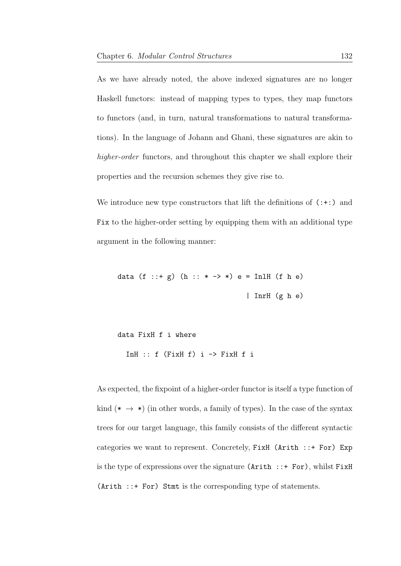As we have already noted, the above indexed signatures are no longer Haskell functors: instead of mapping types to types, they map functors to functors (and, in turn, natural transformations to natural transformations). In the language of Johann and Ghani, these signatures are akin to higher-order functors, and throughout this chapter we shall explore their properties and the recursion schemes they give rise to.

We introduce new type constructors that lift the definitions of  $(\cdot|\cdot)$  and Fix to the higher-order setting by equipping them with an additional type argument in the following manner:

data (f :: + g) (h :: \* -> \*) e = InlH (f h e) | InrH (g h e)

```
data FixH f i where
  InH :: f (FixH f) i \rightarrow FixH f i
```
As expected, the fixpoint of a higher-order functor is itself a type function of kind (\*  $\rightarrow$  \*) (in other words, a family of types). In the case of the syntax trees for our target language, this family consists of the different syntactic categories we want to represent. Concretely, FixH (Arith ::+ For) Exp is the type of expressions over the signature  $(Arith ::+ For)$ , whilst FixH (Arith ::+ For) Stmt is the corresponding type of statements.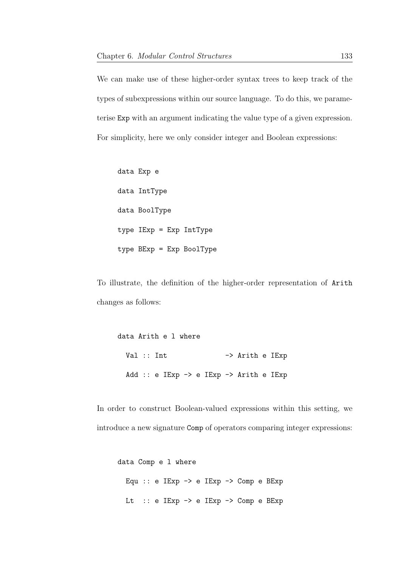We can make use of these higher-order syntax trees to keep track of the types of subexpressions within our source language. To do this, we parameterise Exp with an argument indicating the value type of a given expression. For simplicity, here we only consider integer and Boolean expressions:

data Exp e data IntType data BoolType type IExp = Exp IntType type BExp = Exp BoolType

To illustrate, the definition of the higher-order representation of Arith changes as follows:

data Arith e l where Val :: Int -> Arith e IExp Add :: e IExp -> e IExp -> Arith e IExp

In order to construct Boolean-valued expressions within this setting, we introduce a new signature Comp of operators comparing integer expressions:

```
data Comp e l where
 Equ :: e IExp -> e IExp -> Comp e BExp
 Lt :: e IExp -> e IExp -> Comp e BExp
```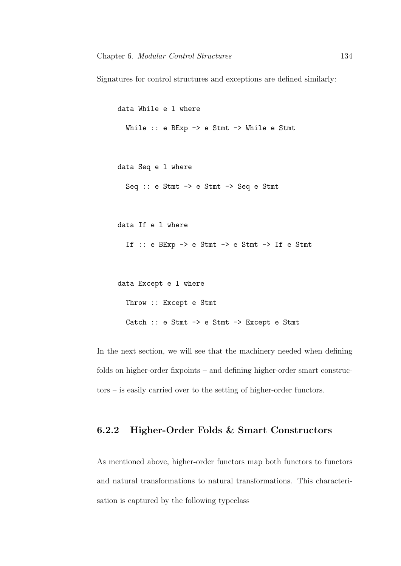Signatures for control structures and exceptions are defined similarly:

```
data While e l where
  While :: e BExp -> e Stmt -> While e Stmt
data Seq e l where
  Seq :: e Stmt -> e Stmt -> Seq e Stmt
data If e l where
  If :: e BExp \rightarrow e Stmt \rightarrow e Stmt \rightarrow If e Stmt
data Except e l where
  Throw :: Except e Stmt
  Catch :: e Stmt -> e Stmt -> Except e Stmt
```
In the next section, we will see that the machinery needed when defining folds on higher-order fixpoints – and defining higher-order smart constructors – is easily carried over to the setting of higher-order functors.

## 6.2.2 Higher-Order Folds & Smart Constructors

As mentioned above, higher-order functors map both functors to functors and natural transformations to natural transformations. This characterisation is captured by the following typeclass —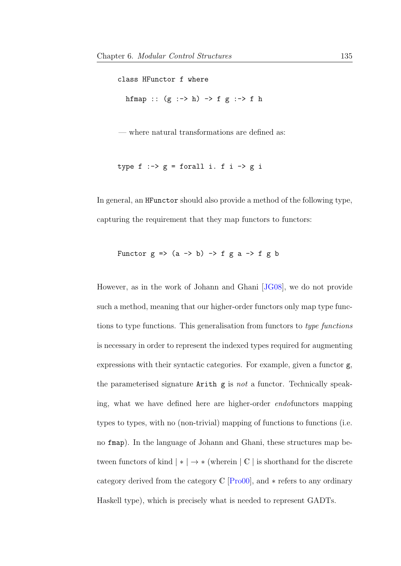class HFunctor f where hfmap ::  $(g :-> h) -> f g :-> f h$ 

— where natural transformations are defined as:

```
type f \div g = forall i. f i \div g i
```
In general, an HFunctor should also provide a method of the following type, capturing the requirement that they map functors to functors:

Functor  $g \Rightarrow (a \rightarrow b) \Rightarrow f g a \Rightarrow f g b$ 

However, as in the work of Johann and Ghani [\[JG08\]](#page-208-0), we do not provide such a method, meaning that our higher-order functors only map type functions to type functions. This generalisation from functors to type functions is necessary in order to represent the indexed types required for augmenting expressions with their syntactic categories. For example, given a functor g, the parameterised signature  $Arith g is not a functor. Technically speak$ ing, what we have defined here are higher-order endofunctors mapping types to types, with no (non-trivial) mapping of functions to functions (i.e. no fmap). In the language of Johann and Ghani, these structures map between functors of kind  $| * | \rightarrow *$  (wherein  $| C |$  is shorthand for the discrete category derived from the category  $\mathbb{C}$  [\[Pro00\]](#page-214-0), and  $*$  refers to any ordinary Haskell type), which is precisely what is needed to represent GADTs.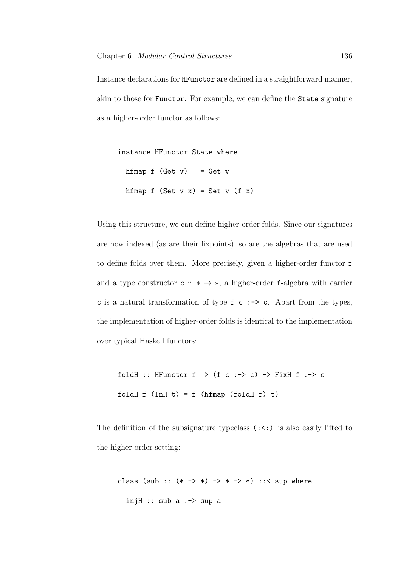Instance declarations for HFunctor are defined in a straightforward manner, akin to those for Functor. For example, we can define the State signature as a higher-order functor as follows:

```
instance HFunctor State where
 hfmap f (Get v) = Get vhfmap f (Set v x) = Set v (f x)
```
Using this structure, we can define higher-order folds. Since our signatures are now indexed (as are their fixpoints), so are the algebras that are used to define folds over them. More precisely, given a higher-order functor f and a type constructor  $\mathsf{c} :: * \to *$ , a higher-order f-algebra with carrier c is a natural transformation of type  $f$  c  $\rightarrow$  c. Apart from the types, the implementation of higher-order folds is identical to the implementation over typical Haskell functors:

foldH :: HFunctor  $f \Rightarrow (f \circ :- \circ c) \Rightarrow FixH f :- \circ c$ foldH  $f$  (InH  $t$ ) =  $f$  (hfmap (foldH  $f$ )  $t$ )

The definition of the subsignature typeclass  $(\cdot \cdot)$  is also easily lifted to the higher-order setting:

```
class (sub :: (* -> *) -> * -> *) : :< sup whereinjH :: sub a :-> sup a
```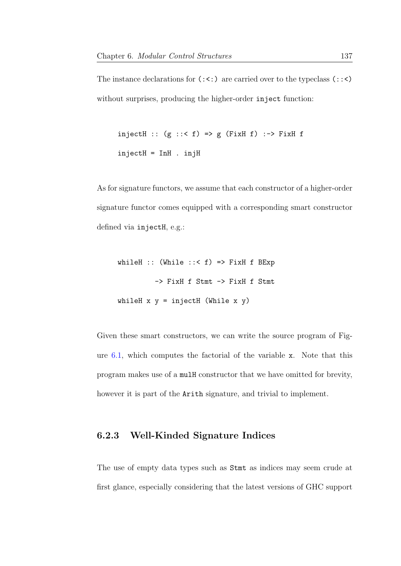The instance declarations for  $(:,:)$  are carried over to the typeclass  $(::z)$ without surprises, producing the higher-order inject function:

```
injectH :: (g :: < f) => g (FixH f) :-> FixH f
injectH = InH . injH
```
As for signature functors, we assume that each constructor of a higher-order signature functor comes equipped with a corresponding smart constructor defined via injectH, e.g.:

whileH :: (While  $::$   $f$ ) => FixH f BExp -> FixH f Stmt -> FixH f Stmt whileH  $x$   $y$  = injectH (While  $x$   $y$ )

Given these smart constructors, we can write the source program of Figure [6.1,](#page-145-0) which computes the factorial of the variable x. Note that this program makes use of a mulH constructor that we have omitted for brevity, however it is part of the Arith signature, and trivial to implement.

#### 6.2.3 Well-Kinded Signature Indices

The use of empty data types such as Stmt as indices may seem crude at first glance, especially considering that the latest versions of GHC support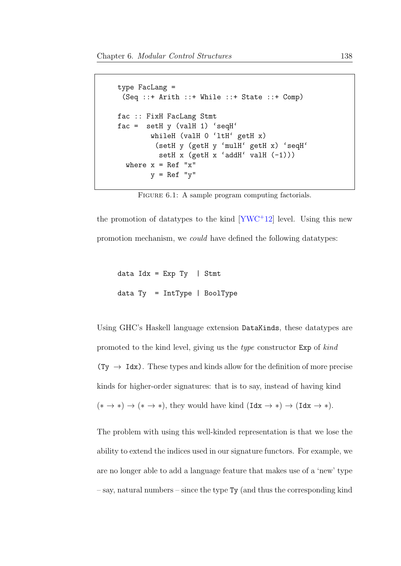```
type FacLang =
 (Seq ::+ Arith ::+ While ::+ State ::+ Comp)
fac :: FixH FacLang Stmt
fac = setH y (valH 1) 'seqH'whileH (valH 0 'ltH' getH x)
          (setH y (getH y 'mulH' getH x) 'seqH'
          setH x (getH x 'addH' valH (-1)))
  where x = \text{Ref } "x"y = \text{Ref } "y"
```
FIGURE 6.1: A sample program computing factorials.

the promotion of datatypes to the kind  $[YWC+12]$  $[YWC+12]$  level. Using this new promotion mechanism, we could have defined the following datatypes:

```
data Idx = Exp Ty | Stmt
data Ty = IntType | BoolType
```
Using GHC's Haskell language extension DataKinds, these datatypes are promoted to the kind level, giving us the type constructor Exp of kind  $(Ty \rightarrow \text{Idx})$ . These types and kinds allow for the definition of more precise kinds for higher-order signatures: that is to say, instead of having kind  $(* \to *) \to (* \to *)$ , they would have kind  $(\text{Idx} \to *) \to (\text{Idx} \to *)$ .

The problem with using this well-kinded representation is that we lose the ability to extend the indices used in our signature functors. For example, we are no longer able to add a language feature that makes use of a 'new' type  $-$  say, natural numbers  $-$  since the type Ty (and thus the corresponding kind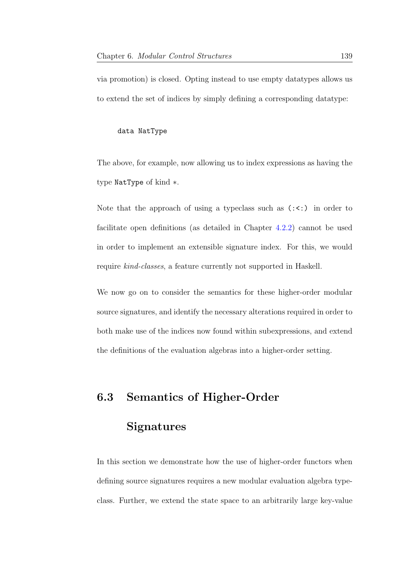via promotion) is closed. Opting instead to use empty datatypes allows us to extend the set of indices by simply defining a corresponding datatype:

#### data NatType

The above, for example, now allowing us to index expressions as having the type NatType of kind ∗.

Note that the approach of using a typeclass such as  $(\cdot \leq \cdot)$  in order to facilitate open definitions (as detailed in Chapter [4.2.2\)](#page-85-0) cannot be used in order to implement an extensible signature index. For this, we would require kind-classes, a feature currently not supported in Haskell.

We now go on to consider the semantics for these higher-order modular source signatures, and identify the necessary alterations required in order to both make use of the indices now found within subexpressions, and extend the definitions of the evaluation algebras into a higher-order setting.

## 6.3 Semantics of Higher-Order

### **Signatures**

In this section we demonstrate how the use of higher-order functors when defining source signatures requires a new modular evaluation algebra typeclass. Further, we extend the state space to an arbitrarily large key-value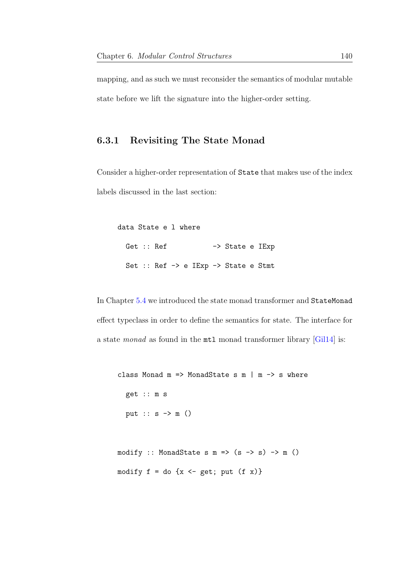mapping, and as such we must reconsider the semantics of modular mutable state before we lift the signature into the higher-order setting.

#### <span id="page-147-0"></span>6.3.1 Revisiting The State Monad

Consider a higher-order representation of State that makes use of the index labels discussed in the last section:

| data State e 1 where |            |  |  |                                                            |  |
|----------------------|------------|--|--|------------------------------------------------------------|--|
|                      | Get :: Ref |  |  | $\rightarrow$ State e IExp                                 |  |
|                      |            |  |  | Set :: Ref $\rightarrow$ e IExp $\rightarrow$ State e Stmt |  |

In Chapter [5.4](#page-116-0) we introduced the state monad transformer and StateMonad effect typeclass in order to define the semantics for state. The interface for a state monad as found in the mtl monad transformer library [\[Gil14\]](#page-206-0) is:

```
class Monad m \Rightarrow MonadState s m \mid m \Rightarrow s where
  get :: m s
  put :: s \rightarrow m ()
```
modify :: MonadState s  $m \Rightarrow$  (s -> s) -> m () modify  $f = do \{x \leftarrow get; put (f x)\}$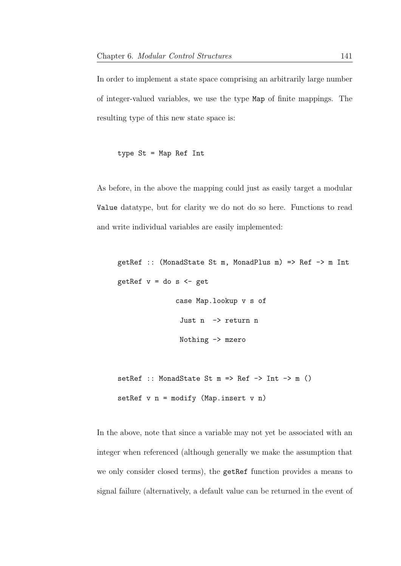In order to implement a state space comprising an arbitrarily large number of integer-valued variables, we use the type Map of finite mappings. The resulting type of this new state space is:

```
type St = Map Ref Int
```
As before, in the above the mapping could just as easily target a modular Value datatype, but for clarity we do not do so here. Functions to read and write individual variables are easily implemented:

```
getRef :: (MonadState St m, MonadPlus m) => Ref -> m Int
getRef v = do s < - getcase Map.lookup v s of
               Just n -> return n
               Nothing -> mzero
```

```
setRef :: MonadState St m => Ref -> Int -> m ()
setRef v n = modify (Map.insert v n)
```
In the above, note that since a variable may not yet be associated with an integer when referenced (although generally we make the assumption that we only consider closed terms), the getRef function provides a means to signal failure (alternatively, a default value can be returned in the event of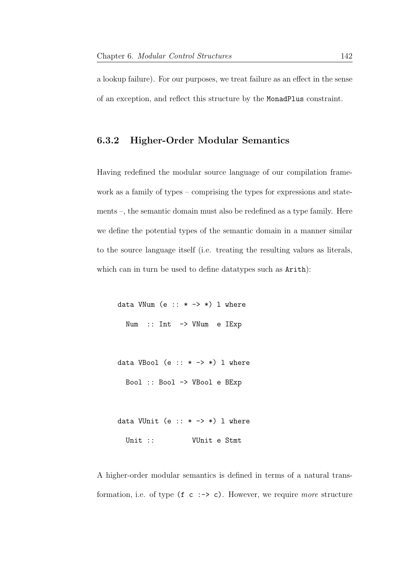a lookup failure). For our purposes, we treat failure as an effect in the sense of an exception, and reflect this structure by the MonadPlus constraint.

#### <span id="page-149-0"></span>6.3.2 Higher-Order Modular Semantics

Having redefined the modular source language of our compilation framework as a family of types – comprising the types for expressions and statements –, the semantic domain must also be redefined as a type family. Here we define the potential types of the semantic domain in a manner similar to the source language itself (i.e. treating the resulting values as literals, which can in turn be used to define datatypes such as  $Arith$ :

data VNum  $(e : : * -> *)$  l where Num :: Int -> VNum e IExp

data VBool (e ::  $*$  ->  $*)$  l where

Bool :: Bool -> VBool e BExp

data VUnit (e  $:: * -> *$ ) 1 where Unit :: VUnit e Stmt

A higher-order modular semantics is defined in terms of a natural transformation, i.e. of type  $(f \ c \div\> c)$ . However, we require more structure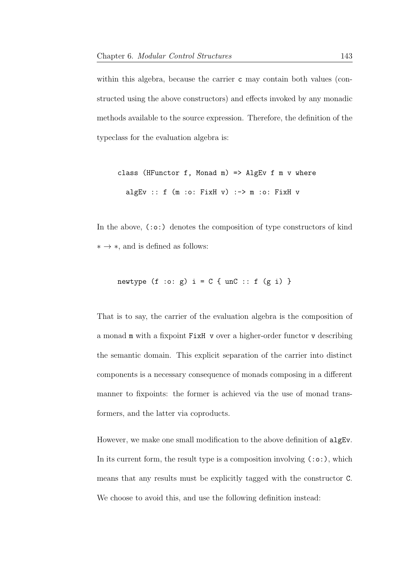within this algebra, because the carrier c may contain both values (constructed using the above constructors) and effects invoked by any monadic methods available to the source expression. Therefore, the definition of the typeclass for the evaluation algebra is:

class (HFunctor f, Monad m) => AlgEv f m  $v$  where algEv ::  $f(m \cdot o: FixH v) :-> m \cdot o: FixH v$ 

In the above, (:o:) denotes the composition of type constructors of kind  $* \rightarrow *$ , and is defined as follows:

$$
\texttt{newtype} \;\; (\texttt{f} \; : \texttt{o}: \; \texttt{g}) \; \; \texttt{i = C} \; \{ \; \texttt{unC} \; : \; \texttt{f} \; \; (\texttt{g} \; \; \texttt{i}) \; \}
$$

That is to say, the carrier of the evaluation algebra is the composition of a monad m with a fixpoint FixH v over a higher-order functor v describing the semantic domain. This explicit separation of the carrier into distinct components is a necessary consequence of monads composing in a different manner to fixpoints: the former is achieved via the use of monad transformers, and the latter via coproducts.

However, we make one small modification to the above definition of algEv. In its current form, the result type is a composition involving  $(:o:),$  which means that any results must be explicitly tagged with the constructor C. We choose to avoid this, and use the following definition instead: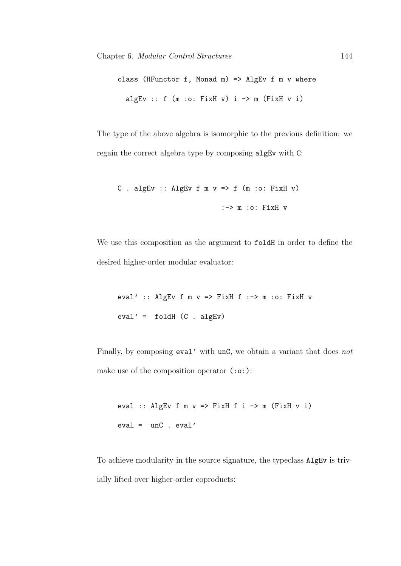class (HFunctor f, Monad m) => AlgEv f m  $v$  where algEv ::  $f(m \cdot o: FixH v)$   $i \rightarrow m$  (FixH v i)

The type of the above algebra is isomorphic to the previous definition: we regain the correct algebra type by composing algEv with C:

```
C . algEv :: AlgEv f m v \Rightarrow f (m :o: FixH v)
                             :-> m :o: FixH v
```
We use this composition as the argument to foldH in order to define the desired higher-order modular evaluator:

eval' :: AlgEv f m  $v \implies$  FixH f :-> m :o: FixH v  $eval' = foldH (C . algEv)$ 

Finally, by composing eval' with unC, we obtain a variant that does not make use of the composition operator (:o:):

eval :: AlgEv f m  $v \implies$  FixH f i  $\rightarrow$  m (FixH v i) eval = unC . eval'

To achieve modularity in the source signature, the typeclass AlgEv is trivially lifted over higher-order coproducts: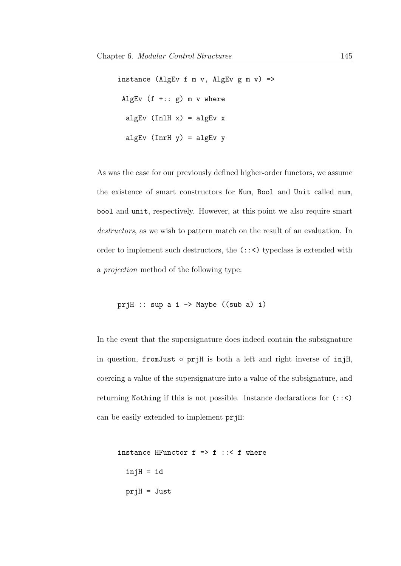```
instance (AlgEv f m v, AlgEv g m v) =>
AlgEv (f + :: g) m v where
 algEv (In1H x) = algEv xalgEv (InrH y) = algEv y
```
As was the case for our previously defined higher-order functors, we assume the existence of smart constructors for Num, Bool and Unit called num, bool and unit, respectively. However, at this point we also require smart destructors, as we wish to pattern match on the result of an evaluation. In order to implement such destructors, the (::<) typeclass is extended with a projection method of the following type:

```
prjH :: sup a i \rightarrow Maybe ((sub a) i)
```
In the event that the supersignature does indeed contain the subsignature in question, fromJust ◦ prjH is both a left and right inverse of injH, coercing a value of the supersignature into a value of the subsignature, and returning Nothing if this is not possible. Instance declarations for (::<) can be easily extended to implement prjH:

```
instance HFunctor f \Rightarrow f :: f where
  injH = id
  prjH = Just
```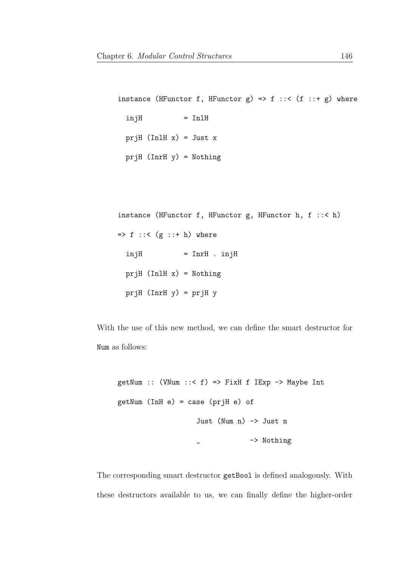instance (HFunctor f, HFunctor g) => f ::< (f ::+ g) where  $injH$  = InlH prjH  $(In1H x) = Just x$ prjH (InrH y) = Nothing

instance (HFunctor f, HFunctor g, HFunctor h, f ::< h)  $\Rightarrow$  f ::< (g ::+ h) where  $injH$  = InrH .  $injH$  $prjH$  (InlH x) = Nothing  $prjH$  (InrH  $y$ ) =  $prjH y$ 

With the use of this new method, we can define the smart destructor for Num as follows:

getNum ::  $($ VNum ::  $\leq f$ ) => FixH f IExp -> Maybe Int getNum (InH e) = case (prjH e) of Just (Num n) -> Just n \_ -> Nothing

The corresponding smart destructor getBool is defined analogously. With these destructors available to us, we can finally define the higher-order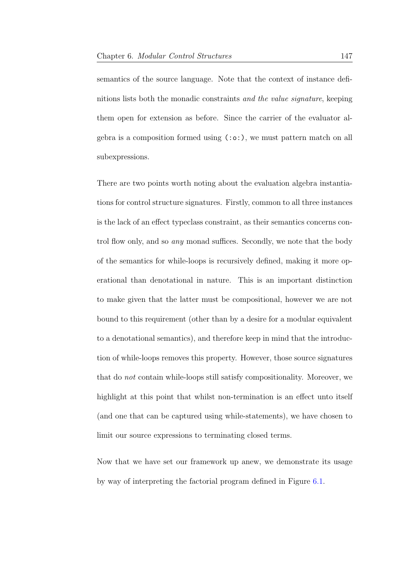semantics of the source language. Note that the context of instance definitions lists both the monadic constraints and the value signature, keeping them open for extension as before. Since the carrier of the evaluator algebra is a composition formed using (:o:), we must pattern match on all subexpressions.

There are two points worth noting about the evaluation algebra instantiations for control structure signatures. Firstly, common to all three instances is the lack of an effect typeclass constraint, as their semantics concerns control flow only, and so *any* monad suffices. Secondly, we note that the body of the semantics for while-loops is recursively defined, making it more operational than denotational in nature. This is an important distinction to make given that the latter must be compositional, however we are not bound to this requirement (other than by a desire for a modular equivalent to a denotational semantics), and therefore keep in mind that the introduction of while-loops removes this property. However, those source signatures that do not contain while-loops still satisfy compositionality. Moreover, we highlight at this point that whilst non-termination is an effect unto itself (and one that can be captured using while-statements), we have chosen to limit our source expressions to terminating closed terms.

Now that we have set our framework up anew, we demonstrate its usage by way of interpreting the factorial program defined in Figure [6.1.](#page-145-0)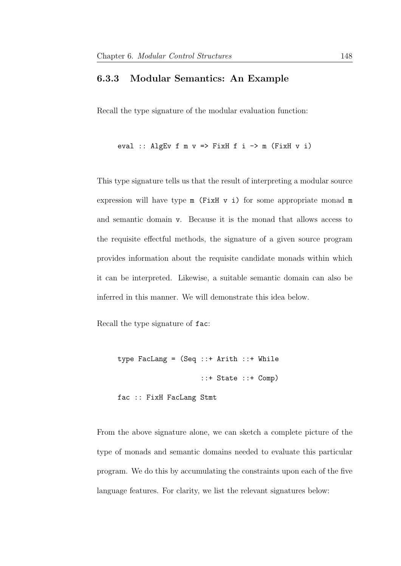#### <span id="page-155-0"></span>6.3.3 Modular Semantics: An Example

Recall the type signature of the modular evaluation function:

eval :: AlgEv f m  $v \implies$  FixH f i -> m (FixH v i)

This type signature tells us that the result of interpreting a modular source expression will have type  $m$  (FixH  $v$  i) for some appropriate monad  $m$ and semantic domain v. Because it is the monad that allows access to the requisite effectful methods, the signature of a given source program provides information about the requisite candidate monads within which it can be interpreted. Likewise, a suitable semantic domain can also be inferred in this manner. We will demonstrate this idea below.

Recall the type signature of fac:

```
type FacLang = (Seq ::+ Arith ::+ While
                    ::+ State ::+ Comp)
```
fac :: FixH FacLang Stmt

From the above signature alone, we can sketch a complete picture of the type of monads and semantic domains needed to evaluate this particular program. We do this by accumulating the constraints upon each of the five language features. For clarity, we list the relevant signatures below: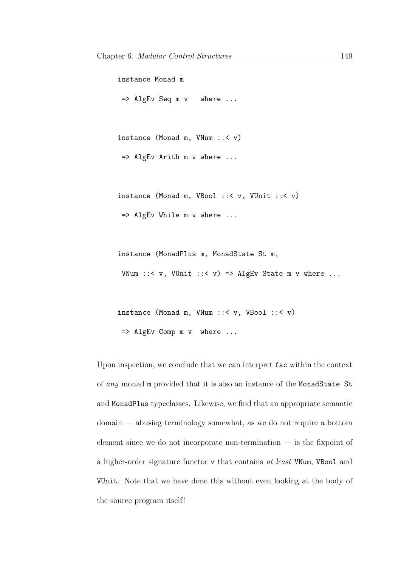```
instance Monad m
=> AlgEv Seq m v where ...
instance (Monad m, VNum ::< v)
=> AlgEv Arith m v where ...
instance (Monad m, VBool ::< v, VUnit ::< v)
=> AlgEv While m v where ...
instance (MonadPlus m, MonadState St m,
```
VNum  $::< v$ , VUnit  $::< v$ ) => AlgEv State m v where ...

```
instance (Monad m, VNum ::< v, VBool ::< v)
=> AlgEv Comp m v where ...
```
Upon inspection, we conclude that we can interpret fac within the context of any monad m provided that it is also an instance of the MonadState St and MonadPlus typeclasses. Likewise, we find that an appropriate semantic domain — abusing terminology somewhat, as we do not require a bottom element since we do not incorporate non-termination — is the fixpoint of a higher-order signature functor v that contains at least VNum, VBool and VUnit. Note that we have done this without even looking at the body of the source program itself!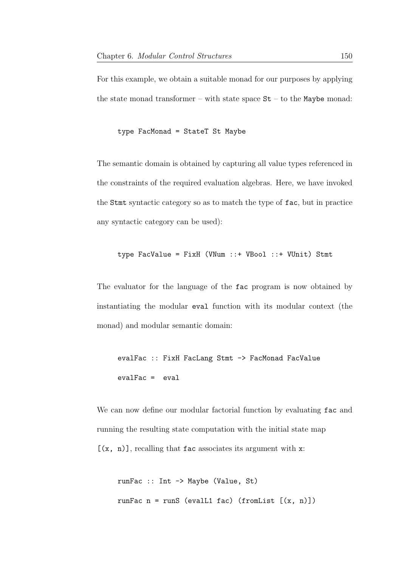For this example, we obtain a suitable monad for our purposes by applying the state monad transformer – with state space  $St$  – to the Maybe monad:

type FacMonad = StateT St Maybe

The semantic domain is obtained by capturing all value types referenced in the constraints of the required evaluation algebras. Here, we have invoked the Stmt syntactic category so as to match the type of fac, but in practice any syntactic category can be used):

```
type FacValue = FixH (VNum ::+ VBool ::+ VUnit) Stmt
```
The evaluator for the language of the fac program is now obtained by instantiating the modular eval function with its modular context (the monad) and modular semantic domain:

```
evalFac :: FixH FacLang Stmt -> FacMonad FacValue
evalFac = eval
```
We can now define our modular factorial function by evaluating fac and running the resulting state computation with the initial state map  $[(x, n)]$ , recalling that fac associates its argument with x:

```
runFac :: Int -> Maybe (Value, St)
runFac n = runS (evalL1 fac) (fromList [(x, n)])
```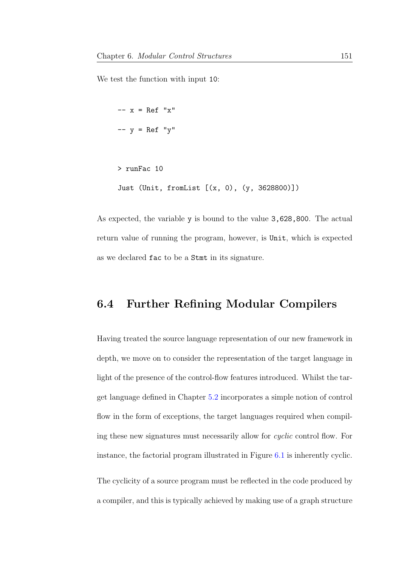We test the function with input 10:

```
-- x = Ref "x"-- y = Ref "y"> runFac 10
Just (Unit, fromList [(x, 0), (y, 3628800)])
```
As expected, the variable y is bound to the value 3,628,800. The actual return value of running the program, however, is Unit, which is expected as we declared fac to be a Stmt in its signature.

## 6.4 Further Refining Modular Compilers

Having treated the source language representation of our new framework in depth, we move on to consider the representation of the target language in light of the presence of the control-flow features introduced. Whilst the target language defined in Chapter [5.2](#page-98-0) incorporates a simple notion of control flow in the form of exceptions, the target languages required when compiling these new signatures must necessarily allow for cyclic control flow. For instance, the factorial program illustrated in Figure [6.1](#page-145-0) is inherently cyclic.

The cyclicity of a source program must be reflected in the code produced by a compiler, and this is typically achieved by making use of a graph structure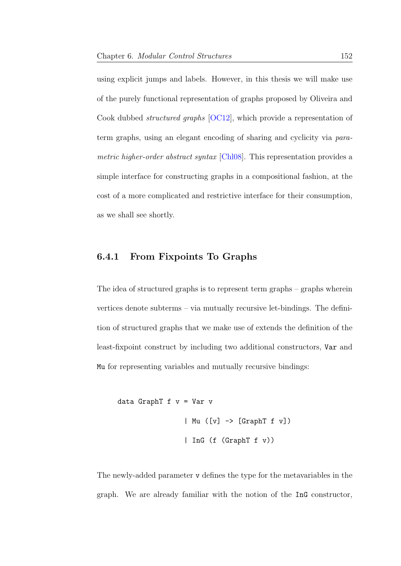using explicit jumps and labels. However, in this thesis we will make use of the purely functional representation of graphs proposed by Oliveira and Cook dubbed structured graphs [\[OC12\]](#page-213-0), which provide a representation of term graphs, using an elegant encoding of sharing and cyclicity via para-metric higher-order abstract syntax [\[Chl08\]](#page-204-0). This representation provides a simple interface for constructing graphs in a compositional fashion, at the cost of a more complicated and restrictive interface for their consumption, as we shall see shortly.

#### 6.4.1 From Fixpoints To Graphs

The idea of structured graphs is to represent term graphs – graphs wherein vertices denote subterms – via mutually recursive let-bindings. The definition of structured graphs that we make use of extends the definition of the least-fixpoint construct by including two additional constructors, Var and Mu for representing variables and mutually recursive bindings:

```
data GraphT f v = Var v
                | Mu ([v] -> [GraphT f v])
                 | InG (f (GraphT f v))
```
The newly-added parameter v defines the type for the metavariables in the graph. We are already familiar with the notion of the InG constructor,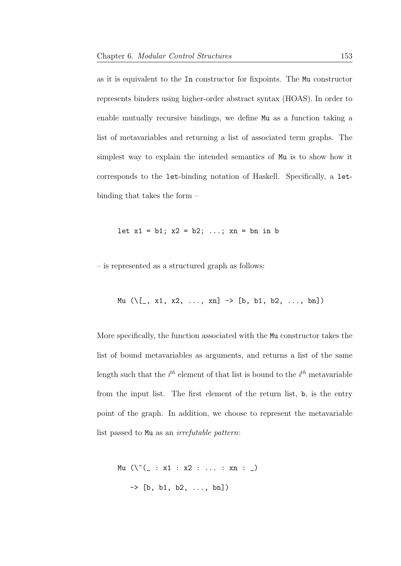as it is equivalent to the In constructor for fixpoints. The Mu constructor represents binders using higher-order abstract syntax (HOAS). In order to enable mutually recursive bindings, we define Mu as a function taking a list of metavariables and returning a list of associated term graphs. The simplest way to explain the intended semantics of Mu is to show how it corresponds to the let-binding notation of Haskell. Specifically, a letbinding that takes the form –

let 
$$
x1 = b1
$$
;  $x2 = b2$ ; ...,  $xn = bn$  in b

– is represented as a structured graph as follows:

$$
\text{Mu} (\setminus [..., x1, x2, ..., xn] \rightarrow [b, b1, b2, ..., bn])
$$

More specifically, the function associated with the Mu constructor takes the list of bound metavariables as arguments, and returns a list of the same length such that the  $i^{th}$  element of that list is bound to the  $i^{th}$  metavariable from the input list. The first element of the return list, b, is the entry point of the graph. In addition, we choose to represent the metavariable list passed to Mu as an irrefutable pattern:

$$
\begin{array}{lcl} \texttt{Mu} \ (\ \backslash \ \tilde{ } \ ([ \ : \ x1 \ : \ x2 \ : \ \ldots \ : \ xn \ : \ ) \\ \\ \texttt{-> [b, \ b1, \ b2, \ \ldots, \ bn] } ) \end{array}
$$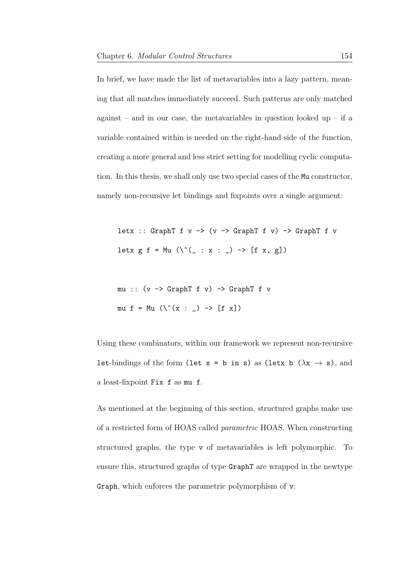In brief, we have made the list of metavariables into a lazy pattern, meaning that all matches immediately succeed. Such patterns are only matched against – and in our case, the metavariables in question looked up – if a variable contained within is needed on the right-hand side of the function, creating a more general and less strict setting for modelling cyclic computation. In this thesis, we shall only use two special cases of the Mu constructor, namely non-recursive let bindings and fixpoints over a single argument:

letx :: GraphT f  $v \rightarrow (v \rightarrow$  GraphT f  $v) \rightarrow$  GraphT f v letx  $g f = Mu \ (\ ( \ ( \ ( x : x : ) \ \rightarrow \ [ f x, g ] )$ 

mu :: (v -> GraphT f v) -> GraphT f v mu f = Mu  $(\, \backslash \, \widetilde{\,} \, (x : \_ ) \rightarrow [f x])$ 

Using these combinators, within our framework we represent non-recursive let-bindings of the form (let  $x = b$  in s) as (letx b ( $\lambda x \rightarrow s$ ), and a least-fixpoint Fix f as mu f.

As mentioned at the beginning of this section, structured graphs make use of a restricted form of HOAS called parametric HOAS. When constructing structured graphs, the type v of metavariables is left polymorphic. To ensure this, structured graphs of type GraphT are wrapped in the newtype Graph, which enforces the parametric polymorphism of v: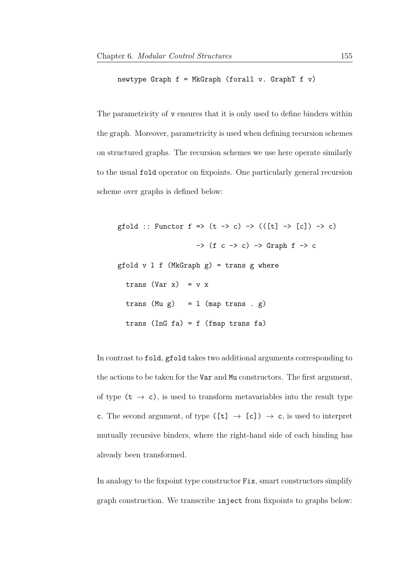newtype Graph  $f = MkGraph$  (forall v. GraphT  $f$  v)

The parametricity of v ensures that it is only used to define binders within the graph. Moreover, parametricity is used when defining recursion schemes on structured graphs. The recursion schemes we use here operate similarly to the usual fold operator on fixpoints. One particularly general recursion scheme over graphs is defined below:

```
gfold :: Functor f \Rightarrow (t \to c) \Rightarrow (([t] \to [c]) \to c)\rightarrow (f c \rightarrow c) \rightarrow Graph f \rightarrow c
gfold v \perp f (MkGraph g) = trans g where
  trans (Var x) = v x
  trans (Mu g) = 1 (map trans . g)
  trans (InG fa) = f (fmap trans fa)
```
In contrast to fold, gfold takes two additional arguments corresponding to the actions to be taken for the Var and Mu constructors. The first argument, of type  $(t \rightarrow c)$ , is used to transform metavariables into the result type c. The second argument, of type ([t]  $\rightarrow$  [c])  $\rightarrow$  c, is used to interpret mutually recursive binders, where the right-hand side of each binding has already been transformed.

In analogy to the fixpoint type constructor Fix, smart constructors simplify graph construction. We transcribe inject from fixpoints to graphs below: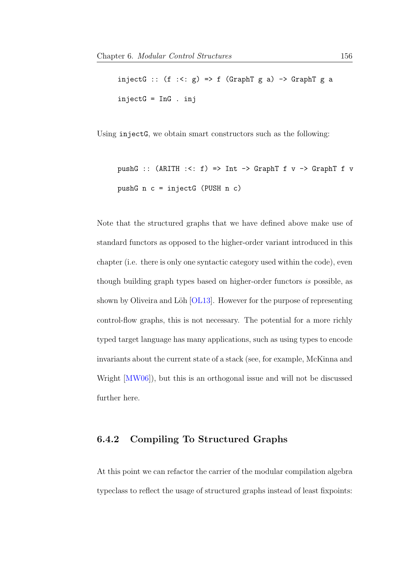injectG ::  $(f : \langle : g \rangle \Rightarrow f$  (GraphT g a) -> GraphT g a injectG = InG . inj

Using injectG, we obtain smart constructors such as the following:

```
pushG :: (ARITH : \le f) \Rightarrow Int \Rightarrow GraphT f v \Rightarrow GraphT f vpushG n c = injectG (PUSH n c)
```
Note that the structured graphs that we have defined above make use of standard functors as opposed to the higher-order variant introduced in this chapter (i.e. there is only one syntactic category used within the code), even though building graph types based on higher-order functors is possible, as shown by Oliveira and Löh  $[OL13]$ . However for the purpose of representing control-flow graphs, this is not necessary. The potential for a more richly typed target language has many applications, such as using types to encode invariants about the current state of a stack (see, for example, McKinna and Wright [\[MW06\]](#page-212-0)), but this is an orthogonal issue and will not be discussed further here.

#### 6.4.2 Compiling To Structured Graphs

At this point we can refactor the carrier of the modular compilation algebra typeclass to reflect the usage of structured graphs instead of least fixpoints: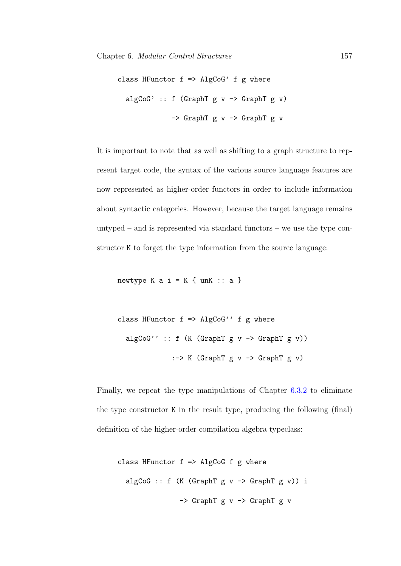```
class HFunctor f \Rightarrow \text{AlgCoG'} f g where
  algCoG' :: f (GraphT g v \rightarrow GraphT g v)
                -> GraphT g v -> GraphT g v
```
It is important to note that as well as shifting to a graph structure to represent target code, the syntax of the various source language features are now represented as higher-order functors in order to include information about syntactic categories. However, because the target language remains untyped – and is represented via standard functors – we use the type constructor K to forget the type information from the source language:

newtype K a  $i = K \{unk :: a\}$ 

class HFunctor  $f \Rightarrow$  AlgCoG''  $f$  g where algCoG'' :: f  $(K (GraphT g v \rightarrow GraphT g v))$ :-> K (GraphT g v -> GraphT g v)

Finally, we repeat the type manipulations of Chapter [6.3.2](#page-149-0) to eliminate the type constructor K in the result type, producing the following (final) definition of the higher-order compilation algebra typeclass:

```
class HFunctor f \Rightarrow AlgCoG f g where
  algCoG :: f (K (GraphT g v \rightarrow GraphT g v)) i
                    \rightarrow GraphT g v \rightarrow GraphT g v
```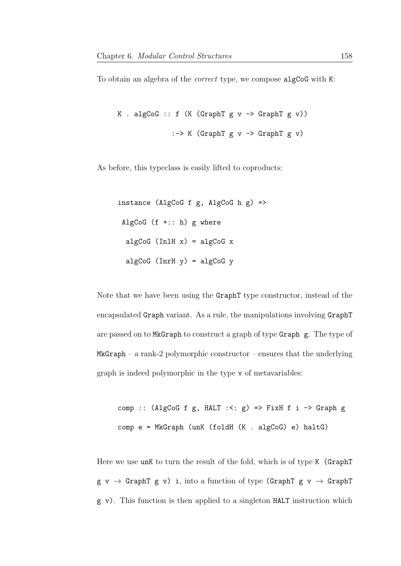To obtain an algebra of the *correct* type, we compose algCoG with K:

```
K . algCoG :: f (K (GraphT g v \rightarrow GraphT g v))
                 :-> K (GraphT g \vee \rightarrow GraphT g \vee)
```
As before, this typeclass is easily lifted to coproducts:

instance (AlgCoG f g, AlgCoG h  $g$ ) => AlgCoG  $(f + :: h)$  g where algCoG (InlH  $x$ ) = algCoG  $x$ algCoG ( $InrH y$ ) = algCoG y

Note that we have been using the GraphT type constructor, instead of the encapsulated Graph variant. As a rule, the manipulations involving GraphT are passed on to MkGraph to construct a graph of type Graph g. The type of  $MkGraph - a rank-2 polymorphic constructor - ensures that the underlying$ graph is indeed polymorphic in the type v of metavariables:

comp :: (AlgCoG f g, HALT :<:  $g$ ) => FixH f i -> Graph g comp e = MkGraph (unK (foldH (K . algCoG) e) haltG)

Here we use unK to turn the result of the fold, which is of type K (GraphT  $g \ v \rightarrow$  GraphT  $g \ v)$  i, into a function of type (GraphT  $g \ v \rightarrow$  GraphT g v). This function is then applied to a singleton HALT instruction which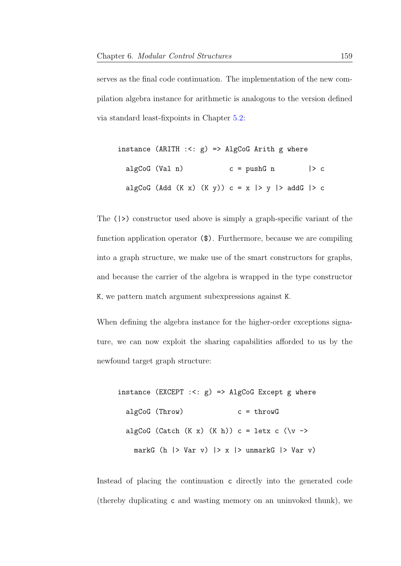serves as the final code continuation. The implementation of the new compilation algebra instance for arithmetic is analogous to the version defined via standard least-fixpoints in Chapter [5.2:](#page-98-0)

| instance (ARITH $: <: g$ ) => AlgCoG Arith g where |  |  |                                                    |             |  |
|----------------------------------------------------|--|--|----------------------------------------------------|-------------|--|
| algCoG (Val n)                                     |  |  | $c = pushG$ n                                      | $\vert > c$ |  |
|                                                    |  |  | algCoG (Add (K x) (K y)) $c = x$  > y  > addG  > c |             |  |

The (|>) constructor used above is simply a graph-specific variant of the function application operator (\$). Furthermore, because we are compiling into a graph structure, we make use of the smart constructors for graphs, and because the carrier of the algebra is wrapped in the type constructor K, we pattern match argument subexpressions against K.

When defining the algebra instance for the higher-order exceptions signature, we can now exploit the sharing capabilities afforded to us by the newfound target graph structure:

instance (EXCEPT :<: g) => AlgCoG Except g where algCoG (Throw) c = throwG algCoG (Catch  $(K x)$   $(K h)) c =$  letx  $c (\vee \rightarrow$ markG (h  $|$  > Var v)  $|$  > x  $|$  > unmarkG  $|$  > Var v)

Instead of placing the continuation c directly into the generated code (thereby duplicating c and wasting memory on an uninvoked thunk), we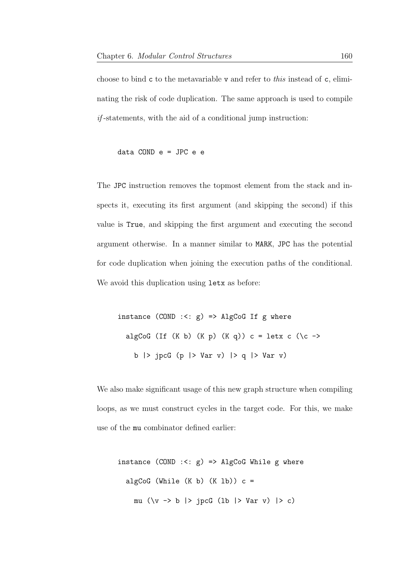choose to bind  $\mathbf c$  to the metavariable  $\mathbf v$  and refer to this instead of  $\mathbf c$ , eliminating the risk of code duplication. The same approach is used to compile  $if$ -statements, with the aid of a conditional jump instruction:

data COND e = JPC e e

The JPC instruction removes the topmost element from the stack and inspects it, executing its first argument (and skipping the second) if this value is True, and skipping the first argument and executing the second argument otherwise. In a manner similar to MARK, JPC has the potential for code duplication when joining the execution paths of the conditional. We avoid this duplication using  $letx$  as before:

instance  $(COND : <: g)$  => AlgCoG If g where algCoG (If  $(K b)$   $(K p)$   $(K q)$ )  $c =$  letx  $c$   $(\c -)$ b |> jpcG (p |> Var v) |> q |> Var v)

We also make significant usage of this new graph structure when compiling loops, as we must construct cycles in the target code. For this, we make use of the mu combinator defined earlier:

instance (COND :<: g) => AlgCoG While g where algCoG (While  $(K b)$   $(K 1b)$ )  $c =$ mu  $(\forall v \rightarrow b \mid > jpcG$  (1b  $| > Var v$ )  $| > c$ )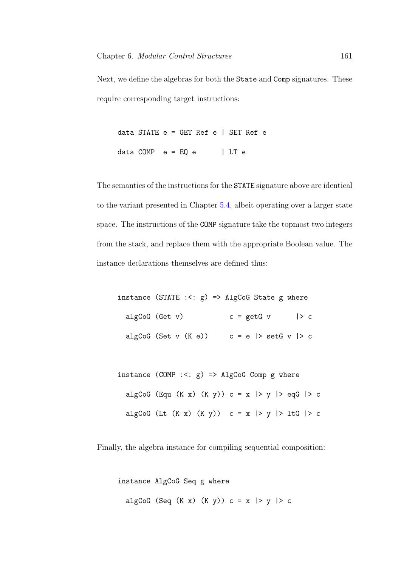Next, we define the algebras for both the State and Comp signatures. These require corresponding target instructions:

data STATE  $e = GET$  Ref  $e$  | SET Ref  $e$ data COMP  $e = EQ e$  | LT e

The semantics of the instructions for the STATE signature above are identical to the variant presented in Chapter [5.4,](#page-116-0) albeit operating over a larger state space. The instructions of the COMP signature take the topmost two integers from the stack, and replace them with the appropriate Boolean value. The instance declarations themselves are defined thus:

instance (STATE  $: <: g$ ) => AlgCoG State g where algCoG (Get v)  $c = getG v$  |> c algCoG (Set v  $(K e)$ ) c = e |> setG v |> c

instance  $(COMP : <: g) \Rightarrow AlgCoGComp g where$ algCoG (Equ  $(K x)$   $(K y)$ )  $c = x$  |> y |> eqG |> c algCoG (Lt  $(K x)$   $(K y)$ ) c = x |> y |> 1tG |> c

Finally, the algebra instance for compiling sequential composition:

instance AlgCoG Seq g where algCoG (Seq  $(K x)$   $(K y)$ )  $c = x$  |> y |> c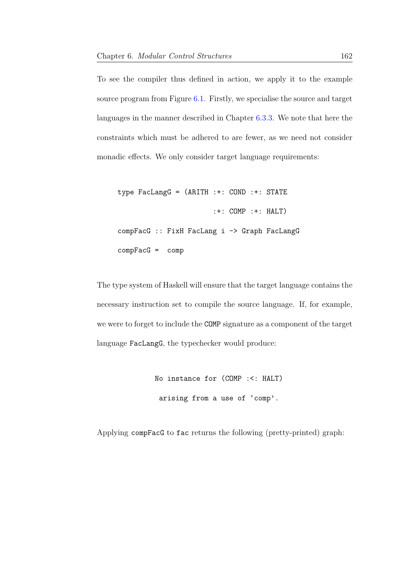To see the compiler thus defined in action, we apply it to the example source program from Figure [6.1.](#page-145-0) Firstly, we specialise the source and target languages in the manner described in Chapter [6.3.3.](#page-155-0) We note that here the constraints which must be adhered to are fewer, as we need not consider monadic effects. We only consider target language requirements:

type FacLangG = (ARITH :+: COND :+: STATE :+: COMP :+: HALT) compFacG :: FixH FacLang i -> Graph FacLangG  $compFacG = comp$ 

The type system of Haskell will ensure that the target language contains the necessary instruction set to compile the source language. If, for example, we were to forget to include the COMP signature as a component of the target language FacLangG, the typechecker would produce:

> No instance for (COMP :<: HALT) arising from a use of 'comp'.

Applying compFacG to fac returns the following (pretty-printed) graph: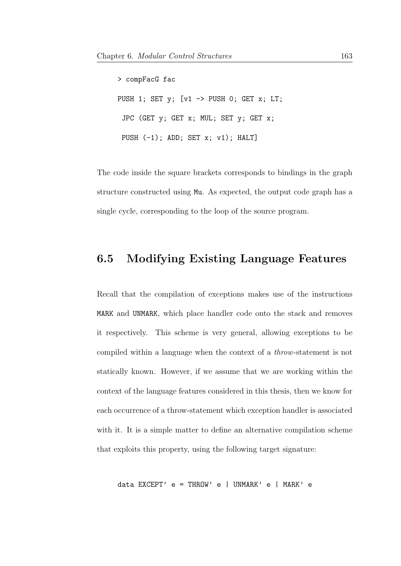> compFacG fac PUSH 1; SET y; [v1 -> PUSH 0; GET x; LT; JPC (GET y; GET x; MUL; SET y; GET x; PUSH  $(-1)$ ; ADD; SET x; v1); HALT]

The code inside the square brackets corresponds to bindings in the graph structure constructed using Mu. As expected, the output code graph has a single cycle, corresponding to the loop of the source program.

## 6.5 Modifying Existing Language Features

Recall that the compilation of exceptions makes use of the instructions MARK and UNMARK, which place handler code onto the stack and removes it respectively. This scheme is very general, allowing exceptions to be compiled within a language when the context of a throw-statement is not statically known. However, if we assume that we are working within the context of the language features considered in this thesis, then we know for each occurrence of a throw-statement which exception handler is associated with it. It is a simple matter to define an alternative compilation scheme that exploits this property, using the following target signature:

```
data EXCEPT' e = THROW' e | UNMARK' e | MARK' e
```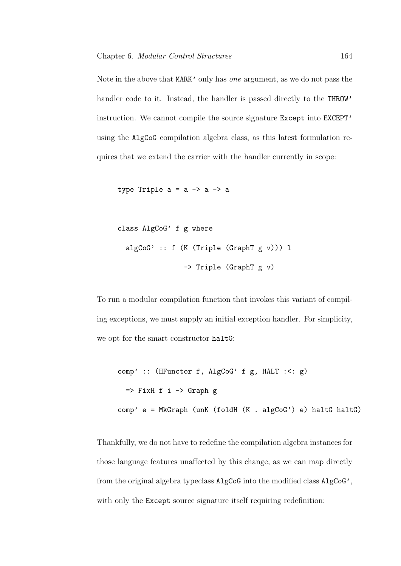Note in the above that MARK' only has one argument, as we do not pass the handler code to it. Instead, the handler is passed directly to the THROW' instruction. We cannot compile the source signature Except into EXCEPT' using the AlgCoG compilation algebra class, as this latest formulation requires that we extend the carrier with the handler currently in scope:

type Triple  $a = a \rightarrow a \rightarrow a$ 

```
class AlgCoG' f g where
 algCoG' :: f (K (Triple (GraphT g v))) l
                -> Triple (GraphT g v)
```
To run a modular compilation function that invokes this variant of compiling exceptions, we must supply an initial exception handler. For simplicity, we opt for the smart constructor haltG:

```
comp' :: (HFunctor f, AlgCoG' f g, HALT :<: g)
  \Rightarrow FixH f i \rightarrow Graph g
comp' e = MkGraph (unK (foldH (K . algCoG') e) haltG haltG)
```
Thankfully, we do not have to redefine the compilation algebra instances for those language features unaffected by this change, as we can map directly from the original algebra typeclass AlgCoG into the modified class AlgCoG', with only the Except source signature itself requiring redefinition: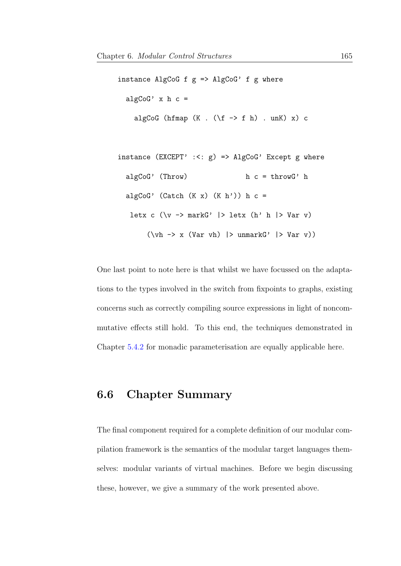```
instance AlgCoG f g => AlgCoG' f g where
 algCoG' x h c =algCoG (hfmap (K . (\t f \rightarrow f h) . unK) x) cinstance (EXCEPT' :<: g) => AlgCoG' Except g where
 algCoG' (Throw) h c = throwG' halgCoG' (Catch (K x) (K h')) h c =
   letx c (\forall v \rightarrow markG' |> letx (h' h |> Var v)
       (\foralluh -> x (Var vh) |> unmarkG' |> Var v))
```
One last point to note here is that whilst we have focussed on the adaptations to the types involved in the switch from fixpoints to graphs, existing concerns such as correctly compiling source expressions in light of noncommutative effects still hold. To this end, the techniques demonstrated in Chapter [5.4.2](#page-124-0) for monadic parameterisation are equally applicable here.

## 6.6 Chapter Summary

The final component required for a complete definition of our modular compilation framework is the semantics of the modular target languages themselves: modular variants of virtual machines. Before we begin discussing these, however, we give a summary of the work presented above.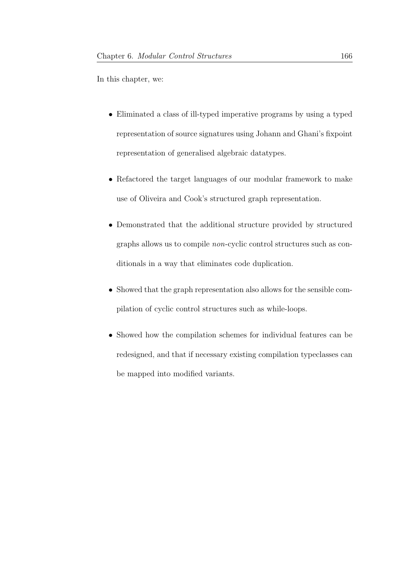In this chapter, we:

- Eliminated a class of ill-typed imperative programs by using a typed representation of source signatures using Johann and Ghani's fixpoint representation of generalised algebraic datatypes.
- Refactored the target languages of our modular framework to make use of Oliveira and Cook's structured graph representation.
- Demonstrated that the additional structure provided by structured graphs allows us to compile non-cyclic control structures such as conditionals in a way that eliminates code duplication.
- Showed that the graph representation also allows for the sensible compilation of cyclic control structures such as while-loops.
- Showed how the compilation schemes for individual features can be redesigned, and that if necessary existing compilation typeclasses can be mapped into modified variants.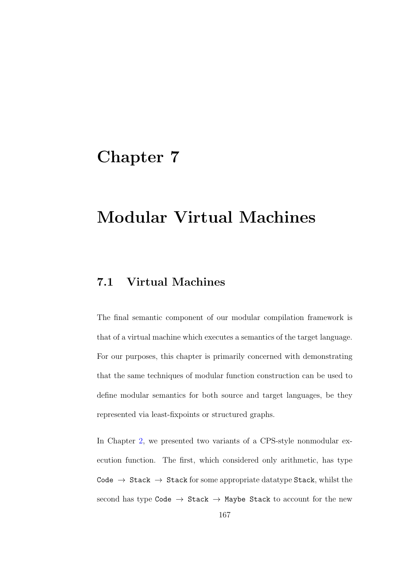## Chapter 7

# Modular Virtual Machines

## 7.1 Virtual Machines

The final semantic component of our modular compilation framework is that of a virtual machine which executes a semantics of the target language. For our purposes, this chapter is primarily concerned with demonstrating that the same techniques of modular function construction can be used to define modular semantics for both source and target languages, be they represented via least-fixpoints or structured graphs.

In Chapter [2,](#page-19-0) we presented two variants of a CPS-style nonmodular execution function. The first, which considered only arithmetic, has type Code  $\rightarrow$  Stack  $\rightarrow$  Stack for some appropriate datatype Stack, whilst the second has type Code  $\rightarrow$  Stack  $\rightarrow$  Maybe Stack to account for the new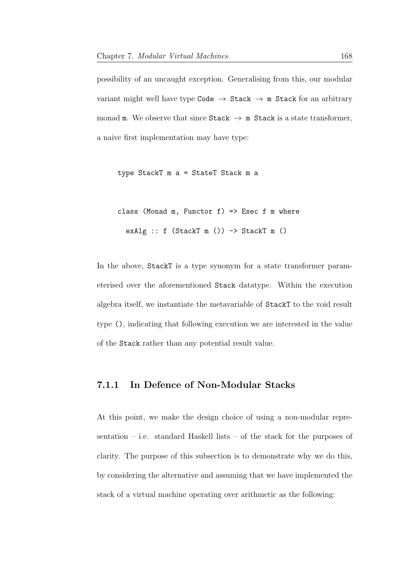possibility of an uncaught exception. Generalising from this, our modular variant might well have type Code  $\rightarrow$  Stack  $\rightarrow$  m Stack for an arbitrary monad m. We observe that since  $\text{Stack} \rightarrow \text{m}$  Stack is a state transformer, a naive first implementation may have type:

type StackT m a = StateT Stack m a

class (Monad m, Functor  $f$ ) => Exec  $f$  m where exAlg ::  $f$  (StackT m ()) -> StackT m ()

In the above, StackT is a type synonym for a state transformer parameterised over the aforementioned Stack datatype. Within the execution algebra itself, we instantiate the metavariable of StackT to the void result type (), indicating that following execution we are interested in the value of the Stack rather than any potential result value.

#### 7.1.1 In Defence of Non-Modular Stacks

At this point, we make the design choice of using a non-modular representation – i.e. standard Haskell lists – of the stack for the purposes of clarity. The purpose of this subsection is to demonstrate why we do this, by considering the alternative and assuming that we have implemented the stack of a virtual machine operating over arithmetic as the following: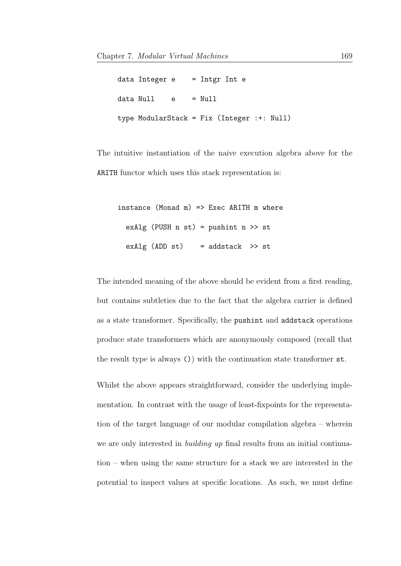| $data$ Integer e = Intgr Int e |       |        |                                            |  |
|--------------------------------|-------|--------|--------------------------------------------|--|
| data Null                      | e e e | = Null |                                            |  |
|                                |       |        | type ModularStack = Fix (Integer :+: Null) |  |

The intuitive instantiation of the naive execution algebra above for the ARITH functor which uses this stack representation is:

```
instance (Monad m) => Exec ARITH m where
 exAlg (PUSH n st) = pushint n \gg stexAlg (ADD st) = addstack >> st
```
The intended meaning of the above should be evident from a first reading, but contains subtleties due to the fact that the algebra carrier is defined as a state transformer. Specifically, the pushint and addstack operations produce state transformers which are anonymously composed (recall that the result type is always ()) with the continuation state transformer st.

Whilst the above appears straightforward, consider the underlying implementation. In contrast with the usage of least-fixpoints for the representation of the target language of our modular compilation algebra – wherein we are only interested in *building up* final results from an initial continuation – when using the same structure for a stack we are interested in the potential to inspect values at specific locations. As such, we must define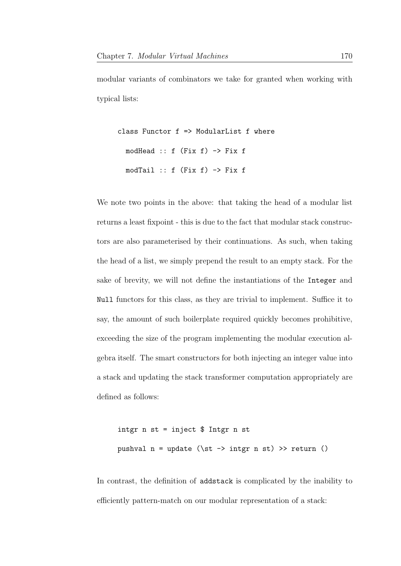modular variants of combinators we take for granted when working with typical lists:

```
class Functor f => ModularList f where
 modHead :: f (Fix f) -> Fix fmodTail :: f (Fix f) \rightarrow Fix f
```
We note two points in the above: that taking the head of a modular list returns a least fixpoint - this is due to the fact that modular stack constructors are also parameterised by their continuations. As such, when taking the head of a list, we simply prepend the result to an empty stack. For the sake of brevity, we will not define the instantiations of the Integer and Null functors for this class, as they are trivial to implement. Suffice it to say, the amount of such boilerplate required quickly becomes prohibitive, exceeding the size of the program implementing the modular execution algebra itself. The smart constructors for both injecting an integer value into a stack and updating the stack transformer computation appropriately are defined as follows:

```
intgr n st = inject $ Intgr n st
pushval n = update (\setminus st \rightarrow intgr n st) >> return ()
```
In contrast, the definition of addstack is complicated by the inability to efficiently pattern-match on our modular representation of a stack: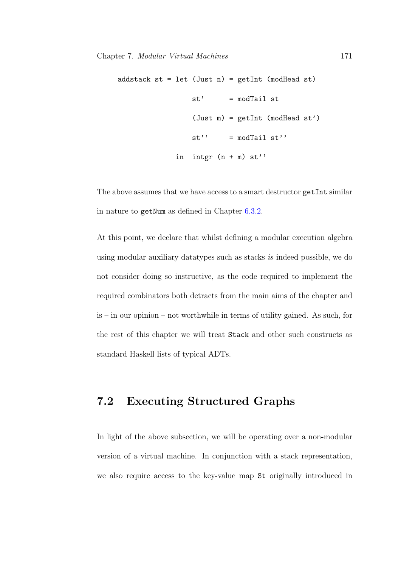```
addstack st = let (Just n) = getInt (modHead st)
                st' = modTail st
                 (Just m) = getInt (modHead st')
                st' = modTail st'in intgr (n + m) st''
```
The above assumes that we have access to a smart destructor getInt similar in nature to getNum as defined in Chapter [6.3.2.](#page-149-0)

At this point, we declare that whilst defining a modular execution algebra using modular auxiliary datatypes such as stacks is indeed possible, we do not consider doing so instructive, as the code required to implement the required combinators both detracts from the main aims of the chapter and is – in our opinion – not worthwhile in terms of utility gained. As such, for the rest of this chapter we will treat Stack and other such constructs as standard Haskell lists of typical ADTs.

## 7.2 Executing Structured Graphs

In light of the above subsection, we will be operating over a non-modular version of a virtual machine. In conjunction with a stack representation, we also require access to the key-value map St originally introduced in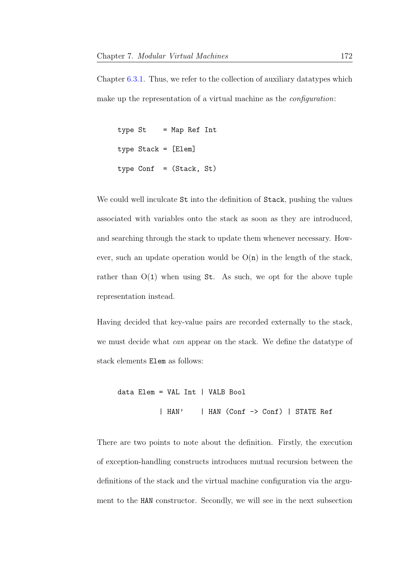Chapter [6.3.1.](#page-147-0) Thus, we refer to the collection of auxiliary datatypes which make up the representation of a virtual machine as the *configuration*:

```
type St = Map Ref Int
type Stack = [Elem]
type Conf = (Stack, St)
```
We could well inculcate  $St$  into the definition of Stack, pushing the values associated with variables onto the stack as soon as they are introduced, and searching through the stack to update them whenever necessary. However, such an update operation would be  $O(n)$  in the length of the stack, rather than  $O(1)$  when using St. As such, we opt for the above tuple representation instead.

Having decided that key-value pairs are recorded externally to the stack, we must decide what can appear on the stack. We define the datatype of stack elements Elem as follows:

```
data Elem = VAL Int | VALB Bool
          | HAN' | HAN (Conf -> Conf) | STATE Ref
```
There are two points to note about the definition. Firstly, the execution of exception-handling constructs introduces mutual recursion between the definitions of the stack and the virtual machine configuration via the argument to the HAN constructor. Secondly, we will see in the next subsection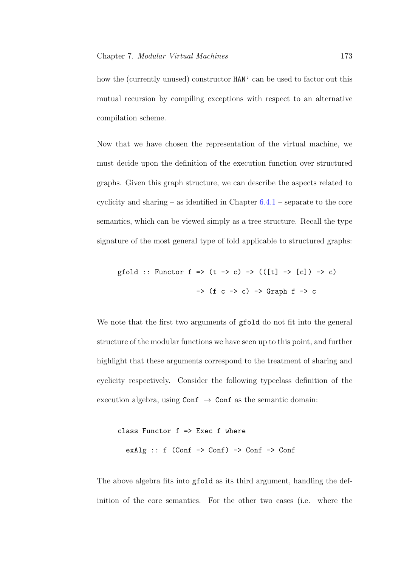how the (currently unused) constructor  $HAN'$  can be used to factor out this mutual recursion by compiling exceptions with respect to an alternative compilation scheme.

Now that we have chosen the representation of the virtual machine, we must decide upon the definition of the execution function over structured graphs. Given this graph structure, we can describe the aspects related to cyclicity and sharing – as identified in Chapter  $6.4.1$  – separate to the core semantics, which can be viewed simply as a tree structure. Recall the type signature of the most general type of fold applicable to structured graphs:

$$
\text{gfold} :: \text{Function } f \Rightarrow (t \to c) \Rightarrow (([t] \to [c]) \to c)
$$
\n
$$
\Rightarrow (f c \Rightarrow c) \Rightarrow \text{Graph } f \Rightarrow c
$$

We note that the first two arguments of ground do not fit into the general structure of the modular functions we have seen up to this point, and further highlight that these arguments correspond to the treatment of sharing and cyclicity respectively. Consider the following typeclass definition of the execution algebra, using  $\text{Conf} \rightarrow \text{Conf}$  as the semantic domain:

```
class Functor f => Exec f where
  exAlg :: f (Conf \rightarrow Conf) \rightarrow Conf \rightarrow Conf
```
The above algebra fits into gfold as its third argument, handling the definition of the core semantics. For the other two cases (i.e. where the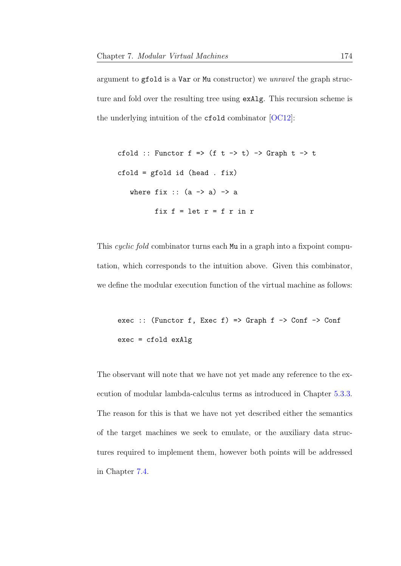argument to gfold is a Var or Mu constructor) we unravel the graph structure and fold over the resulting tree using exAlg. This recursion scheme is the underlying intuition of the cfold combinator [\[OC12\]](#page-213-0):

```
cfold :: Functor f \Rightarrow (f \tarrow \rightarrow t) \Rightarrow Graph t \Rightarrow tcfold = gfold id (head . fix)
    where fix :: (a \rightarrow a) \rightarrow afix f = let r = f r in r
```
This *cyclic fold* combinator turns each Mu in a graph into a fixpoint computation, which corresponds to the intuition above. Given this combinator, we define the modular execution function of the virtual machine as follows:

```
exec :: (Functor f, Exec f) => Graph f \rightarrow Conf -> Conf
exec = cfold exAlg
```
The observant will note that we have not yet made any reference to the execution of modular lambda-calculus terms as introduced in Chapter [5.3.3.](#page-114-0) The reason for this is that we have not yet described either the semantics of the target machines we seek to emulate, or the auxiliary data structures required to implement them, however both points will be addressed in Chapter [7.4.](#page-185-0)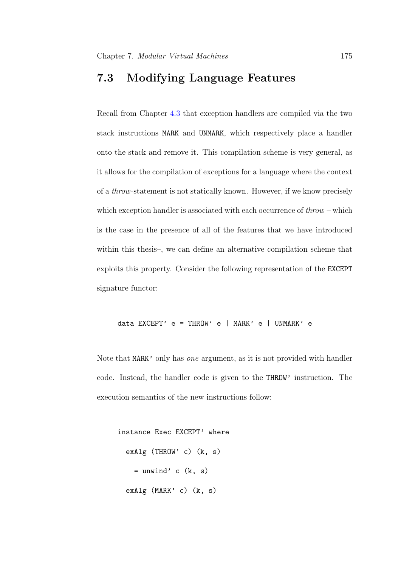### <span id="page-182-0"></span>7.3 Modifying Language Features

Recall from Chapter [4.3](#page-89-0) that exception handlers are compiled via the two stack instructions MARK and UNMARK, which respectively place a handler onto the stack and remove it. This compilation scheme is very general, as it allows for the compilation of exceptions for a language where the context of a throw-statement is not statically known. However, if we know precisely which exception handler is associated with each occurrence of  $throw$  – which is the case in the presence of all of the features that we have introduced within this thesis–, we can define an alternative compilation scheme that exploits this property. Consider the following representation of the EXCEPT signature functor:

data EXCEPT' e = THROW' e | MARK' e | UNMARK' e

Note that MARK' only has one argument, as it is not provided with handler code. Instead, the handler code is given to the THROW' instruction. The execution semantics of the new instructions follow:

instance Exec EXCEPT' where exAlg (THROW' c) (k, s)  $=$  unwind' c  $(k, s)$ exAlg (MARK' c) (k, s)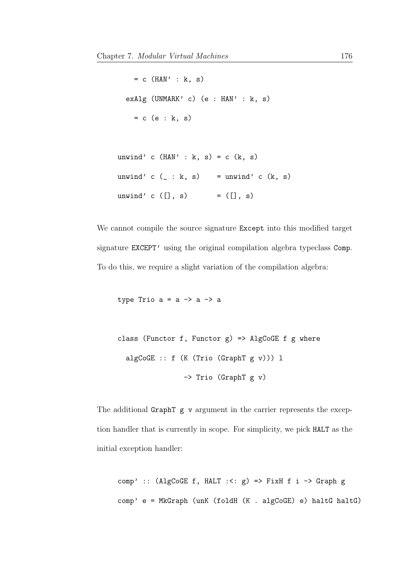$= c$  (HAN' : k, s) exAlg (UNMARK' c) (e : HAN' : k, s)  $= c$  (e : k, s)

unwind' c  $(HAN' : k, s) = c (k, s)$ unwind' c  $($  : k, s) = unwind' c  $(k, s)$ unwind' c  $([$ ], s) =  $([]$ , s)

We cannot compile the source signature Except into this modified target signature EXCEPT' using the original compilation algebra typeclass Comp. To do this, we require a slight variation of the compilation algebra:

type Trio  $a = a \rightarrow a \rightarrow a$ 

```
class (Functor f, Functor g) => AlgCoGE f g where
 algCoGE :: f (K (Trio (GraphT g v))) l
                -> Trio (GraphT g v)
```
The additional GraphT g v argument in the carrier represents the exception handler that is currently in scope. For simplicity, we pick HALT as the initial exception handler:

comp' :: (AlgCoGE f, HALT :<:  $g$ ) => FixH f i -> Graph g comp' e = MkGraph (unK (foldH (K . algCoGE) e) haltG haltG)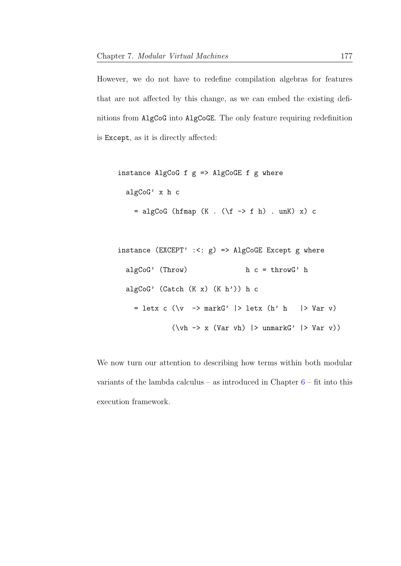However, we do not have to redefine compilation algebras for features that are not affected by this change, as we can embed the existing definitions from AlgCoG into AlgCoGE. The only feature requiring redefinition is Except, as it is directly affected:

```
instance AlgCoG f g \Rightarrow AlgCoGE f g where
  algCoG' x h c
    = algCoG (hfmap (K . (\f -> f h) . unK) x) c
```

```
instance (EXCEPT' :: <; g) \implies AlgCoGE Except g wherealgCoG' (Throw) h c = throwG' h
  algCoG' (Catch (K x) (K h')) h c
    = letx c (\forall v \rightarrow markG' |> letx (h' h |> Var v)
                (\nabla \times -\times \times \times \times \times \times \times)) > unmarkG' |> Var v))
```
We now turn our attention to describing how terms within both modular variants of the lambda calculus – as introduced in Chapter  $6$  – fit into this execution framework.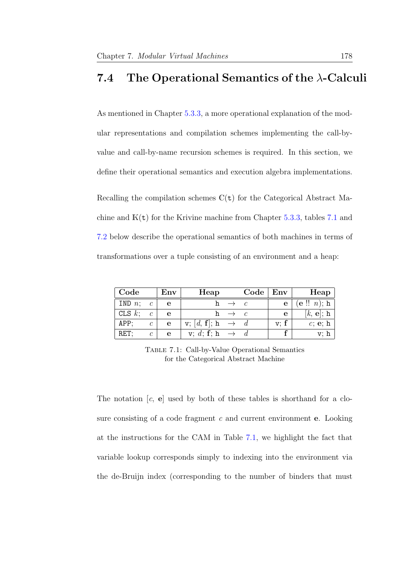### <span id="page-185-0"></span>7.4 The Operational Semantics of the  $\lambda$ -Calculi

As mentioned in Chapter [5.3.3,](#page-114-0) a more operational explanation of the modular representations and compilation schemes implementing the call-byvalue and call-by-name recursion schemes is required. In this section, we define their operational semantics and execution algebra implementations.

Recalling the compilation schemes  $\mathbb{C}(\mathsf{t})$  for the Categorical Abstract Machine and  $K(t)$  for the Krivine machine from Chapter [5.3.3,](#page-114-0) tables [7.1](#page-185-1) and [7.2](#page-186-0) below describe the operational semantics of both machines in terms of transformations over a tuple consisting of an environment and a heap:

<span id="page-185-1"></span>

| $\mid$ Code |                       | Env | Heap                                                    |                   | Code   Env |              | Heap                                 |
|-------------|-----------------------|-----|---------------------------------------------------------|-------------------|------------|--------------|--------------------------------------|
| IND $n; c$  |                       | e   |                                                         | h $\rightarrow$ c |            |              | $\overline{e}$ $(e$ !! <i>n</i> ); h |
| CLS $k$ ;   | $\mathcal{C}_{0}^{0}$ | e   |                                                         | h $\rightarrow$ c |            | $\mathbf{e}$ | $[k, e]$ ; h                         |
| APP;        | $\mathcal{C}$         | e   | $\mathbf{v}; [d, \mathbf{f}]; \mathbf{h} \rightarrow d$ |                   |            | v: f         | c; e; h                              |
| $RET$ ;     | $\mathcal C$          | e   | v; d; f; h                                              | $\rightarrow$     |            |              |                                      |

Table 7.1: Call-by-Value Operational Semantics for the Categorical Abstract Machine

The notation  $[c, e]$  used by both of these tables is shorthand for a closure consisting of a code fragment  $c$  and current environment **e**. Looking at the instructions for the CAM in Table [7.1,](#page-185-1) we highlight the fact that variable lookup corresponds simply to indexing into the environment via the de-Bruijn index (corresponding to the number of binders that must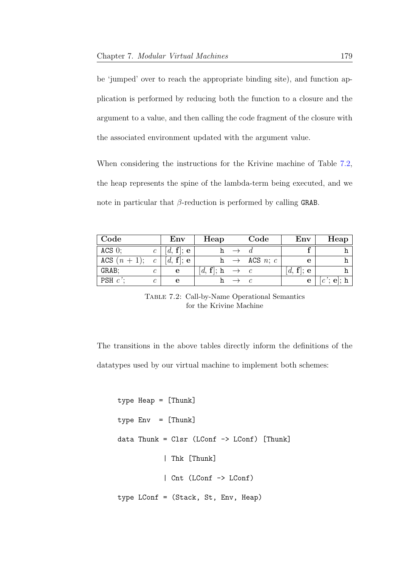be 'jumped' over to reach the appropriate binding site), and function application is performed by reducing both the function to a closure and the argument to a value, and then calling the code fragment of the closure with the associated environment updated with the argument value.

When considering the instructions for the Krivine machine of Table [7.2,](#page-186-0) the heap represents the spine of the lambda-term being executed, and we note in particular that  $\beta$ -reduction is performed by calling GRAB.

<span id="page-186-0"></span>

| $\mid$ Code            |               | Env       | Heap                      | Code                     | Env          | Heap         |
|------------------------|---------------|-----------|---------------------------|--------------------------|--------------|--------------|
| $ACS$ 0;               | $\mathcal{C}$ | [d, f]; e |                           |                          |              |              |
| ACS $(n + 1); c$       |               | [d, f]; e |                           | h $\rightarrow$ ACS n; c | e            |              |
| GRAB;                  | C             | e         | $[d, f]; h \rightarrow c$ |                          | [d, f]; e    |              |
| PSH $c$ <sup>'</sup> ; |               | е         |                           |                          | $\mathbf{e}$ | $[c$ ; e ; h |

Table 7.2: Call-by-Name Operational Semantics for the Krivine Machine

The transitions in the above tables directly inform the definitions of the datatypes used by our virtual machine to implement both schemes:

type Heap = [Thunk] type Env = [Thunk] data Thunk = Clsr (LConf -> LConf) [Thunk] | Thk [Thunk] | Cnt (LConf -> LConf) type LConf = (Stack, St, Env, Heap)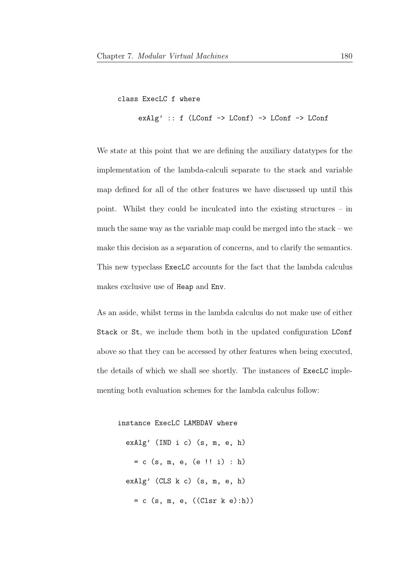class ExecLC f where

exAlg' :: f (LConf -> LConf) -> LConf -> LConf

We state at this point that we are defining the auxiliary datatypes for the implementation of the lambda-calculi separate to the stack and variable map defined for all of the other features we have discussed up until this point. Whilst they could be inculcated into the existing structures – in much the same way as the variable map could be merged into the stack – we make this decision as a separation of concerns, and to clarify the semantics. This new typeclass ExecLC accounts for the fact that the lambda calculus makes exclusive use of Heap and Env.

As an aside, whilst terms in the lambda calculus do not make use of either Stack or St, we include them both in the updated configuration LConf above so that they can be accessed by other features when being executed, the details of which we shall see shortly. The instances of ExecLC implementing both evaluation schemes for the lambda calculus follow:

instance ExecLC LAMBDAV where exAlg' (IND i c) (s, m, e, h)  $= c$  (s, m, e, (e !! i) : h) exAlg' (CLS k c) (s, m, e, h) = c (s, m, e, ((Clsr k e):h))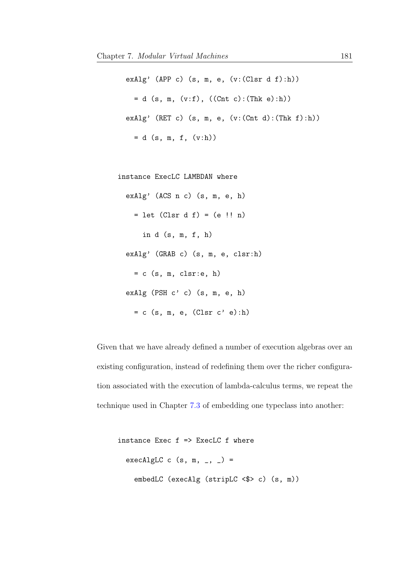exAlg' (APP c) (s, m, e,  $(v:(Clsr d f):h))$  $= d (s, m, (v:f), ((Cnt c):(Thk e):h))$ exAlg' (RET c) (s, m, e, (v:(Cnt d):(Thk f):h)) = d (s, m, f, (v:h))

instance ExecLC LAMBDAN where

```
exAlg' (ACS n c) (s, m, e, h)
  = let (Clsr d f) = (e !! n)
    in d (s, m, f, h)
exAlg' (GRAB c) (s, m, e, clsr:h)
  = c (s, m, clsr:e, h)
exAlg (PSH c' c) (s, m, e, h)
  = c (s, m, e, (Clsr c' e):h)
```
Given that we have already defined a number of execution algebras over an existing configuration, instead of redefining them over the richer configuration associated with the execution of lambda-calculus terms, we repeat the technique used in Chapter [7.3](#page-182-0) of embedding one typeclass into another:

```
instance Exec f => ExecLC f where
 execAlgLC c (s, m, -, -) =
   embedLC (execAlg (stripLC <$> c) (s, m))
```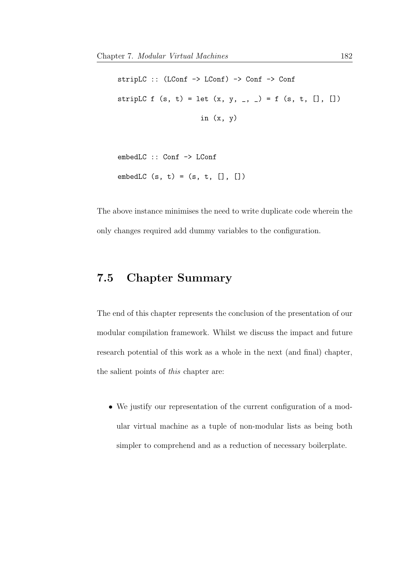```
stripLC :: (LConf -> LConf) -> Conf -> Conf
stripLC f(s, t) = let (x, y, ..., ) = f(s, t, [], [])in (x, y)
```

```
embedLC :: Conf -> LConf
embedLC (s, t) = (s, t, [], []
```
The above instance minimises the need to write duplicate code wherein the only changes required add dummy variables to the configuration.

### 7.5 Chapter Summary

The end of this chapter represents the conclusion of the presentation of our modular compilation framework. Whilst we discuss the impact and future research potential of this work as a whole in the next (and final) chapter, the salient points of this chapter are:

• We justify our representation of the current configuration of a modular virtual machine as a tuple of non-modular lists as being both simpler to comprehend and as a reduction of necessary boilerplate.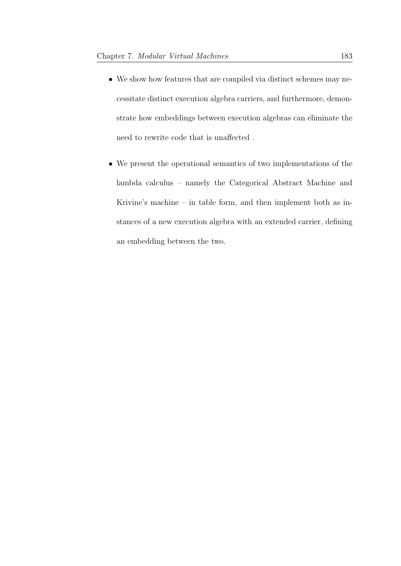- We show how features that are compiled via distinct schemes may necessitate distinct execution algebra carriers, and furthermore, demonstrate how embeddings between execution algebras can eliminate the need to rewrite code that is unaffected .
- We present the operational semantics of two implementations of the lambda calculus – namely the Categorical Abstract Machine and Krivine's machine – in table form, and then implement both as instances of a new execution algebra with an extended carrier, defining an embedding between the two.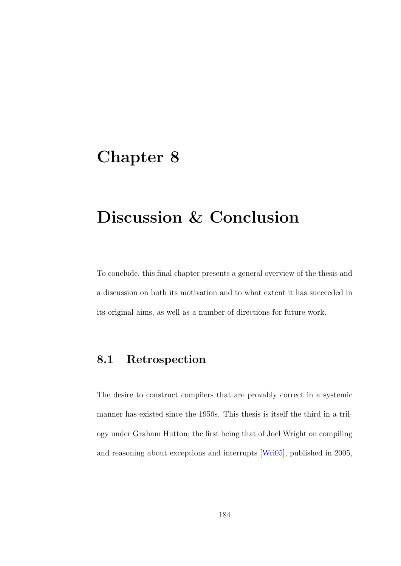## Chapter 8

# Discussion & Conclusion

To conclude, this final chapter presents a general overview of the thesis and a discussion on both its motivation and to what extent it has succeeded in its original aims, as well as a number of directions for future work.

### 8.1 Retrospection

The desire to construct compilers that are provably correct in a systemic manner has existed since the 1950s. This thesis is itself the third in a trilogy under Graham Hutton; the first being that of Joel Wright on compiling and reasoning about exceptions and interrupts [\[Wri05\]](#page-217-0), published in 2005,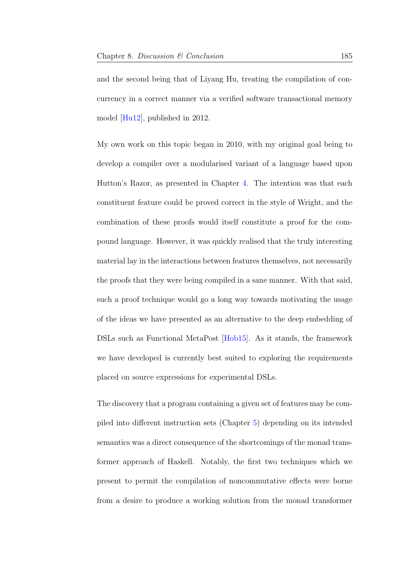and the second being that of Liyang Hu, treating the compilation of concurrency in a correct manner via a verified software transactional memory model [\[Hu12\]](#page-207-0), published in 2012.

My own work on this topic began in 2010, with my original goal being to develop a compiler over a modularised variant of a language based upon Hutton's Razor, as presented in Chapter [4.](#page-74-0) The intention was that each constituent feature could be proved correct in the style of Wright, and the combination of these proofs would itself constitute a proof for the compound language. However, it was quickly realised that the truly interesting material lay in the interactions between features themselves, not necessarily the proofs that they were being compiled in a sane manner. With that said, such a proof technique would go a long way towards motivating the usage of the ideas we have presented as an alternative to the deep embedding of DSLs such as Functional MetaPost [\[Hob15\]](#page-207-1). As it stands, the framework we have developed is currently best suited to exploring the requirements placed on source expressions for experimental DSLs.

The discovery that a program containing a given set of features may be compiled into different instruction sets (Chapter [5\)](#page-95-0) depending on its intended semantics was a direct consequence of the shortcomings of the monad transformer approach of Haskell. Notably, the first two techniques which we present to permit the compilation of noncommutative effects were borne from a desire to produce a working solution from the monad transformer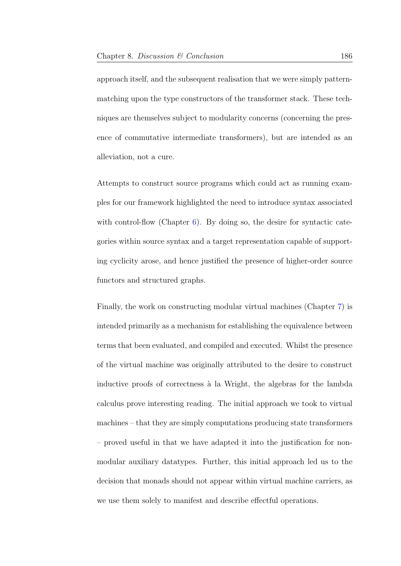approach itself, and the subsequent realisation that we were simply patternmatching upon the type constructors of the transformer stack. These techniques are themselves subject to modularity concerns (concerning the presence of commutative intermediate transformers), but are intended as an alleviation, not a cure.

Attempts to construct source programs which could act as running examples for our framework highlighted the need to introduce syntax associated with control-flow (Chapter [6\)](#page-133-0). By doing so, the desire for syntactic categories within source syntax and a target representation capable of supporting cyclicity arose, and hence justified the presence of higher-order source functors and structured graphs.

Finally, the work on constructing modular virtual machines (Chapter [7\)](#page-174-0) is intended primarily as a mechanism for establishing the equivalence between terms that been evaluated, and compiled and executed. Whilst the presence of the virtual machine was originally attributed to the desire to construct inductive proofs of correctness à la Wright, the algebras for the lambda calculus prove interesting reading. The initial approach we took to virtual machines – that they are simply computations producing state transformers – proved useful in that we have adapted it into the justification for nonmodular auxiliary datatypes. Further, this initial approach led us to the decision that monads should not appear within virtual machine carriers, as we use them solely to manifest and describe effectful operations.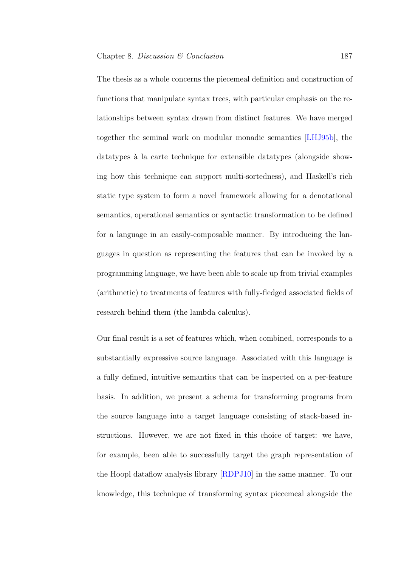The thesis as a whole concerns the piecemeal definition and construction of functions that manipulate syntax trees, with particular emphasis on the relationships between syntax drawn from distinct features. We have merged together the seminal work on modular monadic semantics [\[LHJ95b\]](#page-211-0), the datatypes à la carte technique for extensible datatypes (alongside showing how this technique can support multi-sortedness), and Haskell's rich static type system to form a novel framework allowing for a denotational semantics, operational semantics or syntactic transformation to be defined for a language in an easily-composable manner. By introducing the languages in question as representing the features that can be invoked by a programming language, we have been able to scale up from trivial examples (arithmetic) to treatments of features with fully-fledged associated fields of research behind them (the lambda calculus).

Our final result is a set of features which, when combined, corresponds to a substantially expressive source language. Associated with this language is a fully defined, intuitive semantics that can be inspected on a per-feature basis. In addition, we present a schema for transforming programs from the source language into a target language consisting of stack-based instructions. However, we are not fixed in this choice of target: we have, for example, been able to successfully target the graph representation of the Hoopl dataflow analysis library [\[RDPJ10\]](#page-214-0) in the same manner. To our knowledge, this technique of transforming syntax piecemeal alongside the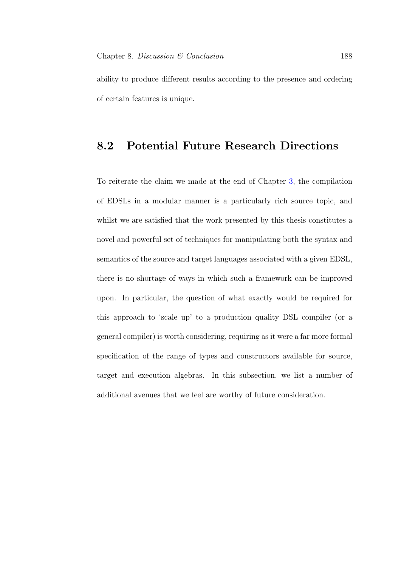ability to produce different results according to the presence and ordering of certain features is unique.

#### 8.2 Potential Future Research Directions

To reiterate the claim we made at the end of Chapter [3,](#page-29-0) the compilation of EDSLs in a modular manner is a particularly rich source topic, and whilst we are satisfied that the work presented by this thesis constitutes a novel and powerful set of techniques for manipulating both the syntax and semantics of the source and target languages associated with a given EDSL, there is no shortage of ways in which such a framework can be improved upon. In particular, the question of what exactly would be required for this approach to 'scale up' to a production quality DSL compiler (or a general compiler) is worth considering, requiring as it were a far more formal specification of the range of types and constructors available for source, target and execution algebras. In this subsection, we list a number of additional avenues that we feel are worthy of future consideration.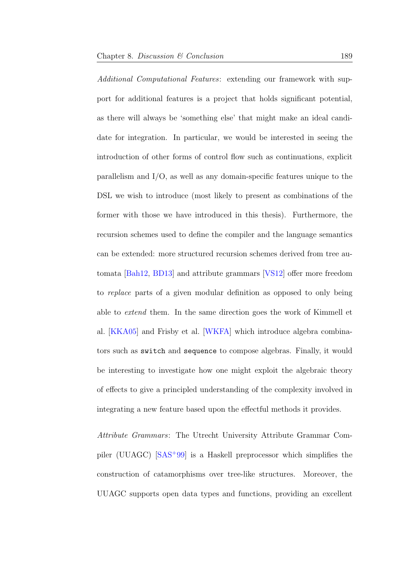Additional Computational Features: extending our framework with support for additional features is a project that holds significant potential, as there will always be 'something else' that might make an ideal candidate for integration. In particular, we would be interested in seeing the introduction of other forms of control flow such as continuations, explicit parallelism and I/O, as well as any domain-specific features unique to the DSL we wish to introduce (most likely to present as combinations of the former with those we have introduced in this thesis). Furthermore, the recursion schemes used to define the compiler and the language semantics can be extended: more structured recursion schemes derived from tree automata [\[Bah12,](#page-202-0) [BD13\]](#page-202-1) and attribute grammars [\[VS12\]](#page-216-0) offer more freedom to replace parts of a given modular definition as opposed to only being able to extend them. In the same direction goes the work of Kimmell et al. [\[KKA05\]](#page-209-0) and Frisby et al. [\[WKFA\]](#page-217-1) which introduce algebra combinators such as switch and sequence to compose algebras. Finally, it would be interesting to investigate how one might exploit the algebraic theory of effects to give a principled understanding of the complexity involved in integrating a new feature based upon the effectful methods it provides.

Attribute Grammars: The Utrecht University Attribute Grammar Compiler (UUAGC) [\[SAS](#page-215-0)<sup>+</sup>99] is a Haskell preprocessor which simplifies the construction of catamorphisms over tree-like structures. Moreover, the UUAGC supports open data types and functions, providing an excellent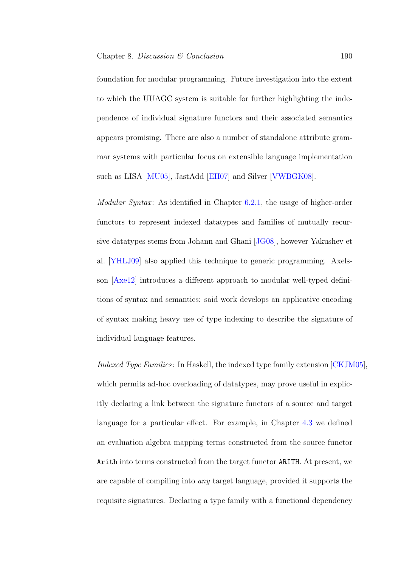foundation for modular programming. Future investigation into the extent to which the UUAGC system is suitable for further highlighting the independence of individual signature functors and their associated semantics appears promising. There are also a number of standalone attribute grammar systems with particular focus on extensible language implementation such as LISA [\[MU05\]](#page-212-0), JastAdd [\[EH07\]](#page-206-0) and Silver [\[VWBGK08\]](#page-216-1).

*Modular Syntax*: As identified in Chapter  $6.2.1$ , the usage of higher-order functors to represent indexed datatypes and families of mutually recursive datatypes stems from Johann and Ghani [\[JG08\]](#page-208-0), however Yakushev et al. [\[YHLJ09\]](#page-217-2) also applied this technique to generic programming. Axelsson [\[Axe12\]](#page-202-2) introduces a different approach to modular well-typed definitions of syntax and semantics: said work develops an applicative encoding of syntax making heavy use of type indexing to describe the signature of individual language features.

Indexed Type Families: In Haskell, the indexed type family extension [\[CKJM05\]](#page-204-0), which permits ad-hoc overloading of datatypes, may prove useful in explicitly declaring a link between the signature functors of a source and target language for a particular effect. For example, in Chapter [4.3](#page-89-0) we defined an evaluation algebra mapping terms constructed from the source functor Arith into terms constructed from the target functor ARITH. At present, we are capable of compiling into any target language, provided it supports the requisite signatures. Declaring a type family with a functional dependency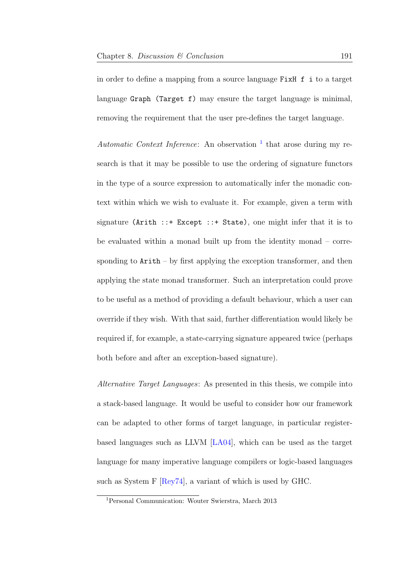in order to define a mapping from a source language FixH f i to a target language Graph (Target f) may ensure the target language is minimal, removing the requirement that the user pre-defines the target language.

Automatic Context Inference: An observation  $\frac{1}{1}$  $\frac{1}{1}$  $\frac{1}{1}$  that arose during my research is that it may be possible to use the ordering of signature functors in the type of a source expression to automatically infer the monadic context within which we wish to evaluate it. For example, given a term with signature (Arith  $::+$  Except  $::+$  State), one might infer that it is to be evaluated within a monad built up from the identity monad – corresponding to  $Arith - by first applying the exception transformer, and then$ applying the state monad transformer. Such an interpretation could prove to be useful as a method of providing a default behaviour, which a user can override if they wish. With that said, further differentiation would likely be required if, for example, a state-carrying signature appeared twice (perhaps both before and after an exception-based signature).

Alternative Target Languages: As presented in this thesis, we compile into a stack-based language. It would be useful to consider how our framework can be adapted to other forms of target language, in particular registerbased languages such as LLVM [\[LA04\]](#page-209-1), which can be used as the target language for many imperative language compilers or logic-based languages such as System F [\[Rey74\]](#page-215-1), a variant of which is used by GHC.

<span id="page-198-0"></span><sup>1</sup>Personal Communication: Wouter Swierstra, March 2013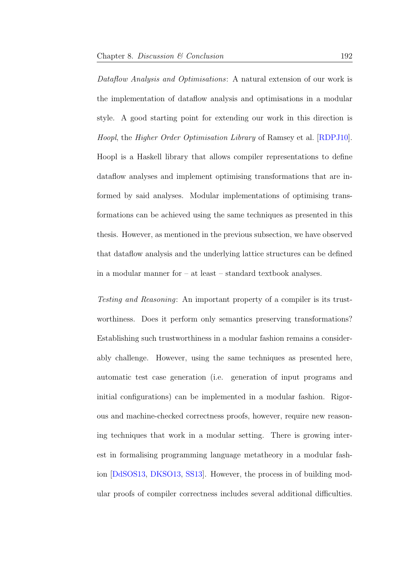Dataflow Analysis and Optimisations: A natural extension of our work is the implementation of dataflow analysis and optimisations in a modular style. A good starting point for extending our work in this direction is Hoopl, the Higher Order Optimisation Library of Ramsey et al. [\[RDPJ10\]](#page-214-0). Hoopl is a Haskell library that allows compiler representations to define dataflow analyses and implement optimising transformations that are informed by said analyses. Modular implementations of optimising transformations can be achieved using the same techniques as presented in this thesis. However, as mentioned in the previous subsection, we have observed that dataflow analysis and the underlying lattice structures can be defined in a modular manner for – at least – standard textbook analyses.

Testing and Reasoning: An important property of a compiler is its trustworthiness. Does it perform only semantics preserving transformations? Establishing such trustworthiness in a modular fashion remains a considerably challenge. However, using the same techniques as presented here, automatic test case generation (i.e. generation of input programs and initial configurations) can be implemented in a modular fashion. Rigorous and machine-checked correctness proofs, however, require new reasoning techniques that work in a modular setting. There is growing interest in formalising programming language metatheory in a modular fashion [\[DdSOS13,](#page-205-0) [DKSO13,](#page-206-1) [SS13\]](#page-216-2). However, the process in of building modular proofs of compiler correctness includes several additional difficulties.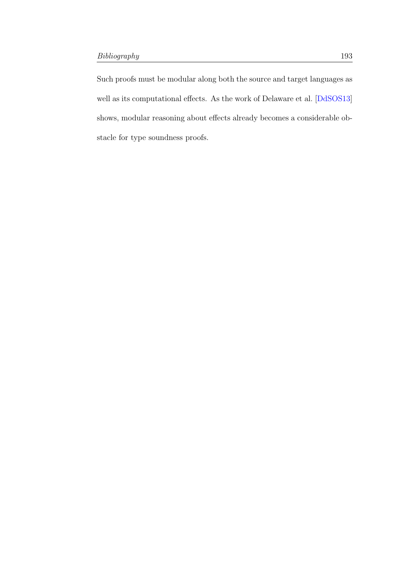Such proofs must be modular along both the source and target languages as well as its computational effects. As the work of Delaware et al. [\[DdSOS13\]](#page-205-0) shows, modular reasoning about effects already becomes a considerable obstacle for type soundness proofs.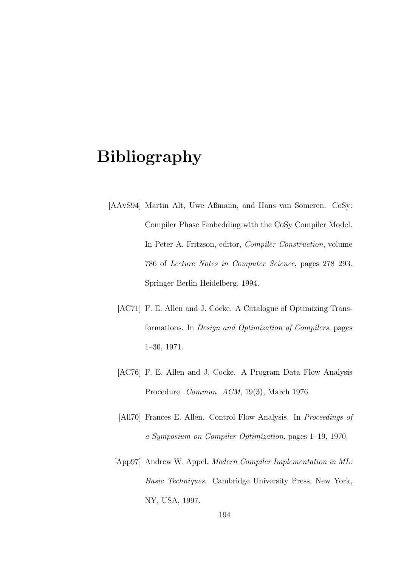## Bibliography

- [AAvS94] Martin Alt, Uwe Aßmann, and Hans van Someren. CoSy: Compiler Phase Embedding with the CoSy Compiler Model. In Peter A. Fritzson, editor, Compiler Construction, volume 786 of Lecture Notes in Computer Science, pages 278–293. Springer Berlin Heidelberg, 1994.
	- [AC71] F. E. Allen and J. Cocke. A Catalogue of Optimizing Transformations. In Design and Optimization of Compilers, pages 1–30, 1971.
	- [AC76] F. E. Allen and J. Cocke. A Program Data Flow Analysis Procedure. Commun. ACM, 19(3), March 1976.
	- [All70] Frances E. Allen. Control Flow Analysis. In Proceedings of a Symposium on Compiler Optimization, pages 1–19, 1970.
	- [App97] Andrew W. Appel. Modern Compiler Implementation in ML: Basic Techniques. Cambridge University Press, New York, NY, USA, 1997.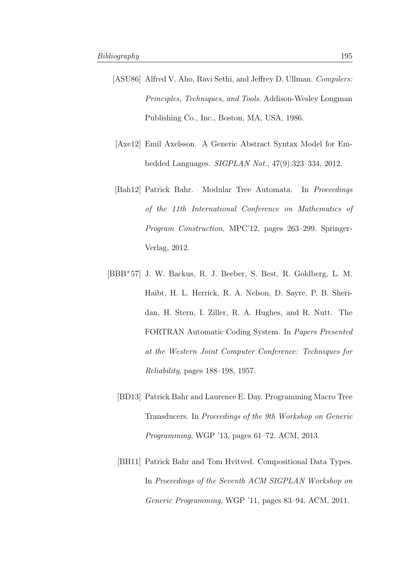- [ASU86] Alfred V. Aho, Ravi Sethi, and Jeffrey D. Ullman. *Compilers:* Principles, Techniques, and Tools. Addison-Wesley Longman Publishing Co., Inc., Boston, MA, USA, 1986.
- <span id="page-202-2"></span>[Axe12] Emil Axelsson. A Generic Abstract Syntax Model for Embedded Languages. SIGPLAN Not., 47(9):323–334, 2012.
- <span id="page-202-0"></span>[Bah12] Patrick Bahr. Modular Tree Automata. In Proceedings of the 11th International Conference on Mathematics of Program Construction, MPC'12, pages 263–299. Springer-Verlag, 2012.
- <span id="page-202-1"></span>[BBB<sup>+</sup>57] J. W. Backus, R. J. Beeber, S. Best, R. Goldberg, L. M. Haibt, H. L. Herrick, R. A. Nelson, D. Sayre, P. B. Sheridan, H. Stern, I. Ziller, R. A. Hughes, and R. Nutt. The FORTRAN Automatic Coding System. In Papers Presented at the Western Joint Computer Conference: Techniques for Reliability, pages 188–198, 1957.
	- [BD13] Patrick Bahr and Laurence E. Day. Programming Macro Tree Transducers. In Proceedings of the 9th Workshop on Generic Programming, WGP '13, pages 61–72. ACM, 2013.
	- [BH11] Patrick Bahr and Tom Hvitved. Compositional Data Types. In Proceedings of the Seventh ACM SIGPLAN Workshop on Generic Programming, WGP '11, pages 83–94. ACM, 2011.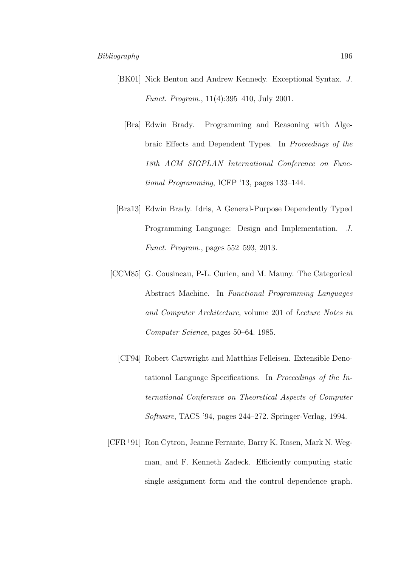- [BK01] Nick Benton and Andrew Kennedy. Exceptional Syntax. J. Funct. Program., 11(4):395–410, July 2001.
	- [Bra] Edwin Brady. Programming and Reasoning with Algebraic Effects and Dependent Types. In Proceedings of the 18th ACM SIGPLAN International Conference on Functional Programming, ICFP '13, pages 133–144.
- [Bra13] Edwin Brady. Idris, A General-Purpose Dependently Typed Programming Language: Design and Implementation. J. Funct. Program., pages 552–593, 2013.
- [CCM85] G. Cousineau, P-L. Curien, and M. Mauny. The Categorical Abstract Machine. In Functional Programming Languages and Computer Architecture, volume 201 of Lecture Notes in Computer Science, pages 50–64. 1985.
	- [CF94] Robert Cartwright and Matthias Felleisen. Extensible Denotational Language Specifications. In Proceedings of the International Conference on Theoretical Aspects of Computer Software, TACS '94, pages 244–272. Springer-Verlag, 1994.
- [CFR<sup>+</sup>91] Ron Cytron, Jeanne Ferrante, Barry K. Rosen, Mark N. Wegman, and F. Kenneth Zadeck. Efficiently computing static single assignment form and the control dependence graph.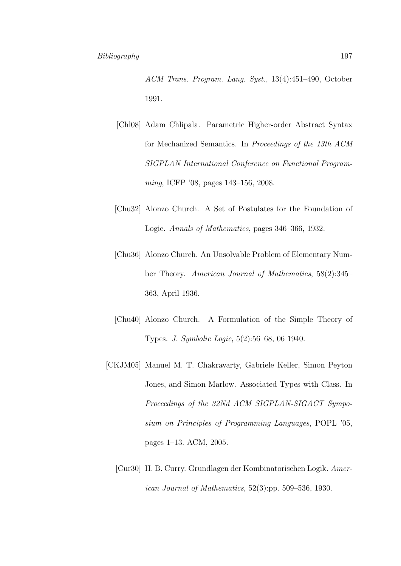- ACM Trans. Program. Lang. Syst., 13(4):451–490, October 1991.
- [Chl08] Adam Chlipala. Parametric Higher-order Abstract Syntax for Mechanized Semantics. In Proceedings of the 13th ACM SIGPLAN International Conference on Functional Programming, ICFP '08, pages 143–156, 2008.
- [Chu32] Alonzo Church. A Set of Postulates for the Foundation of Logic. Annals of Mathematics, pages 346–366, 1932.
- [Chu36] Alonzo Church. An Unsolvable Problem of Elementary Number Theory. American Journal of Mathematics, 58(2):345– 363, April 1936.
- [Chu40] Alonzo Church. A Formulation of the Simple Theory of Types. J. Symbolic Logic, 5(2):56–68, 06 1940.
- <span id="page-204-0"></span>[CKJM05] Manuel M. T. Chakravarty, Gabriele Keller, Simon Peyton Jones, and Simon Marlow. Associated Types with Class. In Proceedings of the 32Nd ACM SIGPLAN-SIGACT Symposium on Principles of Programming Languages, POPL '05, pages 1–13. ACM, 2005.
	- [Cur30] H. B. Curry. Grundlagen der Kombinatorischen Logik. American Journal of Mathematics, 52(3):pp. 509–536, 1930.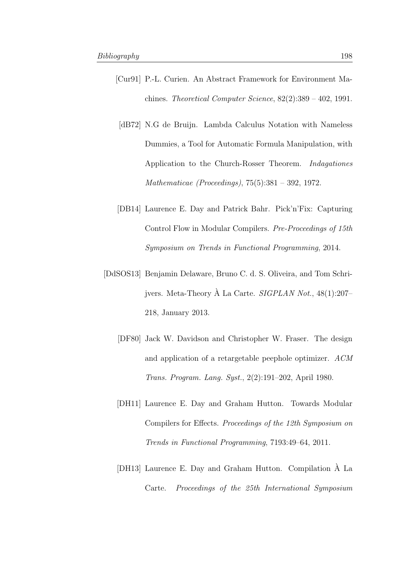- [Cur91] P.-L. Curien. An Abstract Framework for Environment Machines. Theoretical Computer Science, 82(2):389 – 402, 1991.
	- [dB72] N.G de Bruijn. Lambda Calculus Notation with Nameless Dummies, a Tool for Automatic Formula Manipulation, with Application to the Church-Rosser Theorem. Indagationes Mathematicae (Proceedings), 75(5):381 – 392, 1972.
- [DB14] Laurence E. Day and Patrick Bahr. Pick'n'Fix: Capturing Control Flow in Modular Compilers. Pre-Proceedings of 15th Symposium on Trends in Functional Programming, 2014.
- <span id="page-205-0"></span>[DdSOS13] Benjamin Delaware, Bruno C. d. S. Oliveira, and Tom Schrijvers. Meta-Theory  $\hat{A}$  La Carte. *SIGPLAN Not.*, 48(1):207– 218, January 2013.
	- [DF80] Jack W. Davidson and Christopher W. Fraser. The design and application of a retargetable peephole optimizer. ACM Trans. Program. Lang. Syst., 2(2):191–202, April 1980.
	- [DH11] Laurence E. Day and Graham Hutton. Towards Modular Compilers for Effects. Proceedings of the 12th Symposium on Trends in Functional Programming, 7193:49–64, 2011.
	- [DH13] Laurence E. Day and Graham Hutton. Compilation A La ` Carte. Proceedings of the 25th International Symposium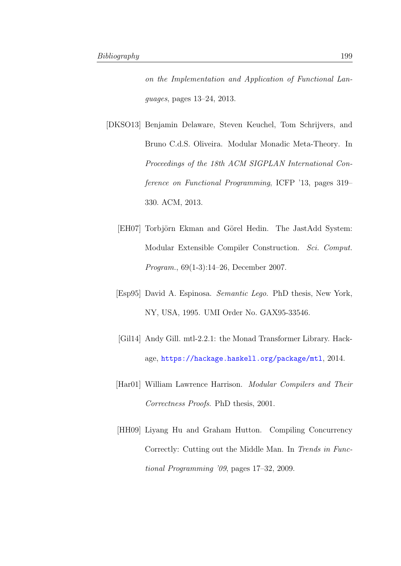on the Implementation and Application of Functional Languages, pages 13–24, 2013.

- <span id="page-206-1"></span><span id="page-206-0"></span>[DKSO13] Benjamin Delaware, Steven Keuchel, Tom Schrijvers, and Bruno C.d.S. Oliveira. Modular Monadic Meta-Theory. In Proceedings of the 18th ACM SIGPLAN International Conference on Functional Programming, ICFP '13, pages 319– 330. ACM, 2013.
	- [EH07] Torbjörn Ekman and Görel Hedin. The JastAdd System: Modular Extensible Compiler Construction. Sci. Comput. Program., 69(1-3):14–26, December 2007.
	- [Esp95] David A. Espinosa. Semantic Lego. PhD thesis, New York, NY, USA, 1995. UMI Order No. GAX95-33546.
	- [Gil14] Andy Gill. mtl-2.2.1: the Monad Transformer Library. Hackage, <https://hackage.haskell.org/package/mtl>, 2014.
	- [Har01] William Lawrence Harrison. Modular Compilers and Their Correctness Proofs. PhD thesis, 2001.
	- [HH09] Liyang Hu and Graham Hutton. Compiling Concurrency Correctly: Cutting out the Middle Man. In Trends in Functional Programming '09, pages 17–32, 2009.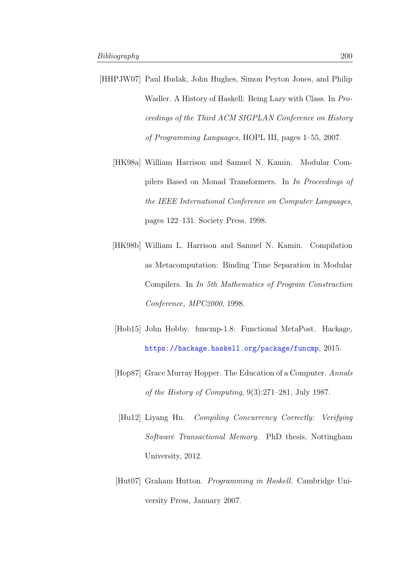- <span id="page-207-1"></span><span id="page-207-0"></span>[HHPJW07] Paul Hudak, John Hughes, Simon Peyton Jones, and Philip Wadler. A History of Haskell: Being Lazy with Class. In Proceedings of the Third ACM SIGPLAN Conference on History of Programming Languages, HOPL III, pages 1–55, 2007.
	- [HK98a] William Harrison and Samuel N. Kamin. Modular Compilers Based on Monad Transformers. In In Proceedings of the IEEE International Conference on Computer Languages, pages 122–131. Society Press, 1998.
	- [HK98b] William L. Harrison and Samuel N. Kamin. Compilation as Metacomputation: Binding Time Separation in Modular Compilers. In In 5th Mathematics of Program Construction Conference, MPC2000, 1998.
	- [Hob15] John Hobby. funcmp-1.8: Functional MetaPost. Hackage, <https://hackage.haskell.org/package/funcmp>, 2015.
	- [Hop87] Grace Murray Hopper. The Education of a Computer. Annals of the History of Computing, 9(3):271–281, July 1987.
	- [Hu12] Liyang Hu. Compiling Concurrency Correctly: Verifying Software Transactional Memory. PhD thesis, Nottingham University, 2012.
	- [Hut07] Graham Hutton. Programming in Haskell. Cambridge University Press, January 2007.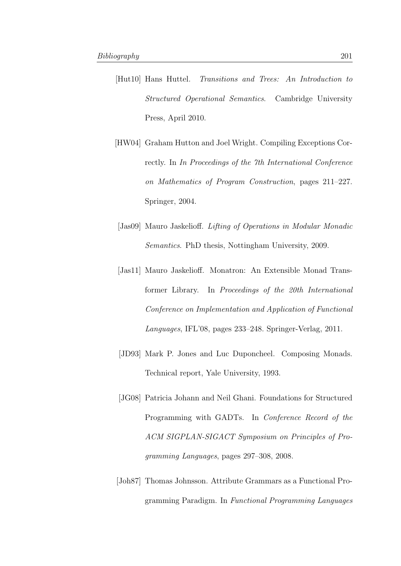- [Hut10] Hans Huttel. Transitions and Trees: An Introduction to Structured Operational Semantics. Cambridge University Press, April 2010.
- [HW04] Graham Hutton and Joel Wright. Compiling Exceptions Correctly. In In Proceedings of the 7th International Conference on Mathematics of Program Construction, pages 211–227. Springer, 2004.
- [Jas09] Mauro Jaskelioff. Lifting of Operations in Modular Monadic Semantics. PhD thesis, Nottingham University, 2009.
- [Jas11] Mauro Jaskelioff. Monatron: An Extensible Monad Transformer Library. In Proceedings of the 20th International Conference on Implementation and Application of Functional Languages, IFL'08, pages 233–248. Springer-Verlag, 2011.
- [JD93] Mark P. Jones and Luc Duponcheel. Composing Monads. Technical report, Yale University, 1993.
- <span id="page-208-0"></span>[JG08] Patricia Johann and Neil Ghani. Foundations for Structured Programming with GADTs. In Conference Record of the ACM SIGPLAN-SIGACT Symposium on Principles of Programming Languages, pages 297–308, 2008.
- [Joh87] Thomas Johnsson. Attribute Grammars as a Functional Programming Paradigm. In Functional Programming Languages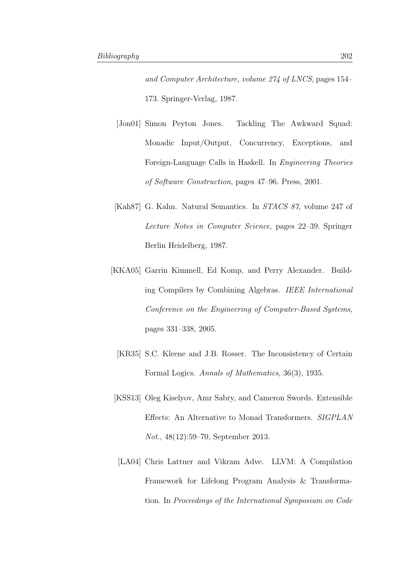and Computer Architecture, volume 274 of LNCS, pages 154– 173. Springer-Verlag, 1987.

- [Jon01] Simon Peyton Jones. Tackling The Awkward Squad: Monadic Input/Output, Concurrency, Exceptions, and Foreign-Language Calls in Haskell. In Engineering Theories of Software Construction, pages 47–96. Press, 2001.
- [Kah87] G. Kahn. Natural Semantics. In STACS 87, volume 247 of Lecture Notes in Computer Science, pages 22–39. Springer Berlin Heidelberg, 1987.
- <span id="page-209-0"></span>[KKA05] Garrin Kimmell, Ed Komp, and Perry Alexander. Building Compilers by Combining Algebras. IEEE International Conference on the Engineering of Computer-Based Systems, pages 331–338, 2005.
	- [KR35] S.C. Kleene and J.B. Rosser. The Inconsistency of Certain Formal Logics. Annals of Mathematics, 36(3), 1935.
- [KSS13] Oleg Kiselyov, Amr Sabry, and Cameron Swords. Extensible Effects: An Alternative to Monad Transformers. SIGPLAN Not., 48(12):59–70, September 2013.
- <span id="page-209-1"></span>[LA04] Chris Lattner and Vikram Adve. LLVM: A Compilation Framework for Lifelong Program Analysis & Transformation. In Proceedings of the International Symposium on Code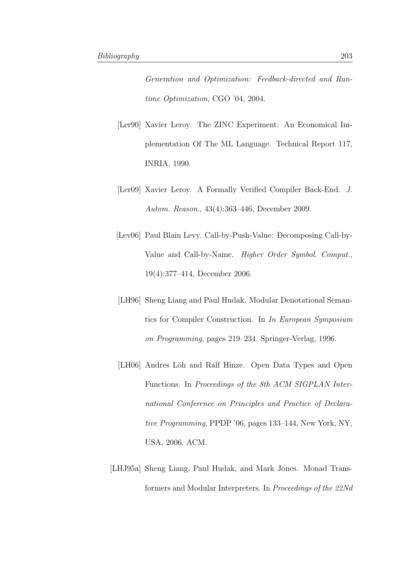Generation and Optimization: Feedback-directed and Runtime Optimization, CGO '04, 2004.

- [Ler90] Xavier Leroy. The ZINC Experiment: An Economical Implementation Of The ML Language. Technical Report 117, INRIA, 1990.
- [Ler09] Xavier Leroy. A Formally Verified Compiler Back-End. J. Autom. Reason., 43(4):363–446, December 2009.
- [Lev06] Paul Blain Levy. Call-by-Push-Value: Decomposing Call-by-Value and Call-by-Name. Higher Order Symbol. Comput., 19(4):377–414, December 2006.
- [LH96] Sheng Liang and Paul Hudak. Modular Denotational Semantics for Compiler Construction. In In European Symposium on Programming, pages 219–234. Springer-Verlag, 1996.
- [LH06] Andres Löh and Ralf Hinze. Open Data Types and Open Functions. In Proceedings of the 8th ACM SIGPLAN International Conference on Principles and Practice of Declarative Programming, PPDP '06, pages 133–144, New York, NY, USA, 2006. ACM.
- [LHJ95a] Sheng Liang, Paul Hudak, and Mark Jones. Monad Transformers and Modular Interpreters. In Proceedings of the 22Nd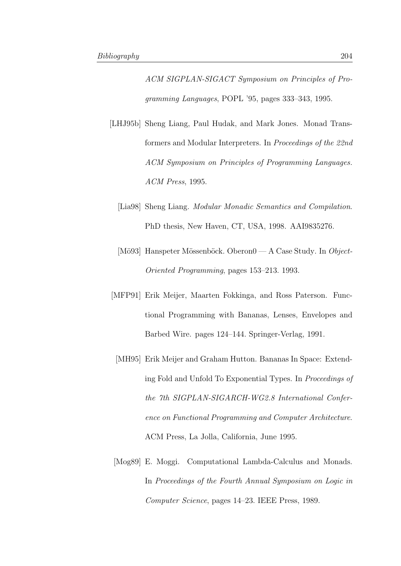ACM SIGPLAN-SIGACT Symposium on Principles of Programming Languages, POPL '95, pages 333–343, 1995.

- <span id="page-211-0"></span>[LHJ95b] Sheng Liang, Paul Hudak, and Mark Jones. Monad Transformers and Modular Interpreters. In Proceedings of the 22nd ACM Symposium on Principles of Programming Languages. ACM Press, 1995.
	- [Lia98] Sheng Liang. Modular Monadic Semantics and Compilation. PhD thesis, New Haven, CT, USA, 1998. AAI9835276.
	- [Mö93] Hanspeter Mössenböck. Oberon $0 A$  Case Study. In Object-Oriented Programming, pages 153–213. 1993.
- [MFP91] Erik Meijer, Maarten Fokkinga, and Ross Paterson. Functional Programming with Bananas, Lenses, Envelopes and Barbed Wire. pages 124–144. Springer-Verlag, 1991.
- [MH95] Erik Meijer and Graham Hutton. Bananas In Space: Extending Fold and Unfold To Exponential Types. In Proceedings of the 7th SIGPLAN-SIGARCH-WG2.8 International Conference on Functional Programming and Computer Architecture. ACM Press, La Jolla, California, June 1995.
- [Mog89] E. Moggi. Computational Lambda-Calculus and Monads. In Proceedings of the Fourth Annual Symposium on Logic in Computer Science, pages 14–23. IEEE Press, 1989.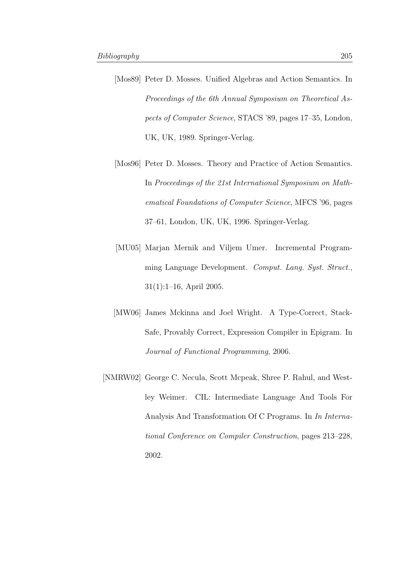- [Mos89] Peter D. Mosses. Unified Algebras and Action Semantics. In Proceedings of the 6th Annual Symposium on Theoretical Aspects of Computer Science, STACS '89, pages 17–35, London, UK, UK, 1989. Springer-Verlag.
- [Mos96] Peter D. Mosses. Theory and Practice of Action Semantics. In Proceedings of the 21st International Symposium on Mathematical Foundations of Computer Science, MFCS '96, pages 37–61, London, UK, UK, 1996. Springer-Verlag.
- <span id="page-212-0"></span>[MU05] Marjan Mernik and Viljem Umer. Incremental Programming Language Development. Comput. Lang. Syst. Struct., 31(1):1–16, April 2005.
- [MW06] James Mckinna and Joel Wright. A Type-Correct, Stack-Safe, Provably Correct, Expression Compiler in Epigram. In Journal of Functional Programming, 2006.
- [NMRW02] George C. Necula, Scott Mcpeak, Shree P. Rahul, and Westley Weimer. CIL: Intermediate Language And Tools For Analysis And Transformation Of C Programs. In In International Conference on Compiler Construction, pages 213–228, 2002.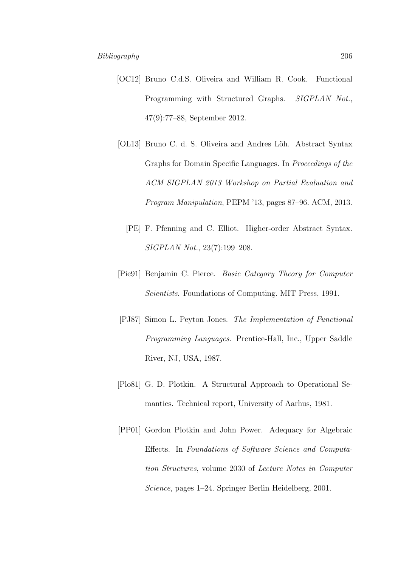- <span id="page-213-0"></span>[OC12] Bruno C.d.S. Oliveira and William R. Cook. Functional Programming with Structured Graphs. SIGPLAN Not., 47(9):77–88, September 2012.
- [OL13] Bruno C. d. S. Oliveira and Andres Löh. Abstract Syntax Graphs for Domain Specific Languages. In Proceedings of the ACM SIGPLAN 2013 Workshop on Partial Evaluation and Program Manipulation, PEPM '13, pages 87–96. ACM, 2013.
	- [PE] F. Pfenning and C. Elliot. Higher-order Abstract Syntax. SIGPLAN Not., 23(7):199–208.
- [Pie91] Benjamin C. Pierce. Basic Category Theory for Computer Scientists. Foundations of Computing. MIT Press, 1991.
- [PJ87] Simon L. Peyton Jones. The Implementation of Functional Programming Languages. Prentice-Hall, Inc., Upper Saddle River, NJ, USA, 1987.
- [Plo81] G. D. Plotkin. A Structural Approach to Operational Semantics. Technical report, University of Aarhus, 1981.
- [PP01] Gordon Plotkin and John Power. Adequacy for Algebraic Effects. In Foundations of Software Science and Computation Structures, volume 2030 of Lecture Notes in Computer Science, pages 1–24. Springer Berlin Heidelberg, 2001.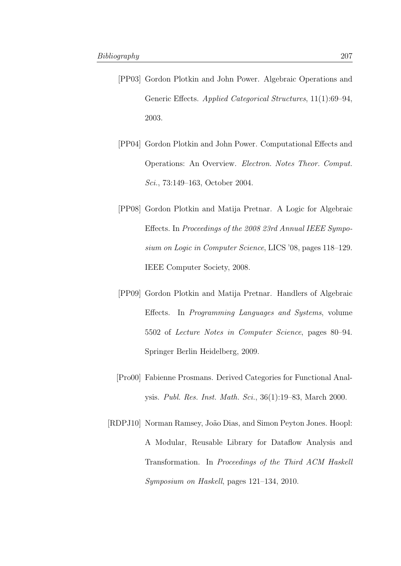- [PP03] Gordon Plotkin and John Power. Algebraic Operations and Generic Effects. Applied Categorical Structures, 11(1):69–94, 2003.
- [PP04] Gordon Plotkin and John Power. Computational Effects and Operations: An Overview. Electron. Notes Theor. Comput. Sci., 73:149–163, October 2004.
- [PP08] Gordon Plotkin and Matija Pretnar. A Logic for Algebraic Effects. In Proceedings of the 2008 23rd Annual IEEE Symposium on Logic in Computer Science, LICS '08, pages 118–129. IEEE Computer Society, 2008.
- [PP09] Gordon Plotkin and Matija Pretnar. Handlers of Algebraic Effects. In Programming Languages and Systems, volume 5502 of Lecture Notes in Computer Science, pages 80–94. Springer Berlin Heidelberg, 2009.
- [Pro00] Fabienne Prosmans. Derived Categories for Functional Analysis. Publ. Res. Inst. Math. Sci., 36(1):19–83, March 2000.
- <span id="page-214-0"></span>[RDPJ10] Norman Ramsey, João Dias, and Simon Peyton Jones. Hoopl: A Modular, Reusable Library for Dataflow Analysis and Transformation. In Proceedings of the Third ACM Haskell Symposium on Haskell, pages 121–134, 2010.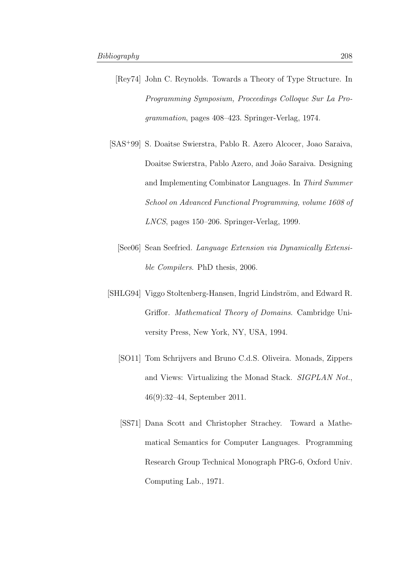- <span id="page-215-1"></span>[Rey74] John C. Reynolds. Towards a Theory of Type Structure. In Programming Symposium, Proceedings Colloque Sur La Programmation, pages 408–423. Springer-Verlag, 1974.
- <span id="page-215-0"></span>[SAS<sup>+</sup>99] S. Doaitse Swierstra, Pablo R. Azero Alcocer, Joao Saraiva, Doaitse Swierstra, Pablo Azero, and João Saraiva. Designing and Implementing Combinator Languages. In Third Summer School on Advanced Functional Programming, volume 1608 of LNCS, pages 150–206. Springer-Verlag, 1999.
	- [See06] Sean Seefried. Language Extension via Dynamically Extensible Compilers. PhD thesis, 2006.
- [SHLG94] Viggo Stoltenberg-Hansen, Ingrid Lindström, and Edward R. Griffor. Mathematical Theory of Domains. Cambridge University Press, New York, NY, USA, 1994.
	- [SO11] Tom Schrijvers and Bruno C.d.S. Oliveira. Monads, Zippers and Views: Virtualizing the Monad Stack. SIGPLAN Not., 46(9):32–44, September 2011.
	- [SS71] Dana Scott and Christopher Strachey. Toward a Mathematical Semantics for Computer Languages. Programming Research Group Technical Monograph PRG-6, Oxford Univ. Computing Lab., 1971.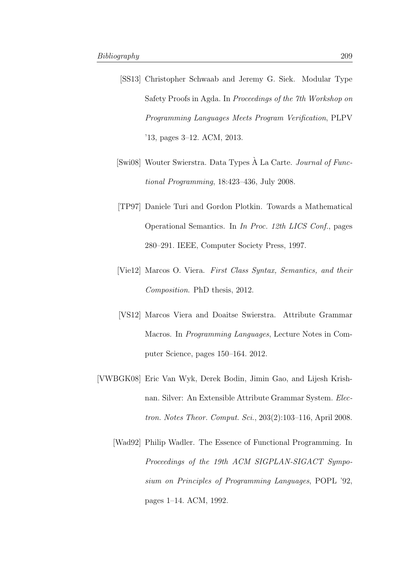- [SS13] Christopher Schwaab and Jeremy G. Siek. Modular Type Safety Proofs in Agda. In Proceedings of the 7th Workshop on Programming Languages Meets Program Verification, PLPV '13, pages 3–12. ACM, 2013.
- [Swi08] Wouter Swierstra. Data Types  $\AA$  La Carte. *Journal of Func*tional Programming, 18:423–436, July 2008.
- [TP97] Daniele Turi and Gordon Plotkin. Towards a Mathematical Operational Semantics. In In Proc. 12th LICS Conf., pages 280–291. IEEE, Computer Society Press, 1997.
- [Vie12] Marcos O. Viera. First Class Syntax, Semantics, and their Composition. PhD thesis, 2012.
- [VS12] Marcos Viera and Doaitse Swierstra. Attribute Grammar Macros. In Programming Languages, Lecture Notes in Computer Science, pages 150–164. 2012.
- [VWBGK08] Eric Van Wyk, Derek Bodin, Jimin Gao, and Lijesh Krishnan. Silver: An Extensible Attribute Grammar System. Electron. Notes Theor. Comput. Sci., 203(2):103–116, April 2008.
	- [Wad92] Philip Wadler. The Essence of Functional Programming. In Proceedings of the 19th ACM SIGPLAN-SIGACT Symposium on Principles of Programming Languages, POPL '92, pages 1–14. ACM, 1992.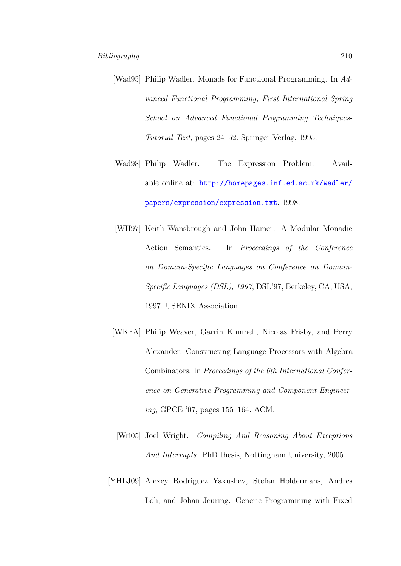- [Wad95] Philip Wadler. Monads for Functional Programming. In Advanced Functional Programming, First International Spring School on Advanced Functional Programming Techniques-Tutorial Text, pages 24–52. Springer-Verlag, 1995.
- [Wad98] Philip Wadler. The Expression Problem. Available online at: [http://homepages.inf.ed.ac.uk/wadler/](http://homepages.inf.ed.ac.uk/wadler/papers/expression/expression.txt) [papers/expression/expression.txt](http://homepages.inf.ed.ac.uk/wadler/papers/expression/expression.txt), 1998.
- [WH97] Keith Wansbrough and John Hamer. A Modular Monadic Action Semantics. In Proceedings of the Conference on Domain-Specific Languages on Conference on Domain-Specific Languages (DSL), 1997, DSL'97, Berkeley, CA, USA, 1997. USENIX Association.
- [WKFA] Philip Weaver, Garrin Kimmell, Nicolas Frisby, and Perry Alexander. Constructing Language Processors with Algebra Combinators. In Proceedings of the 6th International Conference on Generative Programming and Component Engineering, GPCE '07, pages 155–164. ACM.
- [Wri05] Joel Wright. Compiling And Reasoning About Exceptions And Interrupts. PhD thesis, Nottingham University, 2005.
- [YHLJ09] Alexey Rodriguez Yakushev, Stefan Holdermans, Andres Löh, and Johan Jeuring. Generic Programming with Fixed